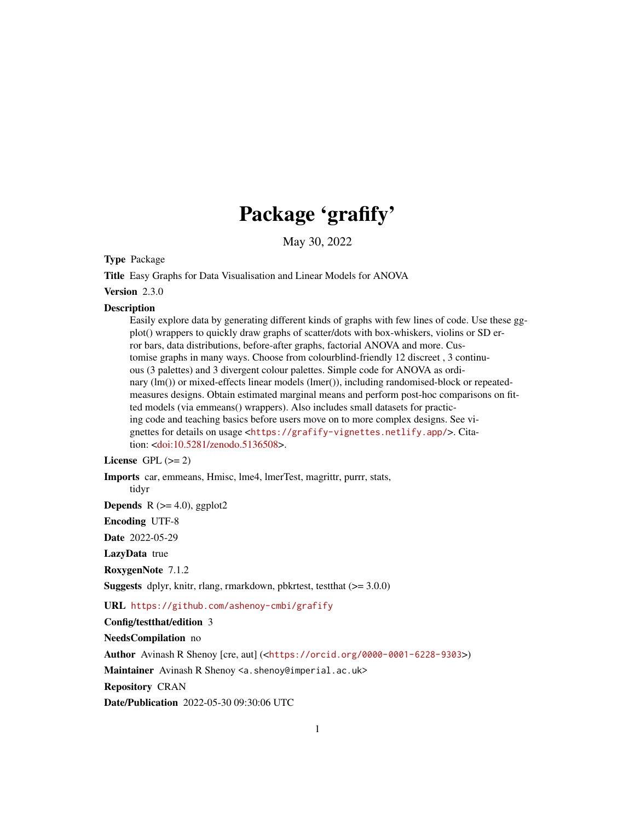# Package 'grafify'

May 30, 2022

<span id="page-0-0"></span>Type Package

Title Easy Graphs for Data Visualisation and Linear Models for ANOVA

Version 2.3.0

#### Description

Easily explore data by generating different kinds of graphs with few lines of code. Use these ggplot() wrappers to quickly draw graphs of scatter/dots with box-whiskers, violins or SD error bars, data distributions, before-after graphs, factorial ANOVA and more. Customise graphs in many ways. Choose from colourblind-friendly 12 discreet , 3 continuous (3 palettes) and 3 divergent colour palettes. Simple code for ANOVA as ordinary (lm()) or mixed-effects linear models (lmer()), including randomised-block or repeatedmeasures designs. Obtain estimated marginal means and perform post-hoc comparisons on fitted models (via emmeans() wrappers). Also includes small datasets for practicing code and teaching basics before users move on to more complex designs. See vignettes for details on usage <<https://grafify-vignettes.netlify.app/>>. Cita-tion: [<doi:10.5281/zenodo.5136508>](https://doi.org/10.5281/zenodo.5136508).

License GPL  $(>= 2)$ 

Imports car, emmeans, Hmisc, lme4, lmerTest, magrittr, purrr, stats,

tidyr

**Depends** R  $(>= 4.0)$ , ggplot2

Encoding UTF-8

Date 2022-05-29

LazyData true

RoxygenNote 7.1.2

**Suggests** dplyr, knitr, rlang, rmarkdown, pbkrtest, test that  $(>= 3.0.0)$ 

URL <https://github.com/ashenoy-cmbi/grafify>

Config/testthat/edition 3

NeedsCompilation no

Author Avinash R Shenoy [cre, aut] (<<https://orcid.org/0000-0001-6228-9303>>)

Maintainer Avinash R Shenoy <a.shenoy@imperial.ac.uk>

Repository CRAN

Date/Publication 2022-05-30 09:30:06 UTC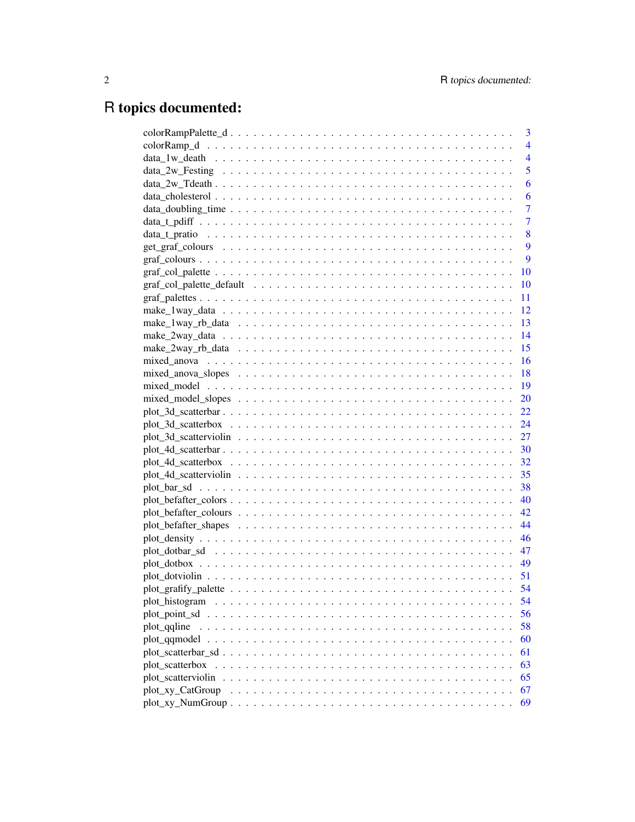# R topics documented:

|                    | 3              |
|--------------------|----------------|
|                    | $\overline{4}$ |
|                    | $\overline{4}$ |
|                    | 5              |
|                    | 6              |
|                    | 6              |
|                    | $\overline{7}$ |
|                    | $\overline{7}$ |
|                    | 8              |
|                    | 9              |
|                    | 9              |
|                    | <b>10</b>      |
|                    | <b>10</b>      |
|                    | - 11           |
|                    |                |
|                    |                |
|                    |                |
|                    |                |
|                    |                |
|                    |                |
|                    |                |
|                    |                |
|                    | 22             |
|                    |                |
|                    |                |
|                    |                |
|                    | 32             |
|                    | 35             |
|                    |                |
|                    |                |
|                    |                |
|                    |                |
|                    |                |
|                    | - 47           |
|                    |                |
|                    |                |
|                    | - 54           |
| plot_histogram     | 54             |
| plot_point_sd      | 56             |
| plot qqline        | 58             |
| plot qqmodel       | 60             |
|                    | 61             |
| plot_scatterbox    | 63             |
| plot_scatterviolin | 65             |
| plot_xy_CatGroup   | 67             |
|                    | 69             |
|                    |                |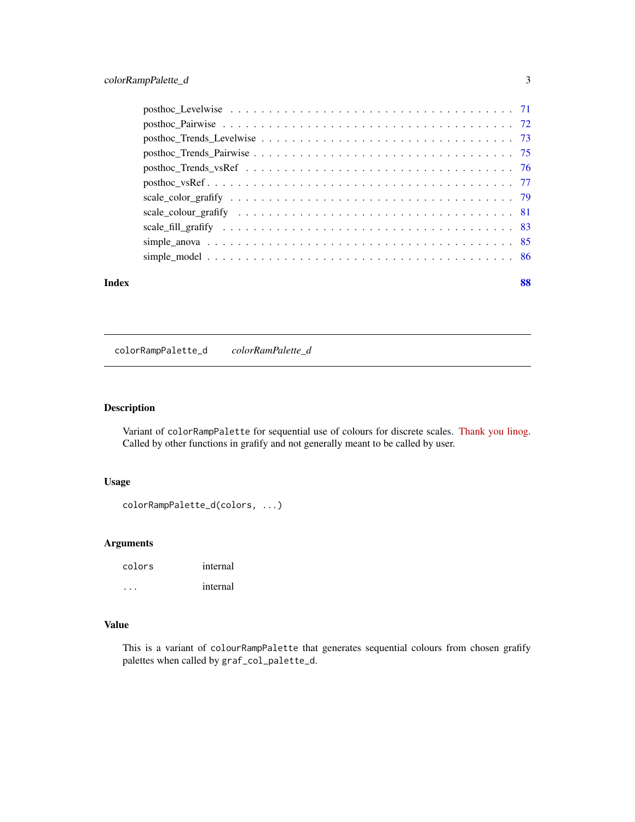<span id="page-2-0"></span>

| Index |                                                                                                                  | 88 |
|-------|------------------------------------------------------------------------------------------------------------------|----|
|       |                                                                                                                  |    |
|       |                                                                                                                  |    |
|       |                                                                                                                  |    |
|       |                                                                                                                  |    |
|       |                                                                                                                  |    |
|       |                                                                                                                  |    |
|       | $posthoc_Trends_vsRef \dots \dots \dots \dots \dots \dots \dots \dots \dots \dots \dots \dots \dots \dots \dots$ |    |
|       |                                                                                                                  |    |
|       |                                                                                                                  |    |
|       |                                                                                                                  |    |
|       |                                                                                                                  |    |

# colorRampPalette\_d *colorRamPalette\_d*

# Description

Variant of colorRampPalette for sequential use of colours for discrete scales. [Thank you linog.](https://stackoverflow.com/questions/61674217/custom-discrete-color-scale-in-ggplot-does-not-respect-order) Called by other functions in grafify and not generally meant to be called by user.

## Usage

```
colorRampPalette_d(colors, ...)
```
# Arguments

| colors | internal |
|--------|----------|
|        | internal |

# Value

This is a variant of colourRampPalette that generates sequential colours from chosen grafify palettes when called by graf\_col\_palette\_d.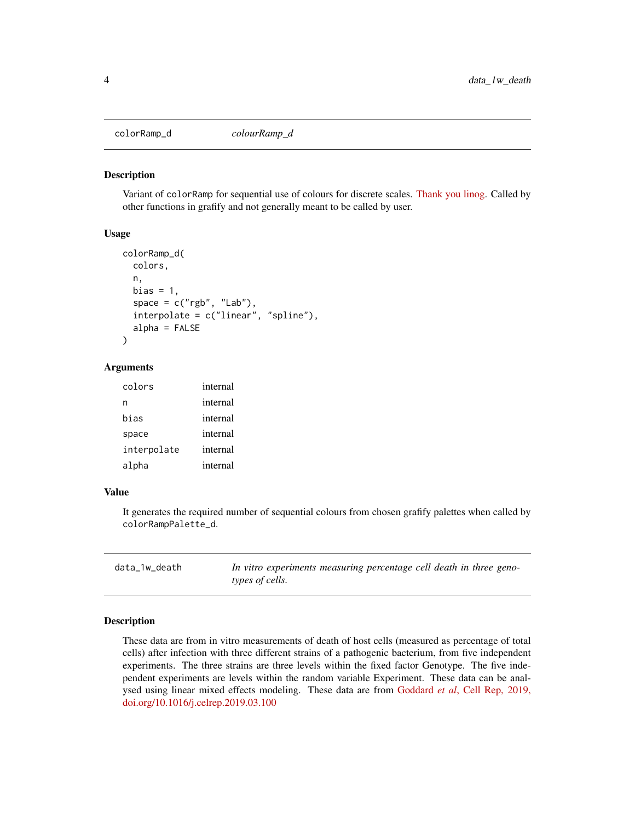<span id="page-3-0"></span>colorRamp\_d *colourRamp\_d*

#### Description

Variant of colorRamp for sequential use of colours for discrete scales. [Thank you linog.](https://stackoverflow.com/questions/61674217/custom-discrete-color-scale-in-ggplot-does-not-respect-order) Called by other functions in grafify and not generally meant to be called by user.

## Usage

```
colorRamp_d(
  colors,
  n,
  bias = 1,
  space = c("rgb", "Lab"),interpolate = c("linear", "spline"),
  alpha = FALSE)
```
## Arguments

| colors      | internal |
|-------------|----------|
| n           | internal |
| bias        | internal |
| space       | internal |
| interpolate | internal |
| alpha       | internal |

## Value

It generates the required number of sequential colours from chosen grafify palettes when called by colorRampPalette\_d.

| data_1w_death | In vitro experiments measuring percentage cell death in three geno- |
|---------------|---------------------------------------------------------------------|
|               | types of cells.                                                     |

## Description

These data are from in vitro measurements of death of host cells (measured as percentage of total cells) after infection with three different strains of a pathogenic bacterium, from five independent experiments. The three strains are three levels within the fixed factor Genotype. The five independent experiments are levels within the random variable Experiment. These data can be analysed using linear mixed effects modeling. These data are from Goddard *et al*[, Cell Rep, 2019,](https://www.sciencedirect.com/science/article/pii/S2211124719304474) [doi.org/10.1016/j.celrep.2019.03.100](https://www.sciencedirect.com/science/article/pii/S2211124719304474)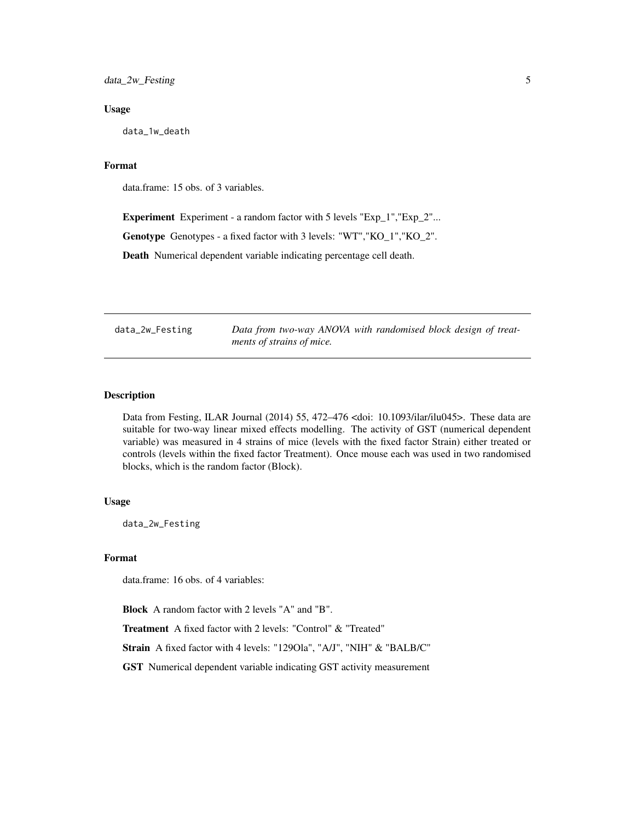## <span id="page-4-0"></span>Usage

data\_1w\_death

# Format

data.frame: 15 obs. of 3 variables.

Experiment Experiment - a random factor with 5 levels "Exp\_1","Exp\_2"... Genotype Genotypes - a fixed factor with 3 levels: "WT","KO\_1","KO\_2". Death Numerical dependent variable indicating percentage cell death.

data\_2w\_Festing *Data from two-way ANOVA with randomised block design of treatments of strains of mice.*

# Description

Data from Festing, ILAR Journal (2014) 55, 472–476 <doi: 10.1093/ilar/ilu045>. These data are suitable for two-way linear mixed effects modelling. The activity of GST (numerical dependent variable) was measured in 4 strains of mice (levels with the fixed factor Strain) either treated or controls (levels within the fixed factor Treatment). Once mouse each was used in two randomised blocks, which is the random factor (Block).

## Usage

data\_2w\_Festing

#### Format

data.frame: 16 obs. of 4 variables:

Block A random factor with 2 levels "A" and "B".

Treatment A fixed factor with 2 levels: "Control" & "Treated"

Strain A fixed factor with 4 levels: "129Ola", "A/J", "NIH" & "BALB/C"

GST Numerical dependent variable indicating GST activity measurement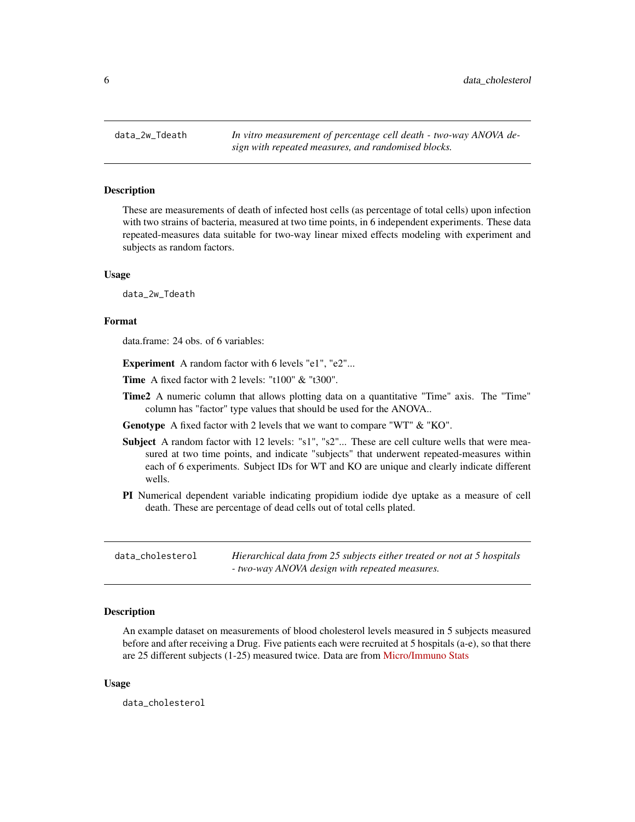<span id="page-5-0"></span>

#### Description

These are measurements of death of infected host cells (as percentage of total cells) upon infection with two strains of bacteria, measured at two time points, in 6 independent experiments. These data repeated-measures data suitable for two-way linear mixed effects modeling with experiment and subjects as random factors.

#### Usage

data\_2w\_Tdeath

## Format

data.frame: 24 obs. of 6 variables:

Experiment A random factor with 6 levels "e1", "e2"...

Time A fixed factor with 2 levels: "t100" & "t300".

Time2 A numeric column that allows plotting data on a quantitative "Time" axis. The "Time" column has "factor" type values that should be used for the ANOVA..

Genotype A fixed factor with 2 levels that we want to compare "WT" & "KO".

- Subject A random factor with 12 levels: "s1", "s2"... These are cell culture wells that were measured at two time points, and indicate "subjects" that underwent repeated-measures within each of 6 experiments. Subject IDs for WT and KO are unique and clearly indicate different wells.
- PI Numerical dependent variable indicating propidium iodide dye uptake as a measure of cell death. These are percentage of dead cells out of total cells plated.

| data_cholesterol | Hierarchical data from 25 subjects either treated or not at 5 hospitals |
|------------------|-------------------------------------------------------------------------|
|                  | - two-way ANOVA design with repeated measures.                          |

## Description

An example dataset on measurements of blood cholesterol levels measured in 5 subjects measured before and after receiving a Drug. Five patients each were recruited at 5 hospitals (a-e), so that there are 25 different subjects (1-25) measured twice. Data are from [Micro/Immuno Stats](https://microimmunostats.netlify.app)

#### Usage

data\_cholesterol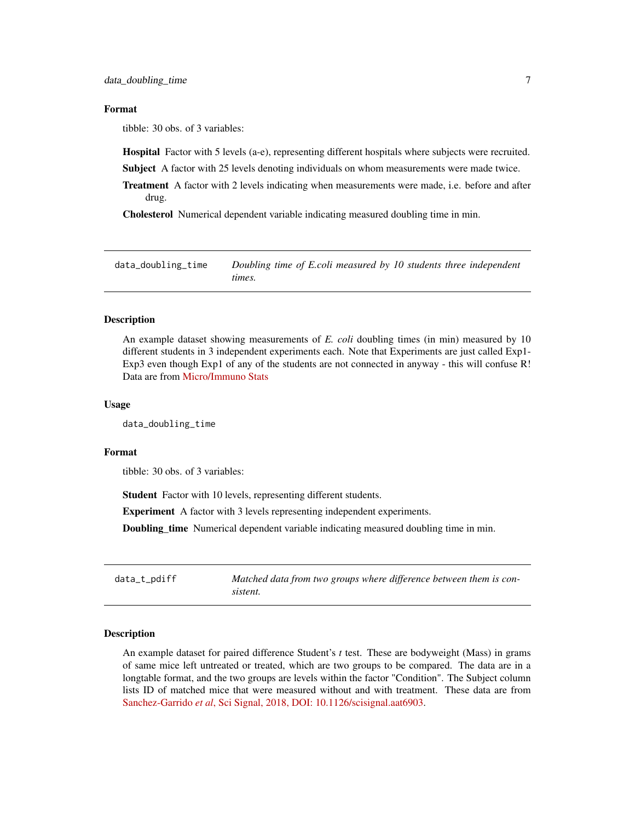## <span id="page-6-0"></span>Format

tibble: 30 obs. of 3 variables:

Hospital Factor with 5 levels (a-e), representing different hospitals where subjects were recruited.

**Subject** A factor with 25 levels denoting individuals on whom measurements were made twice.

Treatment A factor with 2 levels indicating when measurements were made, i.e. before and after drug.

Cholesterol Numerical dependent variable indicating measured doubling time in min.

data\_doubling\_time *Doubling time of E.coli measured by 10 students three independent times.*

## Description

An example dataset showing measurements of *E. coli* doubling times (in min) measured by 10 different students in 3 independent experiments each. Note that Experiments are just called Exp1- Exp3 even though Exp1 of any of the students are not connected in anyway - this will confuse R! Data are from [Micro/Immuno Stats](https://microimmunostats.netlify.app)

## Usage

data\_doubling\_time

#### Format

tibble: 30 obs. of 3 variables:

Student Factor with 10 levels, representing different students.

Experiment A factor with 3 levels representing independent experiments.

Doubling\_time Numerical dependent variable indicating measured doubling time in min.

data\_t\_pdiff *Matched data from two groups where difference between them is consistent.*

#### Description

An example dataset for paired difference Student's *t* test. These are bodyweight (Mass) in grams of same mice left untreated or treated, which are two groups to be compared. The data are in a longtable format, and the two groups are levels within the factor "Condition". The Subject column lists ID of matched mice that were measured without and with treatment. These data are from Sanchez-Garrido *et al*[, Sci Signal, 2018, DOI: 10.1126/scisignal.aat6903.](https://www.science.org/doi/10.1126/scisignal.aat6903)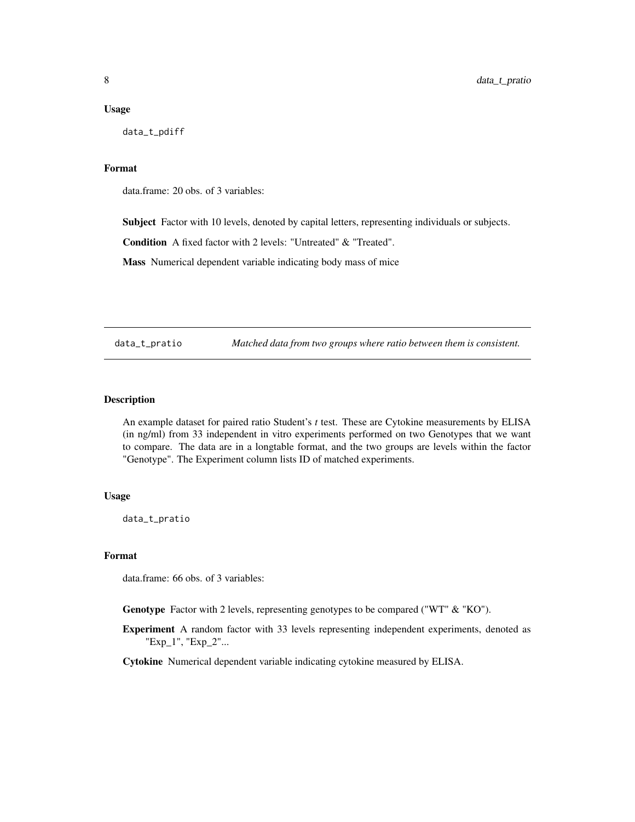#### <span id="page-7-0"></span>Usage

data\_t\_pdiff

## Format

data.frame: 20 obs. of 3 variables:

Subject Factor with 10 levels, denoted by capital letters, representing individuals or subjects.

Condition A fixed factor with 2 levels: "Untreated" & "Treated".

Mass Numerical dependent variable indicating body mass of mice

data\_t\_pratio *Matched data from two groups where ratio between them is consistent.*

# Description

An example dataset for paired ratio Student's *t* test. These are Cytokine measurements by ELISA (in ng/ml) from 33 independent in vitro experiments performed on two Genotypes that we want to compare. The data are in a longtable format, and the two groups are levels within the factor "Genotype". The Experiment column lists ID of matched experiments.

#### Usage

data\_t\_pratio

## Format

data.frame: 66 obs. of 3 variables:

Genotype Factor with 2 levels, representing genotypes to be compared ("WT" & "KO").

Experiment A random factor with 33 levels representing independent experiments, denoted as "Exp\_1", "Exp\_2"...

Cytokine Numerical dependent variable indicating cytokine measured by ELISA.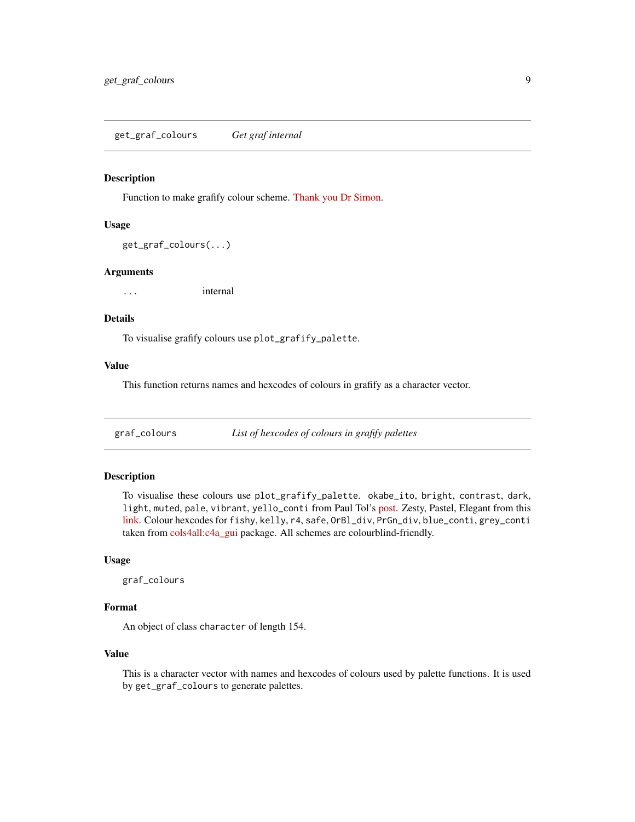#### <span id="page-8-0"></span>Description

Function to make grafify colour scheme. [Thank you Dr Simon.](https://drsimonj.svbtle.com/creating-corporate-colour-palettes-for-ggplot2)

## Usage

```
get_graf_colours(...)
```
#### Arguments

... internal

# Details

To visualise grafify colours use plot\_grafify\_palette.

# Value

This function returns names and hexcodes of colours in grafify as a character vector.

graf\_colours *List of hexcodes of colours in grafify palettes*

## Description

To visualise these colours use plot\_grafify\_palette. okabe\_ito, bright, contrast, dark, light, muted, pale, vibrant, yello\_conti from Paul Tol's [post.](https://personal.sron.nl/~pault/) Zesty, Pastel, Elegant from this [link.](https://venngage.com/blog/color-blind-friendly-palette/) Colour hexcodes for fishy, kelly, r4, safe, OrBl\_div, PrGn\_div, blue\_conti, grey\_conti taken from [cols4all:c4a\\_gui](https://github.com/mtennekes/cols4all) package. All schemes are colourblind-friendly.

## Usage

graf\_colours

# Format

An object of class character of length 154.

## Value

This is a character vector with names and hexcodes of colours used by palette functions. It is used by get\_graf\_colours to generate palettes.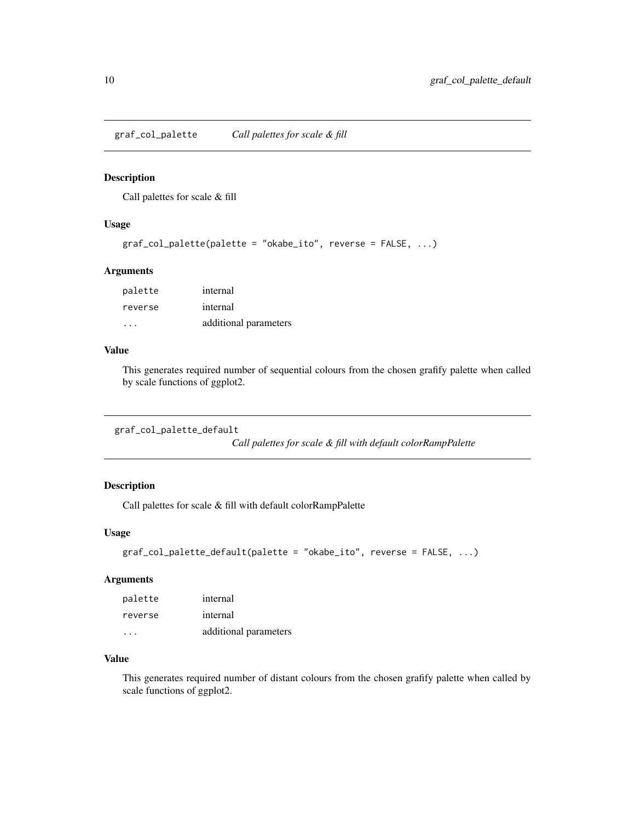<span id="page-9-0"></span>graf\_col\_palette *Call palettes for scale & fill*

# Description

Call palettes for scale & fill

## Usage

```
graf_col_palette(palette = "okabe_ito", reverse = FALSE, ...)
```
## Arguments

| palette | internal              |
|---------|-----------------------|
| reverse | internal              |
|         | additional parameters |

#### Value

This generates required number of sequential colours from the chosen grafify palette when called by scale functions of ggplot2.

```
graf_col_palette_default
```
*Call palettes for scale & fill with default colorRampPalette*

# Description

Call palettes for scale & fill with default colorRampPalette

## Usage

```
graf_col_palette_default(palette = "okabe_ito", reverse = FALSE, ...)
```
## Arguments

| palette              | internal              |
|----------------------|-----------------------|
| reverse              | internal              |
| $\sim$ $\sim$ $\sim$ | additional parameters |

# Value

This generates required number of distant colours from the chosen grafify palette when called by scale functions of ggplot2.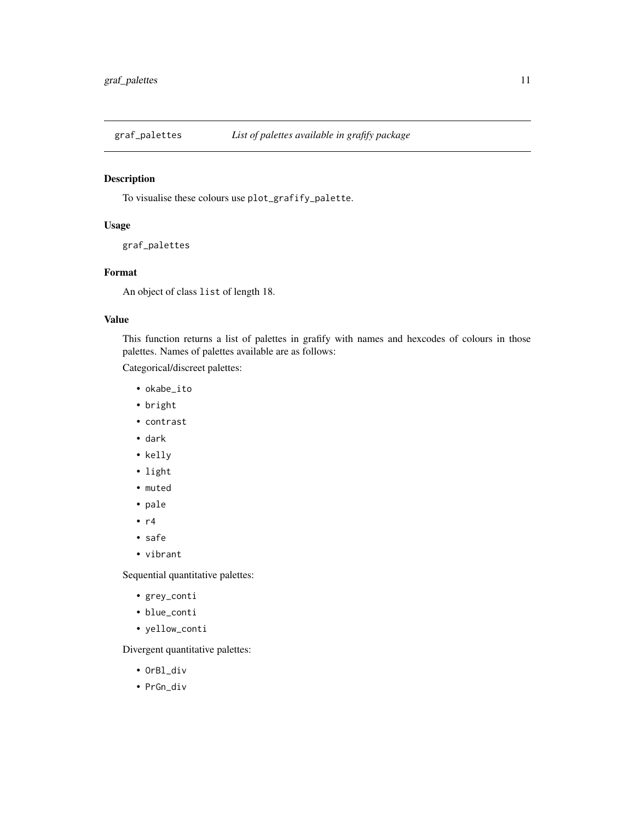<span id="page-10-1"></span><span id="page-10-0"></span>

# Description

To visualise these colours use plot\_grafify\_palette.

# Usage

```
graf_palettes
```
# Format

An object of class list of length 18.

# Value

This function returns a list of palettes in grafify with names and hexcodes of colours in those palettes. Names of palettes available are as follows:

Categorical/discreet palettes:

- okabe\_ito
- bright
- contrast
- dark
- kelly
- light
- muted
- pale
- $\cdot$  r4
- safe
- vibrant

Sequential quantitative palettes:

- grey\_conti
- blue\_conti
- yellow\_conti

Divergent quantitative palettes:

- OrBl\_div
- PrGn\_div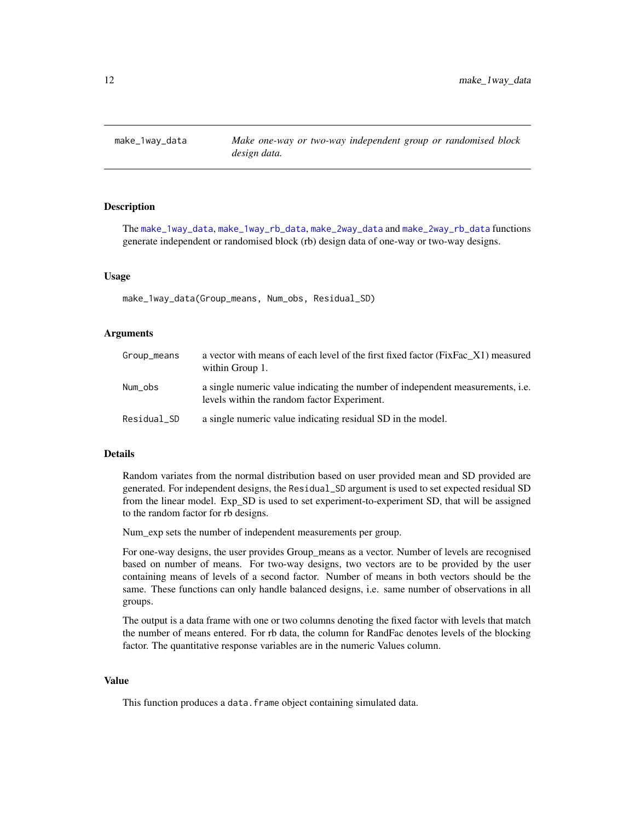<span id="page-11-1"></span><span id="page-11-0"></span>

# **Description**

The [make\\_1way\\_data](#page-11-1), [make\\_1way\\_rb\\_data](#page-12-1), [make\\_2way\\_data](#page-13-1) and [make\\_2way\\_rb\\_data](#page-14-1) functions generate independent or randomised block (rb) design data of one-way or two-way designs.

#### Usage

make\_1way\_data(Group\_means, Num\_obs, Residual\_SD)

#### Arguments

| Group_means | a vector with means of each level of the first fixed factor (FixFac X1) measured<br>within Group 1.                                  |
|-------------|--------------------------------------------------------------------------------------------------------------------------------------|
| Num_obs     | a single numeric value indicating the number of independent measurements, <i>i.e.</i><br>levels within the random factor Experiment. |
| Residual_SD | a single numeric value indicating residual SD in the model.                                                                          |

#### Details

Random variates from the normal distribution based on user provided mean and SD provided are generated. For independent designs, the Residual\_SD argument is used to set expected residual SD from the linear model. Exp\_SD is used to set experiment-to-experiment SD, that will be assigned to the random factor for rb designs.

Num\_exp sets the number of independent measurements per group.

For one-way designs, the user provides Group\_means as a vector. Number of levels are recognised based on number of means. For two-way designs, two vectors are to be provided by the user containing means of levels of a second factor. Number of means in both vectors should be the same. These functions can only handle balanced designs, i.e. same number of observations in all groups.

The output is a data frame with one or two columns denoting the fixed factor with levels that match the number of means entered. For rb data, the column for RandFac denotes levels of the blocking factor. The quantitative response variables are in the numeric Values column.

## Value

This function produces a data.frame object containing simulated data.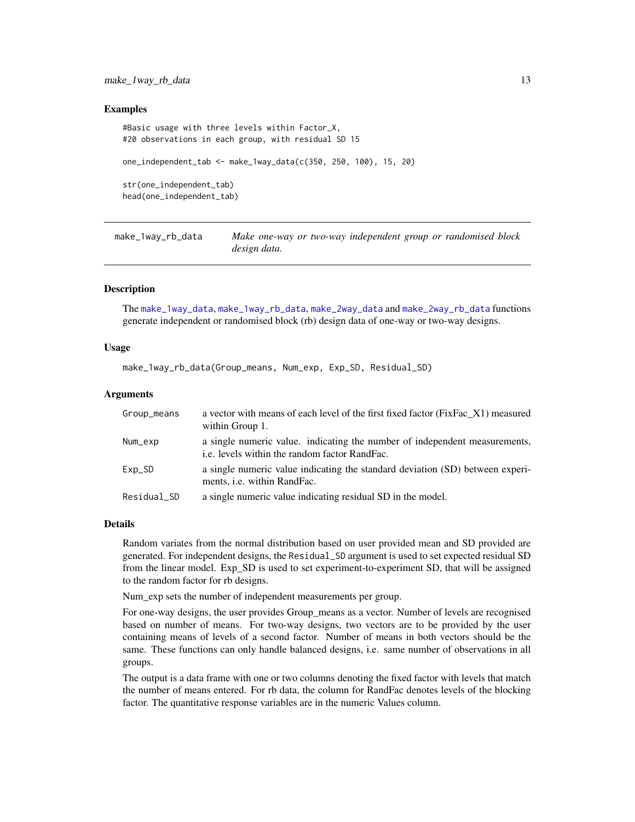## <span id="page-12-0"></span>Examples

```
#Basic usage with three levels within Factor_X,
#20 observations in each group, with residual SD 15
one_independent_tab <- make_1way_data(c(350, 250, 100), 15, 20)
str(one_independent_tab)
head(one_independent_tab)
```
<span id="page-12-1"></span>make\_1way\_rb\_data *Make one-way or two-way independent group or randomised block design data.*

## Description

The [make\\_1way\\_data](#page-11-1), [make\\_1way\\_rb\\_data](#page-12-1), [make\\_2way\\_data](#page-13-1) and [make\\_2way\\_rb\\_data](#page-14-1) functions generate independent or randomised block (rb) design data of one-way or two-way designs.

## Usage

make\_1way\_rb\_data(Group\_means, Num\_exp, Exp\_SD, Residual\_SD)

## Arguments

| Group_means | a vector with means of each level of the first fixed factor (FixFac_X1) measured<br>within Group 1.                         |
|-------------|-----------------------------------------------------------------------------------------------------------------------------|
| Num_exp     | a single numeric value. indicating the number of independent measurements,<br>i.e. levels within the random factor RandFac. |
| $Exp_SD$    | a single numeric value indicating the standard deviation (SD) between experi-<br>ments, <i>i.e.</i> within RandFac.         |
| Residual SD | a single numeric value indicating residual SD in the model.                                                                 |

#### Details

Random variates from the normal distribution based on user provided mean and SD provided are generated. For independent designs, the Residual\_SD argument is used to set expected residual SD from the linear model. Exp\_SD is used to set experiment-to-experiment SD, that will be assigned to the random factor for rb designs.

Num\_exp sets the number of independent measurements per group.

For one-way designs, the user provides Group\_means as a vector. Number of levels are recognised based on number of means. For two-way designs, two vectors are to be provided by the user containing means of levels of a second factor. Number of means in both vectors should be the same. These functions can only handle balanced designs, i.e. same number of observations in all groups.

The output is a data frame with one or two columns denoting the fixed factor with levels that match the number of means entered. For rb data, the column for RandFac denotes levels of the blocking factor. The quantitative response variables are in the numeric Values column.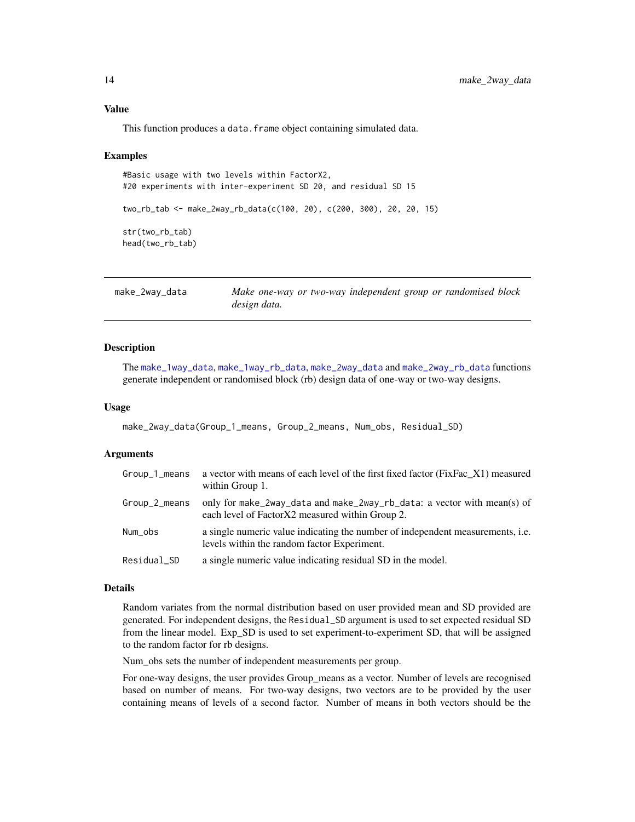# <span id="page-13-0"></span>Value

This function produces a data.frame object containing simulated data.

#### Examples

```
#Basic usage with two levels within FactorX2,
#20 experiments with inter-experiment SD 20, and residual SD 15
two_rb_tab <- make_2way_rb_data(c(100, 20), c(200, 300), 20, 20, 15)
str(two_rb_tab)
head(two_rb_tab)
```
<span id="page-13-1"></span>

| make_2way_data | Make one-way or two-way independent group or randomised block |  |  |  |
|----------------|---------------------------------------------------------------|--|--|--|
|                | design data.                                                  |  |  |  |

#### Description

The [make\\_1way\\_data](#page-11-1), [make\\_1way\\_rb\\_data](#page-12-1), [make\\_2way\\_data](#page-13-1) and [make\\_2way\\_rb\\_data](#page-14-1) functions generate independent or randomised block (rb) design data of one-way or two-way designs.

#### Usage

```
make_2way_data(Group_1_means, Group_2_means, Num_obs, Residual_SD)
```
#### Arguments

| Group_1_means | a vector with means of each level of the first fixed factor (FixFac_X1) measured<br>within Group 1.                                  |
|---------------|--------------------------------------------------------------------------------------------------------------------------------------|
| Group_2_means | only for make_2way_data and make_2way_rb_data: a vector with mean(s) of<br>each level of Factor X2 measured within Group 2.          |
| Num_obs       | a single numeric value indicating the number of independent measurements, <i>i.e.</i><br>levels within the random factor Experiment. |
| Residual_SD   | a single numeric value indicating residual SD in the model.                                                                          |

## Details

Random variates from the normal distribution based on user provided mean and SD provided are generated. For independent designs, the Residual\_SD argument is used to set expected residual SD from the linear model. Exp\_SD is used to set experiment-to-experiment SD, that will be assigned to the random factor for rb designs.

Num\_obs sets the number of independent measurements per group.

For one-way designs, the user provides Group\_means as a vector. Number of levels are recognised based on number of means. For two-way designs, two vectors are to be provided by the user containing means of levels of a second factor. Number of means in both vectors should be the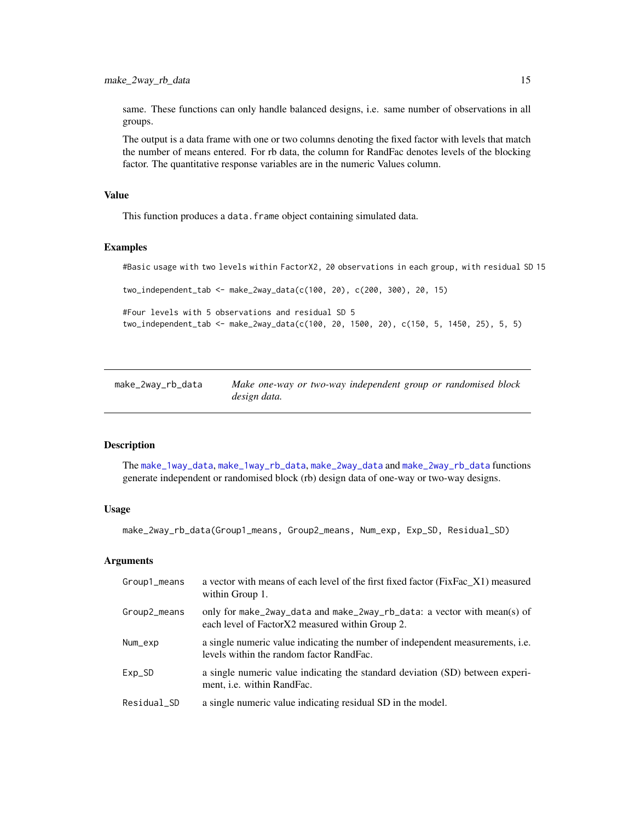<span id="page-14-0"></span>same. These functions can only handle balanced designs, i.e. same number of observations in all groups.

The output is a data frame with one or two columns denoting the fixed factor with levels that match the number of means entered. For rb data, the column for RandFac denotes levels of the blocking factor. The quantitative response variables are in the numeric Values column.

## Value

This function produces a data. frame object containing simulated data.

#### Examples

#Basic usage with two levels within FactorX2, 20 observations in each group, with residual SD 15

two\_independent\_tab <- make\_2way\_data(c(100, 20), c(200, 300), 20, 15)

```
#Four levels with 5 observations and residual SD 5
two_independent_tab <- make_2way_data(c(100, 20, 1500, 20), c(150, 5, 1450, 25), 5, 5)
```
<span id="page-14-1"></span>

| make_2way_rb_data | Make one-way or two-way independent group or randomised block |  |  |  |
|-------------------|---------------------------------------------------------------|--|--|--|
|                   | design data.                                                  |  |  |  |

# Description

The [make\\_1way\\_data](#page-11-1), [make\\_1way\\_rb\\_data](#page-12-1), [make\\_2way\\_data](#page-13-1) and [make\\_2way\\_rb\\_data](#page-14-1) functions generate independent or randomised block (rb) design data of one-way or two-way designs.

## Usage

make\_2way\_rb\_data(Group1\_means, Group2\_means, Num\_exp, Exp\_SD, Residual\_SD)

#### Arguments

| Group1_means | a vector with means of each level of the first fixed factor (FixFac_X1) measured<br>within Group 1.                               |
|--------------|-----------------------------------------------------------------------------------------------------------------------------------|
| Group2_means | only for make_2way_data and make_2way_rb_data: a vector with mean(s) of<br>each level of Factor X2 measured within Group 2.       |
| Num_exp      | a single numeric value indicating the number of independent measurements, <i>i.e.</i><br>levels within the random factor RandFac. |
| $Exp_SD$     | a single numeric value indicating the standard deviation (SD) between experi-<br>ment, <i>i.e.</i> within RandFac.                |
| Residual_SD  | a single numeric value indicating residual SD in the model.                                                                       |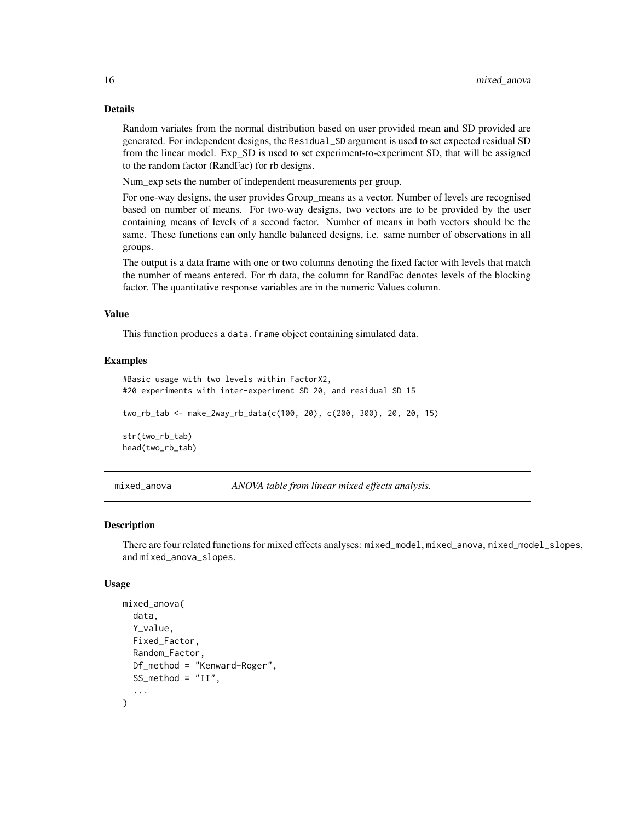# Details

Random variates from the normal distribution based on user provided mean and SD provided are generated. For independent designs, the Residual\_SD argument is used to set expected residual SD from the linear model. Exp\_SD is used to set experiment-to-experiment SD, that will be assigned to the random factor (RandFac) for rb designs.

Num\_exp sets the number of independent measurements per group.

For one-way designs, the user provides Group\_means as a vector. Number of levels are recognised based on number of means. For two-way designs, two vectors are to be provided by the user containing means of levels of a second factor. Number of means in both vectors should be the same. These functions can only handle balanced designs, i.e. same number of observations in all groups.

The output is a data frame with one or two columns denoting the fixed factor with levels that match the number of means entered. For rb data, the column for RandFac denotes levels of the blocking factor. The quantitative response variables are in the numeric Values column.

## Value

This function produces a data. frame object containing simulated data.

#### Examples

```
#Basic usage with two levels within FactorX2,
#20 experiments with inter-experiment SD 20, and residual SD 15
two_rb_tab <- make_2way_rb_data(c(100, 20), c(200, 300), 20, 20, 15)
str(two_rb_tab)
head(two_rb_tab)
```
<span id="page-15-1"></span>mixed\_anova *ANOVA table from linear mixed effects analysis.*

#### Description

There are four related functions for mixed effects analyses: mixed\_model, mixed\_anova, mixed\_model\_slopes, and mixed\_anova\_slopes.

#### Usage

```
mixed_anova(
  data,
  Y_value,
  Fixed_Factor,
  Random_Factor,
  Df_method = "Kenward-Roger",
  SS_method = "II",...
)
```
<span id="page-15-0"></span>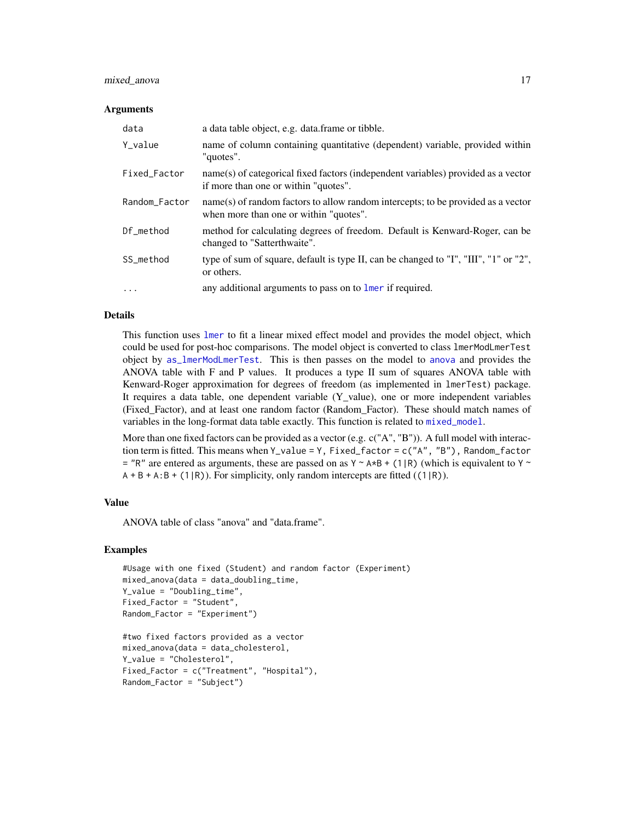# mixed\_anova 17

#### Arguments

| data          | a data table object, e.g. data.frame or tibble.                                                                            |
|---------------|----------------------------------------------------------------------------------------------------------------------------|
| Y_value       | name of column containing quantitative (dependent) variable, provided within<br>"quotes".                                  |
| Fixed_Factor  | name(s) of categorical fixed factors (independent variables) provided as a vector<br>if more than one or within "quotes".  |
| Random_Factor | name(s) of random factors to allow random intercepts; to be provided as a vector<br>when more than one or within "quotes". |
| Df_method     | method for calculating degrees of freedom. Default is Kenward-Roger, can be<br>changed to "Satterthwaite".                 |
| SS method     | type of sum of square, default is type II, can be changed to "I", "III", "1" or "2",<br>or others.                         |
| $\cdots$      | any additional arguments to pass on to lmer if required.                                                                   |

## Details

This function uses [lmer](#page-0-0) to fit a linear mixed effect model and provides the model object, which could be used for post-hoc comparisons. The model object is converted to class lmerModLmerTest object by [as\\_lmerModLmerTest](#page-0-0). This is then passes on the model to [anova](#page-0-0) and provides the ANOVA table with F and P values. It produces a type II sum of squares ANOVA table with Kenward-Roger approximation for degrees of freedom (as implemented in lmerTest) package. It requires a data table, one dependent variable (Y\_value), one or more independent variables (Fixed\_Factor), and at least one random factor (Random\_Factor). These should match names of variables in the long-format data table exactly. This function is related to [mixed\\_model](#page-18-1).

More than one fixed factors can be provided as a vector (e.g. c("A", "B")). A full model with interaction term is fitted. This means when Y\_value = Y, Fixed\_factor = c("A", "B"), Random\_factor  $=$  "R" are entered as arguments, these are passed on as Y ~ A\*B + (1|R) (which is equivalent to Y ~  $A + B + A:B + (1|R)$ ). For simplicity, only random intercepts are fitted ((1|R)).

# Value

ANOVA table of class "anova" and "data.frame".

#### Examples

```
#Usage with one fixed (Student) and random factor (Experiment)
mixed_anova(data = data_doubling_time,
Y_value = "Doubling_time",
Fixed_Factor = "Student",
Random_Factor = "Experiment")
#two fixed factors provided as a vector
mixed_anova(data = data_cholesterol,
```
Y\_value = "Cholesterol",

Fixed\_Factor = c("Treatment", "Hospital"), Random\_Factor = "Subject")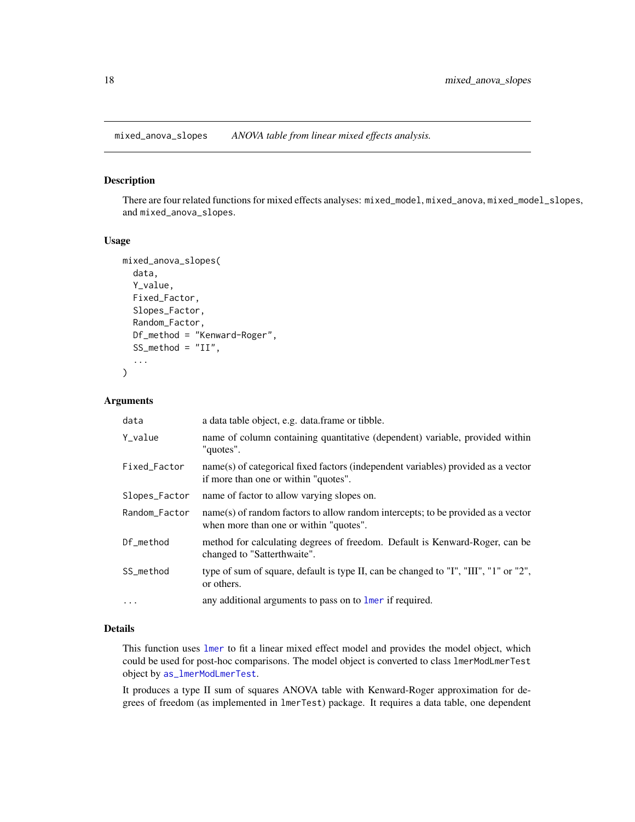<span id="page-17-1"></span><span id="page-17-0"></span>mixed\_anova\_slopes *ANOVA table from linear mixed effects analysis.*

## Description

There are four related functions for mixed effects analyses: mixed\_model, mixed\_anova, mixed\_model\_slopes, and mixed\_anova\_slopes.

## Usage

```
mixed_anova_slopes(
  data,
  Y_value,
  Fixed_Factor,
  Slopes_Factor,
  Random_Factor,
  Df_method = "Kenward-Roger",
  SS_method = "II",...
)
```
# Arguments

| data          | a data table object, e.g. data frame or tibble.                                                                            |
|---------------|----------------------------------------------------------------------------------------------------------------------------|
| Y_value       | name of column containing quantitative (dependent) variable, provided within<br>"quotes".                                  |
| Fixed_Factor  | name(s) of categorical fixed factors (independent variables) provided as a vector<br>if more than one or within "quotes".  |
| Slopes_Factor | name of factor to allow varying slopes on.                                                                                 |
| Random_Factor | name(s) of random factors to allow random intercepts; to be provided as a vector<br>when more than one or within "quotes". |
| Df method     | method for calculating degrees of freedom. Default is Kenward-Roger, can be<br>changed to "Satterthwaite".                 |
| SS_method     | type of sum of square, default is type II, can be changed to "I", "III", "1" or "2",<br>or others.                         |
| $\ddotsc$     | any additional arguments to pass on to lmer if required.                                                                   |

## Details

This function uses [lmer](#page-0-0) to fit a linear mixed effect model and provides the model object, which could be used for post-hoc comparisons. The model object is converted to class lmerModLmerTest object by [as\\_lmerModLmerTest](#page-0-0).

It produces a type II sum of squares ANOVA table with Kenward-Roger approximation for degrees of freedom (as implemented in lmerTest) package. It requires a data table, one dependent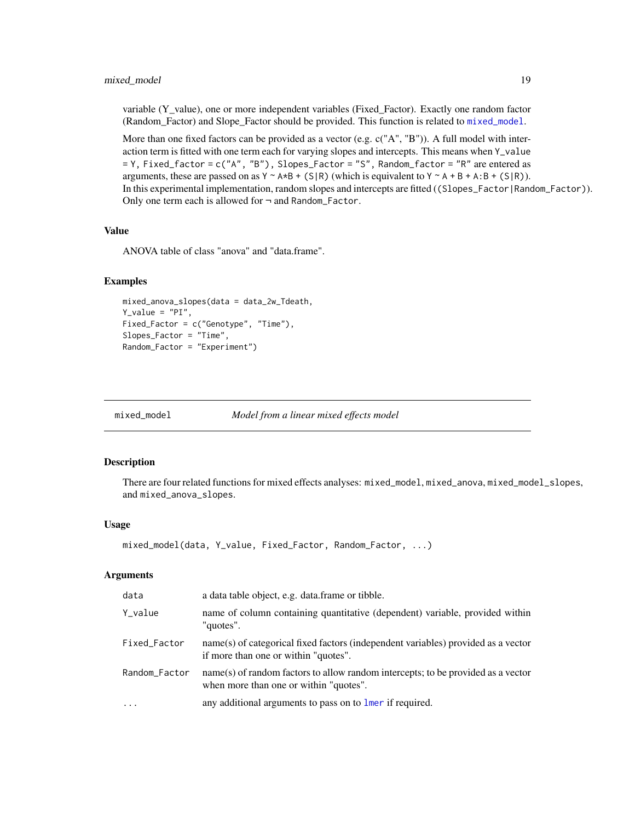## <span id="page-18-0"></span>mixed\_model 19

variable (Y\_value), one or more independent variables (Fixed\_Factor). Exactly one random factor (Random\_Factor) and Slope\_Factor should be provided. This function is related to [mixed\\_model](#page-18-1).

More than one fixed factors can be provided as a vector (e.g. c("A", "B")). A full model with interaction term is fitted with one term each for varying slopes and intercepts. This means when Y\_value = Y, Fixed\_factor = c("A", "B"), Slopes\_Factor = "S", Random\_factor = "R" are entered as arguments, these are passed on as  $Y \sim A*B + (S/R)$  (which is equivalent to  $Y \sim A + B + A:B + (S/R)$ ). In this experimental implementation, random slopes and intercepts are fitted ((Slopes\_Factor|Random\_Factor)). Only one term each is allowed for ¬ and Random\_Factor.

## Value

ANOVA table of class "anova" and "data.frame".

## Examples

```
mixed_anova_slopes(data = data_2w_Tdeath,
Y_value = "PI",Fixed_Factor = c("Genotype", "Time"),
Slopes_Factor = "Time",
Random_Factor = "Experiment")
```
<span id="page-18-1"></span>

mixed\_model *Model from a linear mixed effects model*

## Description

There are four related functions for mixed effects analyses: mixed\_model, mixed\_anova, mixed\_model\_slopes, and mixed\_anova\_slopes.

## Usage

```
mixed_model(data, Y_value, Fixed_Factor, Random_Factor, ...)
```
## Arguments

| data          | a data table object, e.g. data frame or tibble.                                                                            |
|---------------|----------------------------------------------------------------------------------------------------------------------------|
| Y_value       | name of column containing quantitative (dependent) variable, provided within<br>"quotes".                                  |
| Fixed_Factor  | name(s) of categorical fixed factors (independent variables) provided as a vector<br>if more than one or within "quotes".  |
| Random_Factor | name(s) of random factors to allow random intercepts; to be provided as a vector<br>when more than one or within "quotes". |
| $\cdots$      | any additional arguments to pass on to lmer if required.                                                                   |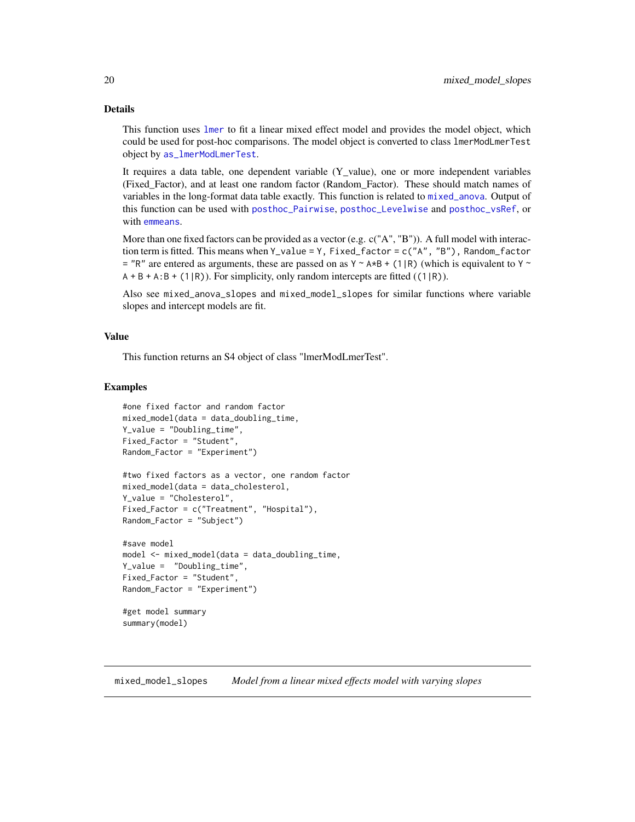# <span id="page-19-0"></span>Details

This function uses [lmer](#page-0-0) to fit a linear mixed effect model and provides the model object, which could be used for post-hoc comparisons. The model object is converted to class lmerModLmerTest object by [as\\_lmerModLmerTest](#page-0-0).

It requires a data table, one dependent variable (Y\_value), one or more independent variables (Fixed\_Factor), and at least one random factor (Random\_Factor). These should match names of variables in the long-format data table exactly. This function is related to [mixed\\_anova](#page-15-1). Output of this function can be used with [posthoc\\_Pairwise](#page-71-1), [posthoc\\_Levelwise](#page-70-1) and [posthoc\\_vsRef](#page-76-1), or with [emmeans](#page-0-0).

More than one fixed factors can be provided as a vector (e.g. c("A", "B")). A full model with interaction term is fitted. This means when Y\_value = Y, Fixed\_factor = c("A", "B"), Random\_factor  $=$  "R" are entered as arguments, these are passed on as Y ~ A\*B + (1|R) (which is equivalent to Y ~  $A + B + A:B + (1|R)$ . For simplicity, only random intercepts are fitted ((1|R)).

Also see mixed\_anova\_slopes and mixed\_model\_slopes for similar functions where variable slopes and intercept models are fit.

#### Value

This function returns an S4 object of class "lmerModLmerTest".

#### Examples

```
#one fixed factor and random factor
mixed_model(data = data_doubling_time,
Y_value = "Doubling_time",
Fixed_Factor = "Student",
Random_Factor = "Experiment")
```

```
#two fixed factors as a vector, one random factor
mixed_model(data = data_cholesterol,
Y_value = "Cholesterol",
Fixed_Factor = c("Treatment", "Hospital"),
Random_Factor = "Subject")
```

```
#save model
model <- mixed_model(data = data_doubling_time,
Y_value = "Doubling_time",
Fixed_Factor = "Student",
Random_Factor = "Experiment")
```

```
#get model summary
summary(model)
```
mixed\_model\_slopes *Model from a linear mixed effects model with varying slopes*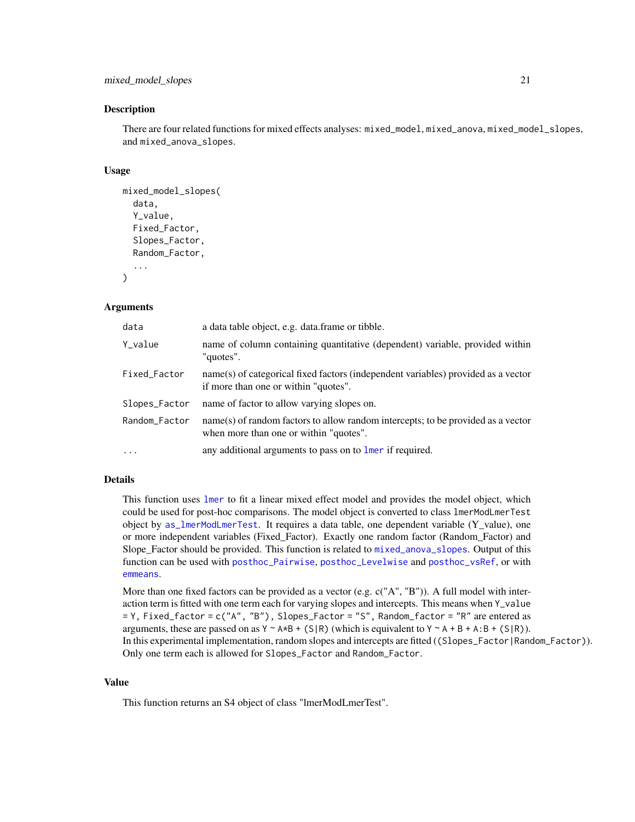```
mixed_model_slopes 21
```
## Description

There are four related functions for mixed effects analyses: mixed\_model, mixed\_anova, mixed\_model\_slopes, and mixed\_anova\_slopes.

## Usage

```
mixed_model_slopes(
  data,
  Y_value,
  Fixed_Factor,
  Slopes_Factor,
  Random_Factor,
  ...
\lambda
```
# Arguments

| data          | a data table object, e.g. data frame or tibble.                                                                            |
|---------------|----------------------------------------------------------------------------------------------------------------------------|
| Y_value       | name of column containing quantitative (dependent) variable, provided within<br>"quotes".                                  |
| Fixed_Factor  | name(s) of categorical fixed factors (independent variables) provided as a vector<br>if more than one or within "quotes".  |
| Slopes_Factor | name of factor to allow varying slopes on.                                                                                 |
| Random_Factor | name(s) of random factors to allow random intercepts; to be provided as a vector<br>when more than one or within "quotes". |
| $\cdots$      | any additional arguments to pass on to lmer if required.                                                                   |

# Details

This function uses [lmer](#page-0-0) to fit a linear mixed effect model and provides the model object, which could be used for post-hoc comparisons. The model object is converted to class lmerModLmerTest object by [as\\_lmerModLmerTest](#page-0-0). It requires a data table, one dependent variable (Y\_value), one or more independent variables (Fixed\_Factor). Exactly one random factor (Random\_Factor) and Slope Factor should be provided. This function is related to [mixed\\_anova\\_slopes](#page-17-1). Output of this function can be used with [posthoc\\_Pairwise](#page-71-1), [posthoc\\_Levelwise](#page-70-1) and [posthoc\\_vsRef](#page-76-1), or with [emmeans](#page-0-0).

More than one fixed factors can be provided as a vector (e.g.  $c("A", "B")$ ). A full model with interaction term is fitted with one term each for varying slopes and intercepts. This means when Y\_value = Y, Fixed\_factor = c("A", "B"), Slopes\_Factor = "S", Random\_factor = "R" are entered as arguments, these are passed on as  $Y \sim A \star B + (S/R)$  (which is equivalent to  $Y \sim A + B + A:B + (S/R)$ ). In this experimental implementation, random slopes and intercepts are fitted ((Slopes\_Factor|Random\_Factor)). Only one term each is allowed for Slopes\_Factor and Random\_Factor.

#### Value

This function returns an S4 object of class "lmerModLmerTest".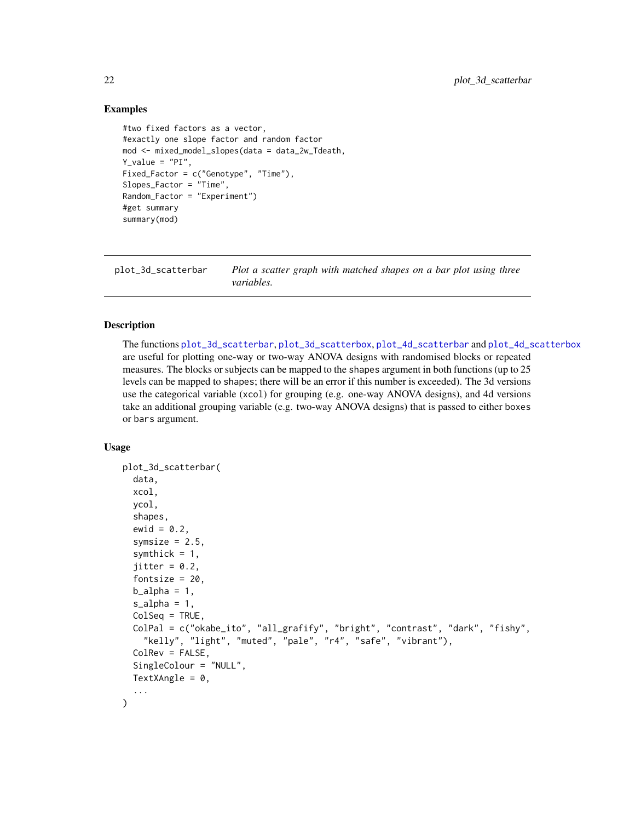## Examples

```
#two fixed factors as a vector,
#exactly one slope factor and random factor
mod <- mixed_model_slopes(data = data_2w_Tdeath,
Y_value = "PI",Fixed_Factor = c("Genotype", "Time"),
Slopes_Factor = "Time",
Random_Factor = "Experiment")
#get summary
summary(mod)
```
<span id="page-21-1"></span>plot\_3d\_scatterbar *Plot a scatter graph with matched shapes on a bar plot using three variables.*

## Description

The functions [plot\\_3d\\_scatterbar](#page-21-1), [plot\\_3d\\_scatterbox](#page-23-1), [plot\\_4d\\_scatterbar](#page-29-1) and [plot\\_4d\\_scatterbox](#page-31-1) are useful for plotting one-way or two-way ANOVA designs with randomised blocks or repeated measures. The blocks or subjects can be mapped to the shapes argument in both functions (up to 25 levels can be mapped to shapes; there will be an error if this number is exceeded). The 3d versions use the categorical variable (xcol) for grouping (e.g. one-way ANOVA designs), and 4d versions take an additional grouping variable (e.g. two-way ANOVA designs) that is passed to either boxes or bars argument.

### Usage

```
plot_3d_scatterbar(
  data,
  xcol,
  ycol,
  shapes,
  ewid = 0.2,
  symsize = 2.5,
  symthick = 1,
  jitter = 0.2,
  fontsize = 20,
  b_alpha = 1,
  s_alpha = 1,
  ColSeq = TRUE,ColPal = c("okabe_ito", "all_grafify", "bright", "contrast", "dark", "fishy",
    "kelly", "light", "muted", "pale", "r4", "safe", "vibrant"),
  ColRev = FALSE,
  SingleColour = "NULL",
  TextXAngle = 0,
  ...
)
```
<span id="page-21-0"></span>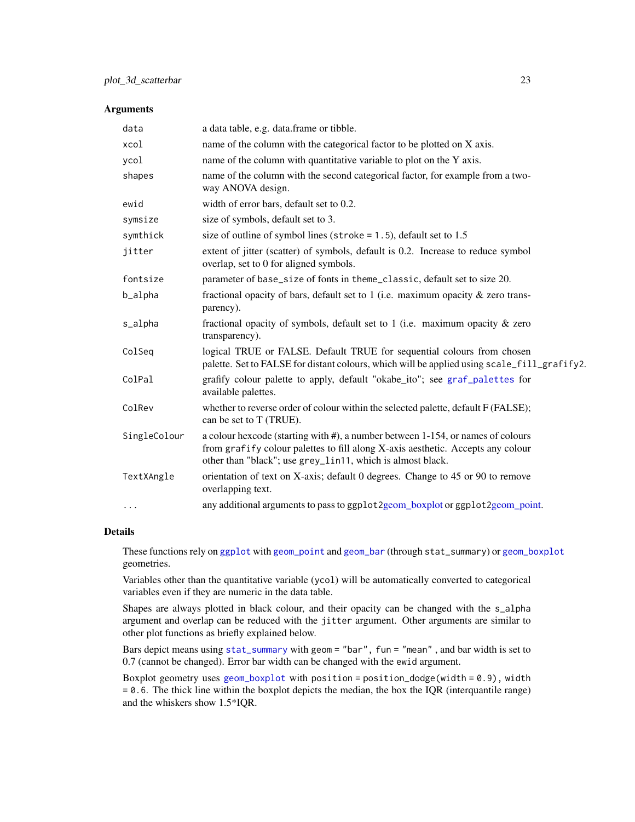#### Arguments

| data         | a data table, e.g. data.frame or tibble.                                                                                                                                                                                         |
|--------------|----------------------------------------------------------------------------------------------------------------------------------------------------------------------------------------------------------------------------------|
| xcol         | name of the column with the categorical factor to be plotted on X axis.                                                                                                                                                          |
| ycol         | name of the column with quantitative variable to plot on the Y axis.                                                                                                                                                             |
| shapes       | name of the column with the second categorical factor, for example from a two-<br>way ANOVA design.                                                                                                                              |
| ewid         | width of error bars, default set to 0.2.                                                                                                                                                                                         |
| symsize      | size of symbols, default set to 3.                                                                                                                                                                                               |
| symthick     | size of outline of symbol lines (stroke = $1.5$ ), default set to 1.5                                                                                                                                                            |
| jitter       | extent of jitter (scatter) of symbols, default is 0.2. Increase to reduce symbol<br>overlap, set to 0 for aligned symbols.                                                                                                       |
| fontsize     | parameter of base_size of fonts in theme_classic, default set to size 20.                                                                                                                                                        |
| b_alpha      | fractional opacity of bars, default set to 1 (i.e. maximum opacity $\&$ zero trans-<br>parency).                                                                                                                                 |
| s_alpha      | fractional opacity of symbols, default set to 1 (i.e. maximum opacity $\&$ zero<br>transparency).                                                                                                                                |
| ColSeq       | logical TRUE or FALSE. Default TRUE for sequential colours from chosen<br>palette. Set to FALSE for distant colours, which will be applied using scale_fill_grafify2.                                                            |
| ColPal       | grafify colour palette to apply, default "okabe_ito"; see graf_palettes for<br>available palettes.                                                                                                                               |
| ColRev       | whether to reverse order of colour within the selected palette, default F (FALSE);<br>can be set to T (TRUE).                                                                                                                    |
| SingleColour | a colour hexcode (starting with #), a number between 1-154, or names of colours<br>from grafify colour palettes to fill along X-axis aesthetic. Accepts any colour<br>other than "black"; use grey_lin11, which is almost black. |
| TextXAngle   | orientation of text on X-axis; default 0 degrees. Change to 45 or 90 to remove<br>overlapping text.                                                                                                                              |
| $\cdots$     | any additional arguments to pass to ggplot2geom_boxplot or ggplot2geom_point.                                                                                                                                                    |

## Details

These functions rely on [ggplot](#page-0-0) with [geom\\_point](#page-0-0) and [geom\\_bar](#page-0-0) (through stat\_summary) or [geom\\_boxplot](#page-0-0) geometries.

Variables other than the quantitative variable (ycol) will be automatically converted to categorical variables even if they are numeric in the data table.

Shapes are always plotted in black colour, and their opacity can be changed with the s\_alpha argument and overlap can be reduced with the jitter argument. Other arguments are similar to other plot functions as briefly explained below.

Bars depict means using [stat\\_summary](#page-0-0) with geom = "bar", fun = "mean" , and bar width is set to 0.7 (cannot be changed). Error bar width can be changed with the ewid argument.

Boxplot geometry uses [geom\\_boxplot](#page-0-0) with position = position\_dodge(width = 0.9), width = 0.6. The thick line within the boxplot depicts the median, the box the IQR (interquantile range) and the whiskers show 1.5\*IQR.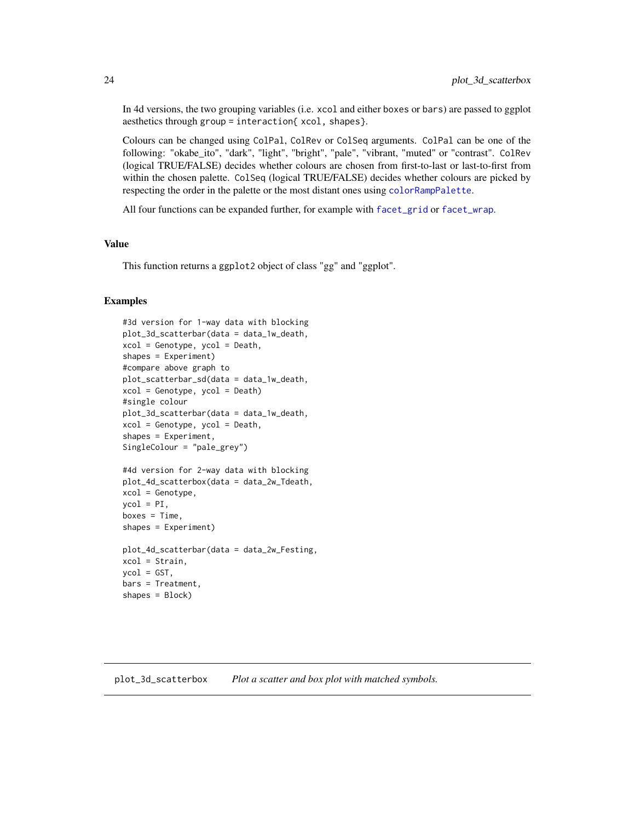In 4d versions, the two grouping variables (i.e. xcol and either boxes or bars) are passed to ggplot aesthetics through group = interaction{ xcol, shapes}.

Colours can be changed using ColPal, ColRev or ColSeq arguments. ColPal can be one of the following: "okabe\_ito", "dark", "light", "bright", "pale", "vibrant, "muted" or "contrast". ColRev (logical TRUE/FALSE) decides whether colours are chosen from first-to-last or last-to-first from within the chosen palette. ColSeq (logical TRUE/FALSE) decides whether colours are picked by respecting the order in the palette or the most distant ones using [colorRampPalette](#page-0-0).

All four functions can be expanded further, for example with [facet\\_grid](#page-0-0) or [facet\\_wrap](#page-0-0).

## Value

This function returns a ggplot2 object of class "gg" and "ggplot".

## Examples

```
#3d version for 1-way data with blocking
plot_3d_scatterbar(data = data_1w_death,
xcol = Genotype, ycol = Death,
shapes = Experiment)
#compare above graph to
plot_scatterbar_sd(data = data_1w_death,
xcol = Genotype, ycol = Death)
#single colour
plot_3d_scatterbar(data = data_1w_death,
xcol = Genotype, ycol = Death,
shapes = Experiment,
SingleColour = "pale_grey")
#4d version for 2-way data with blocking
plot_4d_scatterbox(data = data_2w_Tdeath,
xcol = Genotype,
\text{vcol} = \text{PI},
boxes = Time,
shapes = Experiment)
plot_4d_scatterbar(data = data_2w_Festing,
xcol = Strain,
ycol = GST,
```
bars = Treatment, shapes = Block)

<span id="page-23-1"></span>plot\_3d\_scatterbox *Plot a scatter and box plot with matched symbols.*

<span id="page-23-0"></span>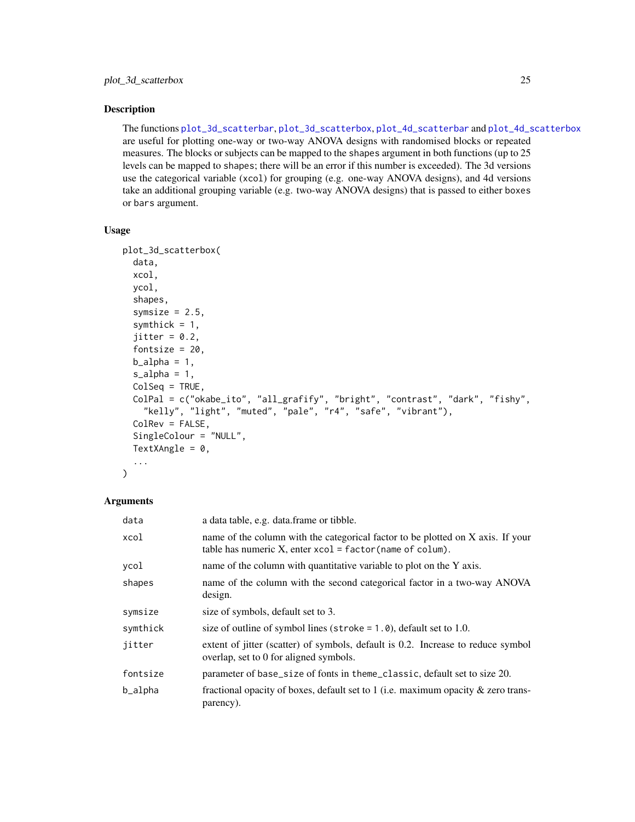## Description

The functions [plot\\_3d\\_scatterbar](#page-21-1), [plot\\_3d\\_scatterbox](#page-23-1), [plot\\_4d\\_scatterbar](#page-29-1) and [plot\\_4d\\_scatterbox](#page-31-1) are useful for plotting one-way or two-way ANOVA designs with randomised blocks or repeated measures. The blocks or subjects can be mapped to the shapes argument in both functions (up to 25 levels can be mapped to shapes; there will be an error if this number is exceeded). The 3d versions use the categorical variable (xcol) for grouping (e.g. one-way ANOVA designs), and 4d versions take an additional grouping variable (e.g. two-way ANOVA designs) that is passed to either boxes or bars argument.

## Usage

```
plot_3d_scatterbox(
  data,
  xcol,
  ycol,
  shapes,
  symsize = 2.5,
  symthick = 1,
  jitter = 0.2,
  fontsize = 20,
  b_alpha = 1,
  s<sup>2</sup>lpha = 1,
  ColSeq = TRUE,ColPal = c("okabe_ito", "all_grafify", "bright", "contrast", "dark", "fishy",
    "kelly", "light", "muted", "pale", "r4", "safe", "vibrant"),
  ColRev = FALSE,SingleColour = "NULL",
  TextXAngle = 0,
  ...
)
```
## Arguments

| data     | a data table, e.g. data.frame or tibble.                                                                                                           |
|----------|----------------------------------------------------------------------------------------------------------------------------------------------------|
| xcol     | name of the column with the categorical factor to be plotted on X axis. If your<br>table has numeric $X$ , enter $xcol = factor(name of column)$ . |
| ycol     | name of the column with quantitative variable to plot on the Y axis.                                                                               |
| shapes   | name of the column with the second categorical factor in a two-way ANOVA<br>design.                                                                |
| symsize  | size of symbols, default set to 3.                                                                                                                 |
| symthick | size of outline of symbol lines (stroke $= 1.0$ ), default set to 1.0.                                                                             |
| jitter   | extent of jitter (scatter) of symbols, default is 0.2. Increase to reduce symbol<br>overlap, set to 0 for aligned symbols.                         |
| fontsize | parameter of base_size of fonts in theme_classic, default set to size 20.                                                                          |
| b_alpha  | fractional opacity of boxes, default set to 1 (i.e. maximum opacity $\&$ zero trans-<br>parency).                                                  |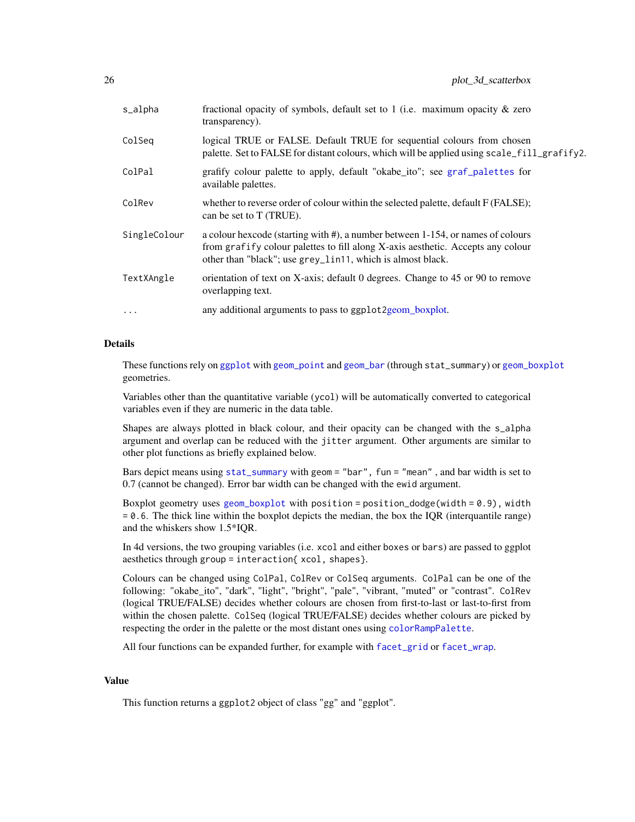| s_alpha      | fractional opacity of symbols, default set to 1 (i.e. maximum opacity $\&$ zero<br>transparency).                                                                                                                                |
|--------------|----------------------------------------------------------------------------------------------------------------------------------------------------------------------------------------------------------------------------------|
| ColSeg       | logical TRUE or FALSE. Default TRUE for sequential colours from chosen<br>palette. Set to FALSE for distant colours, which will be applied using scale_fill_grafify2.                                                            |
| ColPal       | grafify colour palette to apply, default "okabe_ito"; see graf_palettes for<br>available palettes.                                                                                                                               |
| ColRev       | whether to reverse order of colour within the selected palette, default F (FALSE);<br>can be set to T (TRUE).                                                                                                                    |
| SingleColour | a colour hexcode (starting with #), a number between 1-154, or names of colours<br>from grafify colour palettes to fill along X-axis aesthetic. Accepts any colour<br>other than "black"; use grey_lin11, which is almost black. |
| TextXAngle   | orientation of text on X-axis; default 0 degrees. Change to 45 or 90 to remove<br>overlapping text.                                                                                                                              |
| $\cdots$     | any additional arguments to pass to ggplot2geom_boxplot.                                                                                                                                                                         |

# Details

These functions rely on [ggplot](#page-0-0) with [geom\\_point](#page-0-0) and [geom\\_bar](#page-0-0) (through stat\_summary) or [geom\\_boxplot](#page-0-0) geometries.

Variables other than the quantitative variable (ycol) will be automatically converted to categorical variables even if they are numeric in the data table.

Shapes are always plotted in black colour, and their opacity can be changed with the s\_alpha argument and overlap can be reduced with the jitter argument. Other arguments are similar to other plot functions as briefly explained below.

Bars depict means using [stat\\_summary](#page-0-0) with geom = "bar", fun = "mean" , and bar width is set to 0.7 (cannot be changed). Error bar width can be changed with the ewid argument.

Boxplot geometry uses [geom\\_boxplot](#page-0-0) with position = position\_dodge(width =  $0.9$ ), width = 0.6. The thick line within the boxplot depicts the median, the box the IQR (interquantile range) and the whiskers show 1.5\*IQR.

In 4d versions, the two grouping variables (i.e. xcol and either boxes or bars) are passed to ggplot aesthetics through group = interaction{ xcol, shapes}.

Colours can be changed using ColPal, ColRev or ColSeq arguments. ColPal can be one of the following: "okabe\_ito", "dark", "light", "bright", "pale", "vibrant, "muted" or "contrast". ColRev (logical TRUE/FALSE) decides whether colours are chosen from first-to-last or last-to-first from within the chosen palette. ColSeq (logical TRUE/FALSE) decides whether colours are picked by respecting the order in the palette or the most distant ones using [colorRampPalette](#page-0-0).

All four functions can be expanded further, for example with [facet\\_grid](#page-0-0) or [facet\\_wrap](#page-0-0).

# Value

This function returns a ggplot2 object of class "gg" and "ggplot".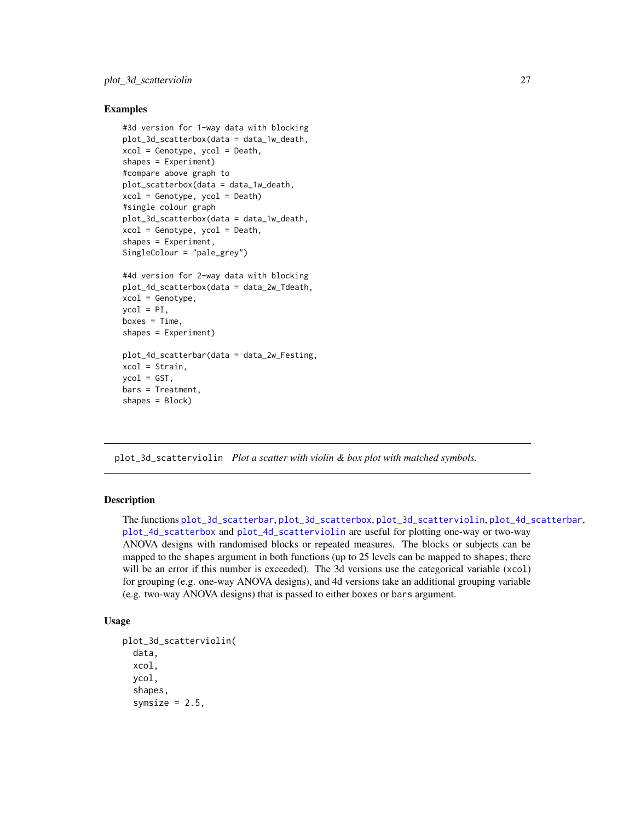## <span id="page-26-0"></span>Examples

```
#3d version for 1-way data with blocking
plot_3d_scatterbox(data = data_1w_death,
xcol = Genotype, ycol = Death,
shapes = Experiment)
#compare above graph to
plot_scatterbox(data = data_1w_death,
xcol = Genotype, ycol = Death)
#single colour graph
plot_3d_scatterbox(data = data_1w_death,
xcol = Genotype, ycol = Death,
shapes = Experiment,
SingleColour = "pale_grey")
#4d version for 2-way data with blocking
plot_4d_scatterbox(data = data_2w_Tdeath,
xcol = Genotype,
ycol = PI,
boxes = Time.
shapes = Experiment)
plot_4d_scatterbar(data = data_2w_Festing,
xcol = Strain,
ycol = GST,
bars = Treatment,
shapes = Block)
```
<span id="page-26-1"></span>plot\_3d\_scatterviolin *Plot a scatter with violin & box plot with matched symbols.*

## Description

The functions [plot\\_3d\\_scatterbar](#page-21-1), [plot\\_3d\\_scatterbox](#page-23-1), [plot\\_3d\\_scatterviolin](#page-26-1), [plot\\_4d\\_scatterbar](#page-29-1), [plot\\_4d\\_scatterbox](#page-31-1) and [plot\\_4d\\_scatterviolin](#page-34-1) are useful for plotting one-way or two-way ANOVA designs with randomised blocks or repeated measures. The blocks or subjects can be mapped to the shapes argument in both functions (up to 25 levels can be mapped to shapes; there will be an error if this number is exceeded). The 3d versions use the categorical variable (xcol) for grouping (e.g. one-way ANOVA designs), and 4d versions take an additional grouping variable (e.g. two-way ANOVA designs) that is passed to either boxes or bars argument.

## Usage

```
plot_3d_scatterviolin(
  data,
  xcol,
  ycol,
  shapes,
  symsize = 2.5,
```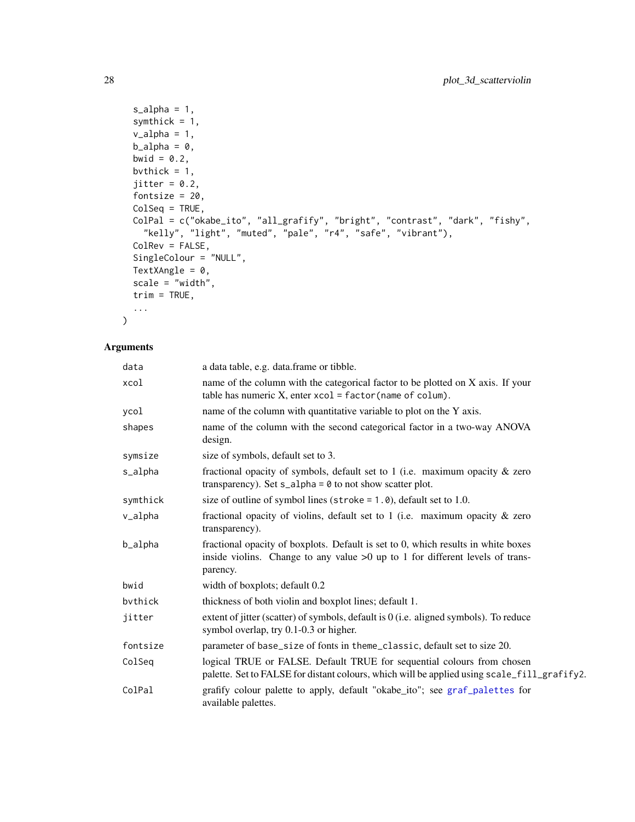```
s<sup>-alpha = 1,</sup>
symthick = 1,
v_\text{alpha} = 1,
b_21pha = 0,
bwid = 0.2,
bvthick = 1,
jitter = 0.2,
fontsize = 20,
ColSeq = TRUE,
ColPal = c("okabe_ito", "all_grafify", "bright", "contrast", "dark", "fishy",
  "kelly", "light", "muted", "pale", "r4", "safe", "vibrant"),
ColRev = FALSE,
SingleColour = "NULL",
TextXAngle = 0,
scale = "width",
trim = TRUE,
...
```
# Arguments

 $\mathcal{L}$ 

| data     | a data table, e.g. data.frame or tibble.                                                                                                                                         |
|----------|----------------------------------------------------------------------------------------------------------------------------------------------------------------------------------|
| xcol     | name of the column with the categorical factor to be plotted on X axis. If your<br>table has numeric X, enter $xcol = factor(name of column)$ .                                  |
| ycol     | name of the column with quantitative variable to plot on the Y axis.                                                                                                             |
| shapes   | name of the column with the second categorical factor in a two-way ANOVA<br>design.                                                                                              |
| symsize  | size of symbols, default set to 3.                                                                                                                                               |
| s_alpha  | fractional opacity of symbols, default set to 1 (i.e. maximum opacity $\&$ zero<br>transparency). Set $s$ _alpha = $\theta$ to not show scatter plot.                            |
| symthick | size of outline of symbol lines (stroke = $1.0$ ), default set to 1.0.                                                                                                           |
| v_alpha  | fractional opacity of violins, default set to $1$ (i.e. maximum opacity $\&$ zero<br>transparency).                                                                              |
| b_alpha  | fractional opacity of boxplots. Default is set to 0, which results in white boxes<br>inside violins. Change to any value $>0$ up to 1 for different levels of trans-<br>parency. |
| bwid     | width of boxplots; default 0.2                                                                                                                                                   |
| bvthick  | thickness of both violin and boxplot lines; default 1.                                                                                                                           |
| jitter   | extent of jitter (scatter) of symbols, default is $0$ (i.e. aligned symbols). To reduce<br>symbol overlap, try 0.1-0.3 or higher.                                                |
| fontsize | parameter of base_size of fonts in theme_classic, default set to size 20.                                                                                                        |
| ColSeq   | logical TRUE or FALSE. Default TRUE for sequential colours from chosen<br>palette. Set to FALSE for distant colours, which will be applied using scale_fill_grafify2.            |
| ColPal   | grafify colour palette to apply, default "okabe_ito"; see graf_palettes for<br>available palettes.                                                                               |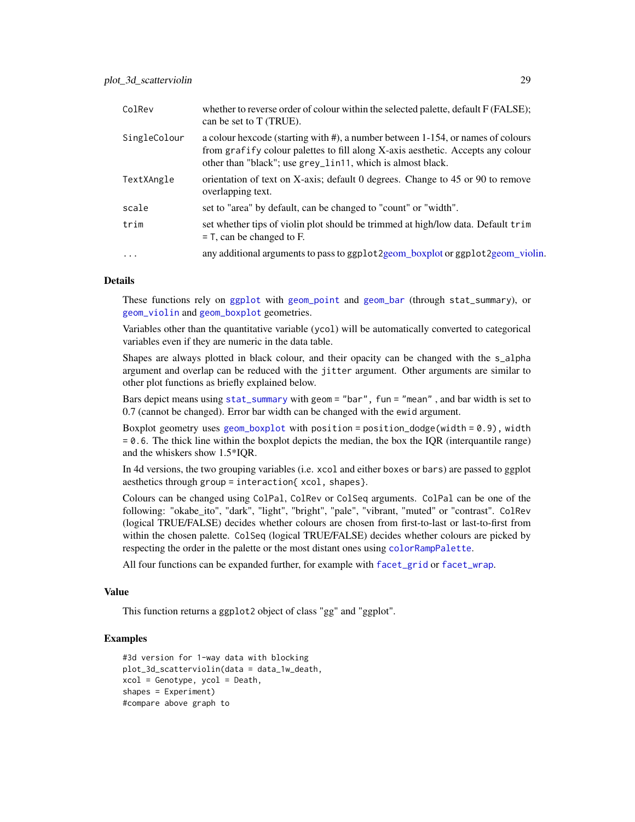| ColRev       | whether to reverse order of colour within the selected palette, default F (FALSE);<br>can be set to T (TRUE).                                                                                                                    |
|--------------|----------------------------------------------------------------------------------------------------------------------------------------------------------------------------------------------------------------------------------|
| SingleColour | a colour hexcode (starting with #), a number between 1-154, or names of colours<br>from grafify colour palettes to fill along X-axis aesthetic. Accepts any colour<br>other than "black"; use grey_lin11, which is almost black. |
| TextXAngle   | orientation of text on X-axis; default 0 degrees. Change to 45 or 90 to remove<br>overlapping text.                                                                                                                              |
| scale        | set to "area" by default, can be changed to "count" or "width".                                                                                                                                                                  |
| trim         | set whether tips of violin plot should be trimmed at high/low data. Default trim<br>$=$ T, can be changed to F.                                                                                                                  |
| $\cdots$     | any additional arguments to pass to ggplot 2 geom_boxplot or ggplot 2 geom_violin.                                                                                                                                               |

# Details

These functions rely on [ggplot](#page-0-0) with [geom\\_point](#page-0-0) and [geom\\_bar](#page-0-0) (through stat\_summary), or [geom\\_violin](#page-0-0) and [geom\\_boxplot](#page-0-0) geometries.

Variables other than the quantitative variable (ycol) will be automatically converted to categorical variables even if they are numeric in the data table.

Shapes are always plotted in black colour, and their opacity can be changed with the s\_alpha argument and overlap can be reduced with the jitter argument. Other arguments are similar to other plot functions as briefly explained below.

Bars depict means using [stat\\_summary](#page-0-0) with geom = "bar", fun = "mean" , and bar width is set to 0.7 (cannot be changed). Error bar width can be changed with the ewid argument.

Boxplot geometry uses [geom\\_boxplot](#page-0-0) with position = position\_dodge(width =  $0.9$ ), width = 0.6. The thick line within the boxplot depicts the median, the box the IQR (interquantile range) and the whiskers show 1.5\*IQR.

In 4d versions, the two grouping variables (i.e. xcol and either boxes or bars) are passed to ggplot aesthetics through group = interaction{ xcol, shapes}.

Colours can be changed using ColPal, ColRev or ColSeq arguments. ColPal can be one of the following: "okabe\_ito", "dark", "light", "bright", "pale", "vibrant, "muted" or "contrast". ColRev (logical TRUE/FALSE) decides whether colours are chosen from first-to-last or last-to-first from within the chosen palette. ColSeq (logical TRUE/FALSE) decides whether colours are picked by respecting the order in the palette or the most distant ones using [colorRampPalette](#page-0-0).

All four functions can be expanded further, for example with [facet\\_grid](#page-0-0) or [facet\\_wrap](#page-0-0).

## Value

This function returns a ggplot2 object of class "gg" and "ggplot".

# **Examples**

```
#3d version for 1-way data with blocking
plot_3d_scatterviolin(data = data_1w_death,
xcol = Genotype, ycol = Death,
shapes = Experiment)
#compare above graph to
```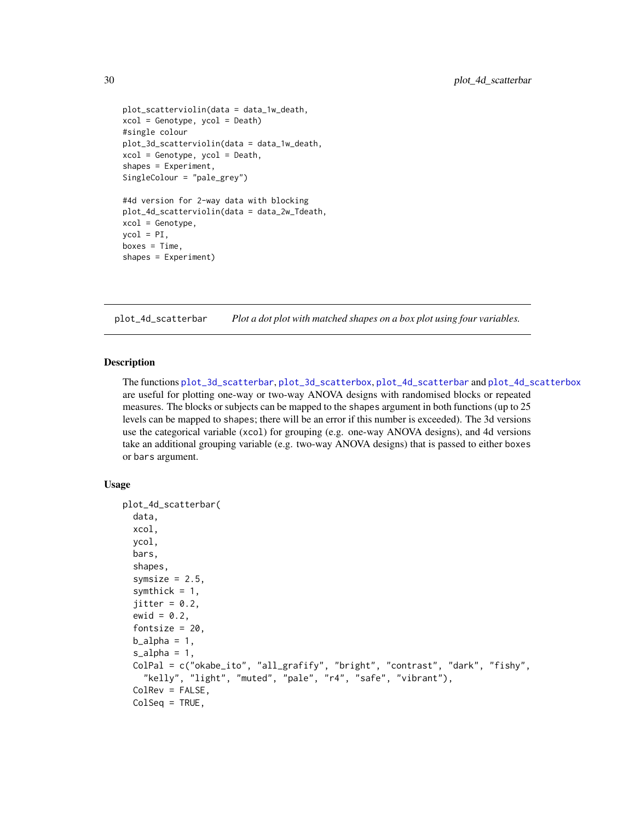```
plot_scatterviolin(data = data_1w_death,
xcol = Genotype, ycol = Death)
#single colour
plot_3d_scatterviolin(data = data_1w_death,
xcol = Genotype, ycol = Death,
shapes = Experiment,
SingleColour = "pale_grey")
#4d version for 2-way data with blocking
plot_4d_scatterviolin(data = data_2w_Tdeath,
xcol = Genotype,
ycol = PI,
boxes = Time,shapes = Experiment)
```
<span id="page-29-1"></span>plot\_4d\_scatterbar *Plot a dot plot with matched shapes on a box plot using four variables.*

## Description

The functions [plot\\_3d\\_scatterbar](#page-21-1), [plot\\_3d\\_scatterbox](#page-23-1), [plot\\_4d\\_scatterbar](#page-29-1) and [plot\\_4d\\_scatterbox](#page-31-1) are useful for plotting one-way or two-way ANOVA designs with randomised blocks or repeated measures. The blocks or subjects can be mapped to the shapes argument in both functions (up to 25 levels can be mapped to shapes; there will be an error if this number is exceeded). The 3d versions use the categorical variable (xcol) for grouping (e.g. one-way ANOVA designs), and 4d versions take an additional grouping variable (e.g. two-way ANOVA designs) that is passed to either boxes or bars argument.

## Usage

```
plot_4d_scatterbar(
  data,
  xcol,
  ycol,
  bars,
  shapes,
  symsize = 2.5,
  symthick = 1,
  jitter = 0.2,ewid = 0.2,
  fontsize = 20,
  b<sub>-alpha</sub> = 1,
  s<sup>2</sup>J<sub>2</sub>h<sub>a</sub> = 1,
  ColPal = c("okabe_ito", "all_grafify", "bright", "contrast", "dark", "fishy",
    "kelly", "light", "muted", "pale", "r4", "safe", "vibrant"),
  ColRev = FALSE,
  ColSeq = TRUE,
```
<span id="page-29-0"></span>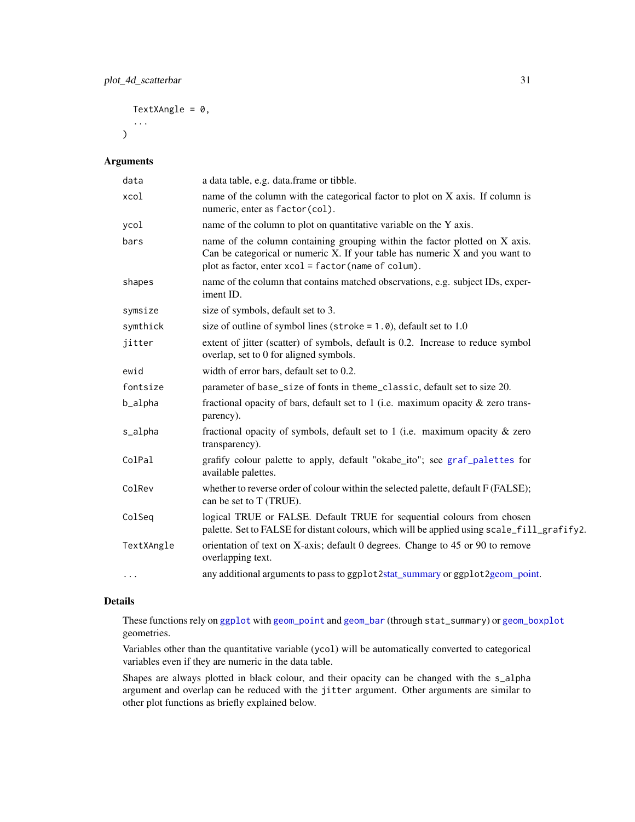TextXAngle =  $0$ ,

...  $\mathcal{L}$ 

## Arguments

| data       | a data table, e.g. data.frame or tibble.                                                                                                                                                                              |
|------------|-----------------------------------------------------------------------------------------------------------------------------------------------------------------------------------------------------------------------|
| xcol       | name of the column with the categorical factor to plot on X axis. If column is<br>numeric, enter as factor(col).                                                                                                      |
| ycol       | name of the column to plot on quantitative variable on the Y axis.                                                                                                                                                    |
| bars       | name of the column containing grouping within the factor plotted on X axis.<br>Can be categorical or numeric X. If your table has numeric $X$ and you want to<br>plot as factor, enter xcol = factor (name of colum). |
| shapes     | name of the column that contains matched observations, e.g. subject IDs, exper-<br>iment ID.                                                                                                                          |
| symsize    | size of symbols, default set to 3.                                                                                                                                                                                    |
| symthick   | size of outline of symbol lines (stroke = $1.0$ ), default set to 1.0                                                                                                                                                 |
| jitter     | extent of jitter (scatter) of symbols, default is 0.2. Increase to reduce symbol<br>overlap, set to 0 for aligned symbols.                                                                                            |
| ewid       | width of error bars, default set to 0.2.                                                                                                                                                                              |
| fontsize   | parameter of base_size of fonts in theme_classic, default set to size 20.                                                                                                                                             |
| b_alpha    | fractional opacity of bars, default set to 1 (i.e. maximum opacity $\&$ zero trans-<br>parency).                                                                                                                      |
| s_alpha    | fractional opacity of symbols, default set to 1 (i.e. maximum opacity $\&$ zero<br>transparency).                                                                                                                     |
| ColPal     | grafify colour palette to apply, default "okabe_ito"; see graf_palettes for<br>available palettes.                                                                                                                    |
| ColRev     | whether to reverse order of colour within the selected palette, default F (FALSE);<br>can be set to T (TRUE).                                                                                                         |
| ColSeq     | logical TRUE or FALSE. Default TRUE for sequential colours from chosen<br>palette. Set to FALSE for distant colours, which will be applied using scale_fill_grafify2.                                                 |
| TextXAngle | orientation of text on X-axis; default 0 degrees. Change to 45 or 90 to remove<br>overlapping text.                                                                                                                   |
| $\cdots$   | any additional arguments to pass to ggplot2stat_summary or ggplot2geom_point.                                                                                                                                         |

# Details

These functions rely on [ggplot](#page-0-0) with [geom\\_point](#page-0-0) and [geom\\_bar](#page-0-0) (through stat\_summary) or [geom\\_boxplot](#page-0-0) geometries.

Variables other than the quantitative variable (ycol) will be automatically converted to categorical variables even if they are numeric in the data table.

Shapes are always plotted in black colour, and their opacity can be changed with the s\_alpha argument and overlap can be reduced with the jitter argument. Other arguments are similar to other plot functions as briefly explained below.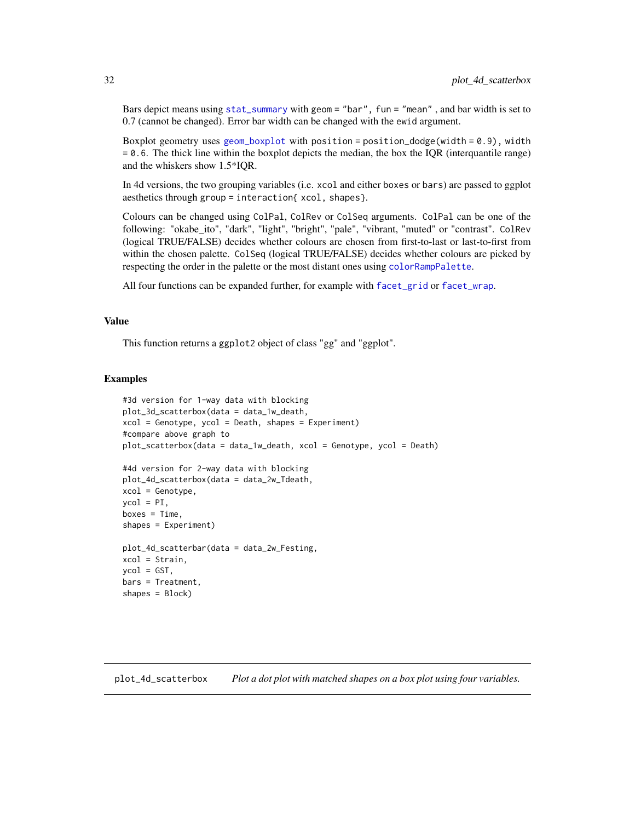<span id="page-31-0"></span>Bars depict means using [stat\\_summary](#page-0-0) with geom = "bar", fun = "mean" , and bar width is set to 0.7 (cannot be changed). Error bar width can be changed with the ewid argument.

Boxplot geometry uses [geom\\_boxplot](#page-0-0) with position = position\_dodge(width =  $0.9$ ), width = 0.6. The thick line within the boxplot depicts the median, the box the IQR (interquantile range) and the whiskers show 1.5\*IQR.

In 4d versions, the two grouping variables (i.e. xcol and either boxes or bars) are passed to ggplot aesthetics through group = interaction{ xcol, shapes}.

Colours can be changed using ColPal, ColRev or ColSeq arguments. ColPal can be one of the following: "okabe\_ito", "dark", "light", "bright", "pale", "vibrant, "muted" or "contrast". ColRev (logical TRUE/FALSE) decides whether colours are chosen from first-to-last or last-to-first from within the chosen palette. ColSeq (logical TRUE/FALSE) decides whether colours are picked by respecting the order in the palette or the most distant ones using [colorRampPalette](#page-0-0).

All four functions can be expanded further, for example with [facet\\_grid](#page-0-0) or [facet\\_wrap](#page-0-0).

## Value

This function returns a ggplot2 object of class "gg" and "ggplot".

#### Examples

```
#3d version for 1-way data with blocking
plot_3d_scatterbox(data = data_1w_death,
xcol = Genotype, ycol = Death, shapes = Experiment)
#compare above graph to
plot_scatterbox(data = data_1w_death, xcol = Genotype, ycol = Death)
#4d version for 2-way data with blocking
plot_4d_scatterbox(data = data_2w_Tdeath,
xcol = Genotype,
ycol = PI,
boxes = Time,shapes = Experiment)
plot_4d_scatterbar(data = data_2w_Festing,
xcol = Strain,
ycol = GST,
bars = Treatment,
shapes = Block)
```
<span id="page-31-1"></span>plot\_4d\_scatterbox *Plot a dot plot with matched shapes on a box plot using four variables.*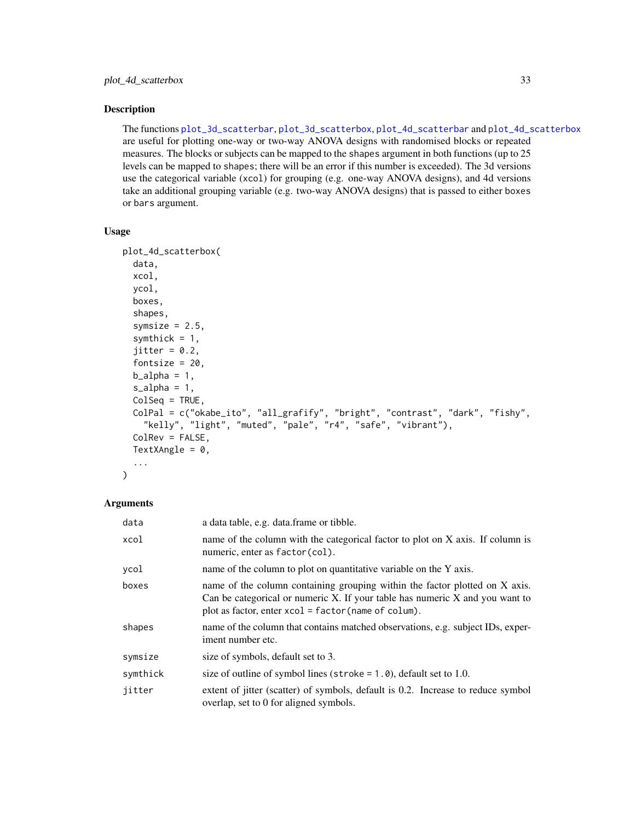## Description

The functions [plot\\_3d\\_scatterbar](#page-21-1), [plot\\_3d\\_scatterbox](#page-23-1), [plot\\_4d\\_scatterbar](#page-29-1) and [plot\\_4d\\_scatterbox](#page-31-1) are useful for plotting one-way or two-way ANOVA designs with randomised blocks or repeated measures. The blocks or subjects can be mapped to the shapes argument in both functions (up to 25 levels can be mapped to shapes; there will be an error if this number is exceeded). The 3d versions use the categorical variable (xcol) for grouping (e.g. one-way ANOVA designs), and 4d versions take an additional grouping variable (e.g. two-way ANOVA designs) that is passed to either boxes or bars argument.

#### Usage

```
plot_4d_scatterbox(
  data,
  xcol,
  ycol,
  boxes,
  shapes,
  symsize = 2.5,
  symthick = 1,
  jitter = 0.2,fontsize = 20,
  b_2lpha = 1,
  s_alpha = 1,
  ColSeq = TRUE,
  ColPal = c("okabe_ito", "all_grafify", "bright", "contrast", "dark", "fishy",
    "kelly", "light", "muted", "pale", "r4", "safe", "vibrant"),
  ColRev = FALSE,
  TextXAngle = 0,
  ...
\mathcal{L}
```
## Arguments

| data     | a data table, e.g. data.frame or tibble.                                                                                                                                                                                    |
|----------|-----------------------------------------------------------------------------------------------------------------------------------------------------------------------------------------------------------------------------|
| xcol     | name of the column with the categorical factor to plot on X axis. If column is<br>numeric, enter as factor (col).                                                                                                           |
| ycol     | name of the column to plot on quantitative variable on the Y axis.                                                                                                                                                          |
| boxes    | name of the column containing grouping within the factor plotted on X axis.<br>Can be categorical or numeric $X$ . If your table has numeric $X$ and you want to<br>plot as factor, enter $xcol = factor(name of column)$ . |
| shapes   | name of the column that contains matched observations, e.g. subject IDs, exper-<br>iment number etc.                                                                                                                        |
| symsize  | size of symbols, default set to 3.                                                                                                                                                                                          |
| symthick | size of outline of symbol lines (stroke $= 1.0$ ), default set to 1.0.                                                                                                                                                      |
| jitter   | extent of jitter (scatter) of symbols, default is 0.2. Increase to reduce symbol<br>overlap, set to 0 for aligned symbols.                                                                                                  |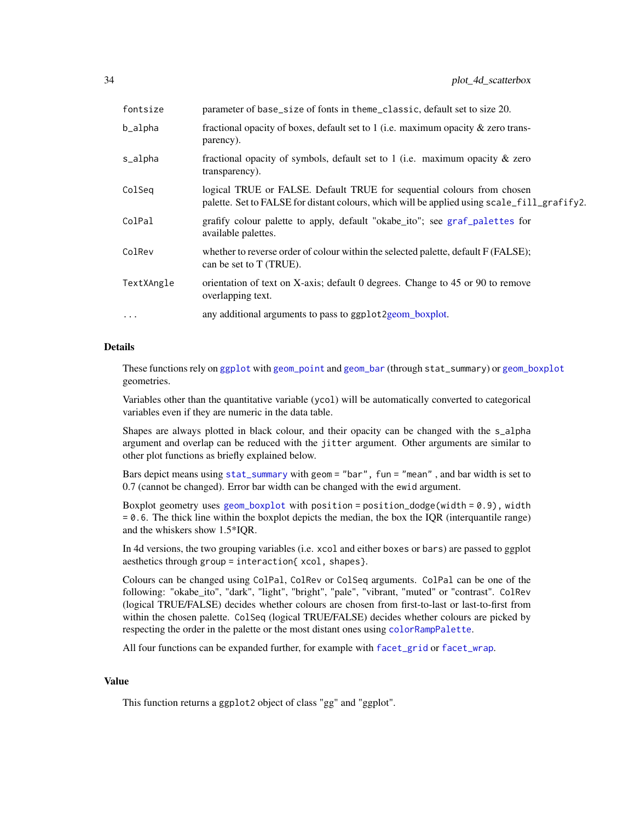| fontsize   | parameter of base_size of fonts in theme_classic, default set to size 20.                                                                                             |
|------------|-----------------------------------------------------------------------------------------------------------------------------------------------------------------------|
| b_alpha    | fractional opacity of boxes, default set to 1 (i.e. maximum opacity $\&$ zero trans-<br>parency).                                                                     |
| s_alpha    | fractional opacity of symbols, default set to 1 (i.e. maximum opacity $\&$ zero<br>transparency).                                                                     |
| ColSeg     | logical TRUE or FALSE. Default TRUE for sequential colours from chosen<br>palette. Set to FALSE for distant colours, which will be applied using scale_fill_grafify2. |
| ColPal     | grafify colour palette to apply, default "okabe_ito"; see graf_palettes for<br>available palettes.                                                                    |
| ColRev     | whether to reverse order of colour within the selected palette, default F (FALSE);<br>can be set to T (TRUE).                                                         |
| TextXAngle | orientation of text on X-axis; default 0 degrees. Change to 45 or 90 to remove<br>overlapping text.                                                                   |
| $\cdots$   | any additional arguments to pass to ggplot 2 geom_boxplot.                                                                                                            |

## Details

These functions rely on [ggplot](#page-0-0) with [geom\\_point](#page-0-0) and [geom\\_bar](#page-0-0) (through stat\_summary) or [geom\\_boxplot](#page-0-0) geometries.

Variables other than the quantitative variable (ycol) will be automatically converted to categorical variables even if they are numeric in the data table.

Shapes are always plotted in black colour, and their opacity can be changed with the s\_alpha argument and overlap can be reduced with the jitter argument. Other arguments are similar to other plot functions as briefly explained below.

Bars depict means using [stat\\_summary](#page-0-0) with geom = "bar", fun = "mean" , and bar width is set to 0.7 (cannot be changed). Error bar width can be changed with the ewid argument.

Boxplot geometry uses [geom\\_boxplot](#page-0-0) with position = position\_dodge(width =  $0.9$ ), width  $= 0.6$ . The thick line within the boxplot depicts the median, the box the IQR (interquantile range) and the whiskers show 1.5\*IQR.

In 4d versions, the two grouping variables (i.e. xcol and either boxes or bars) are passed to ggplot aesthetics through group = interaction{ xcol, shapes}.

Colours can be changed using ColPal, ColRev or ColSeq arguments. ColPal can be one of the following: "okabe\_ito", "dark", "light", "bright", "pale", "vibrant, "muted" or "contrast". ColRev (logical TRUE/FALSE) decides whether colours are chosen from first-to-last or last-to-first from within the chosen palette. ColSeq (logical TRUE/FALSE) decides whether colours are picked by respecting the order in the palette or the most distant ones using [colorRampPalette](#page-0-0).

All four functions can be expanded further, for example with [facet\\_grid](#page-0-0) or [facet\\_wrap](#page-0-0).

## Value

This function returns a ggplot2 object of class "gg" and "ggplot".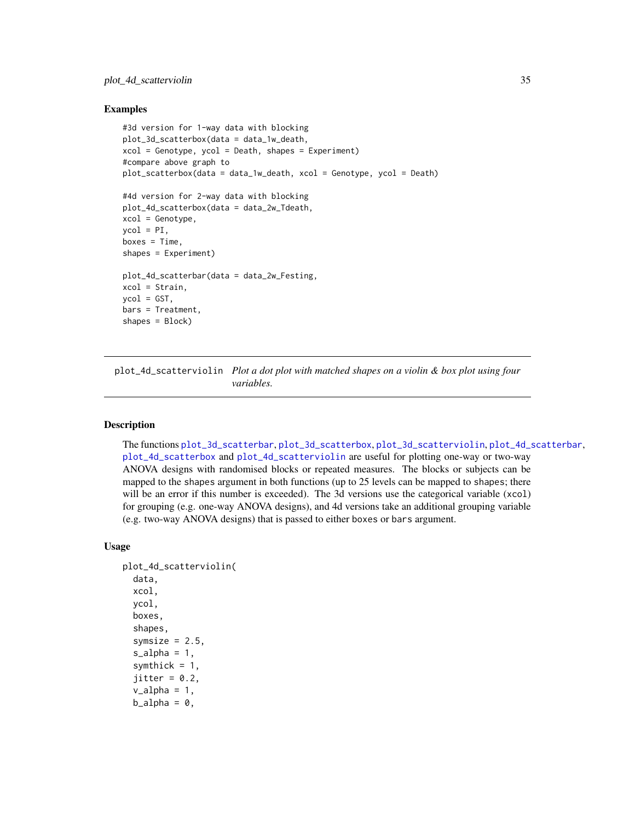## <span id="page-34-0"></span>Examples

```
#3d version for 1-way data with blocking
plot_3d_scatterbox(data = data_1w_death,
xcol = Genotype, ycol = Death, shapes = Experiment)#compare above graph to
plot_scatterbox(data = data_1w_death, xcol = Genotype, ycol = Death)
#4d version for 2-way data with blocking
plot_4d_scatterbox(data = data_2w_Tdeath,
xcol = Genotype,
\text{vcol} = \text{PI},
boxes = Time,
shapes = Experiment)
plot_4d_scatterbar(data = data_2w_Festing,
xcol = Strain,
ycol = GST,
bars = Treatment,
shapes = Block)
```
<span id="page-34-1"></span>plot\_4d\_scatterviolin *Plot a dot plot with matched shapes on a violin & box plot using four variables.*

## **Description**

The functions [plot\\_3d\\_scatterbar](#page-21-1), [plot\\_3d\\_scatterbox](#page-23-1), [plot\\_3d\\_scatterviolin](#page-26-1), [plot\\_4d\\_scatterbar](#page-29-1), [plot\\_4d\\_scatterbox](#page-31-1) and [plot\\_4d\\_scatterviolin](#page-34-1) are useful for plotting one-way or two-way ANOVA designs with randomised blocks or repeated measures. The blocks or subjects can be mapped to the shapes argument in both functions (up to 25 levels can be mapped to shapes; there will be an error if this number is exceeded). The 3d versions use the categorical variable (xcol) for grouping (e.g. one-way ANOVA designs), and 4d versions take an additional grouping variable (e.g. two-way ANOVA designs) that is passed to either boxes or bars argument.

## Usage

```
plot_4d_scatterviolin(
  data,
  xcol,
  ycol,
  boxes,
  shapes,
  symsize = 2.5,
  s<sup>2</sup>lpha = 1,
  symthick = 1,
  jitter = 0.2,v_{\text{alpha}} = 1,
  b_21pha = 0,
```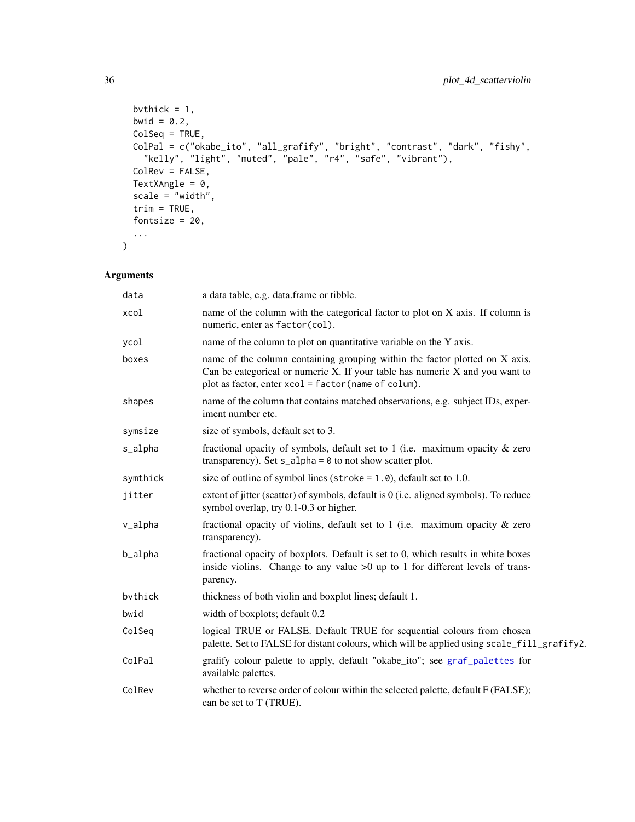```
bvthick = 1,
 bwid = 0.2,
 ColSeq = TRUE,
  ColPal = c("okabe_ito", "all_grafify", "bright", "contrast", "dark", "fishy",
    "kelly", "light", "muted", "pale", "r4", "safe", "vibrant"),
 ColRev = FALSE,
 TextXAngle = 0,
 scale = "width",trim = TRUE,fontsize = 20,
  ...
\mathcal{L}
```
# Arguments

| data     | a data table, e.g. data.frame or tibble.                                                                                                                                                                              |
|----------|-----------------------------------------------------------------------------------------------------------------------------------------------------------------------------------------------------------------------|
| xcol     | name of the column with the categorical factor to plot on X axis. If column is<br>numeric, enter as factor(col).                                                                                                      |
| ycol     | name of the column to plot on quantitative variable on the Y axis.                                                                                                                                                    |
| boxes    | name of the column containing grouping within the factor plotted on X axis.<br>Can be categorical or numeric X. If your table has numeric $X$ and you want to<br>plot as factor, enter xcol = factor (name of colum). |
| shapes   | name of the column that contains matched observations, e.g. subject IDs, exper-<br>iment number etc.                                                                                                                  |
| symsize  | size of symbols, default set to 3.                                                                                                                                                                                    |
| s_alpha  | fractional opacity of symbols, default set to 1 (i.e. maximum opacity $\&$ zero<br>transparency). Set $s$ _alpha = $\theta$ to not show scatter plot.                                                                 |
| symthick | size of outline of symbol lines (stroke = $1.0$ ), default set to 1.0.                                                                                                                                                |
| jitter   | extent of jitter (scatter) of symbols, default is $0$ (i.e. aligned symbols). To reduce<br>symbol overlap, try 0.1-0.3 or higher.                                                                                     |
| v_alpha  | fractional opacity of violins, default set to 1 (i.e. maximum opacity $\&$ zero<br>transparency).                                                                                                                     |
| b_alpha  | fractional opacity of boxplots. Default is set to 0, which results in white boxes<br>inside violins. Change to any value $>0$ up to 1 for different levels of trans-<br>parency.                                      |
| bythick  | thickness of both violin and boxplot lines; default 1.                                                                                                                                                                |
| bwid     | width of boxplots; default 0.2                                                                                                                                                                                        |
| ColSeq   | logical TRUE or FALSE. Default TRUE for sequential colours from chosen<br>palette. Set to FALSE for distant colours, which will be applied using scale_fill_grafify2.                                                 |
| ColPal   | grafify colour palette to apply, default "okabe_ito"; see graf_palettes for<br>available palettes.                                                                                                                    |
| ColRev   | whether to reverse order of colour within the selected palette, default F (FALSE);<br>can be set to T (TRUE).                                                                                                         |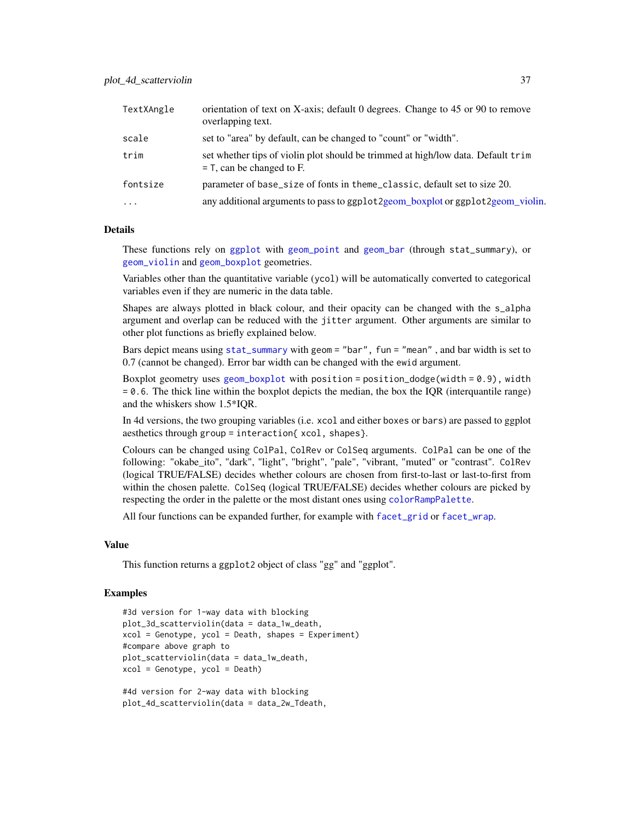| TextXAngle | orientation of text on X-axis; default 0 degrees. Change to 45 or 90 to remove<br>overlapping text.             |
|------------|-----------------------------------------------------------------------------------------------------------------|
| scale      | set to "area" by default, can be changed to "count" or "width".                                                 |
| trim       | set whether tips of violin plot should be trimmed at high/low data. Default trim<br>$=$ T, can be changed to F. |
| fontsize   | parameter of base_size of fonts in theme_classic, default set to size 20.                                       |
| $\cdots$   | any additional arguments to pass to ggplot2geom_boxplot or ggplot2geom_violin.                                  |

These functions rely on [ggplot](#page-0-0) with [geom\\_point](#page-0-0) and [geom\\_bar](#page-0-0) (through stat\_summary), or [geom\\_violin](#page-0-0) and [geom\\_boxplot](#page-0-0) geometries.

Variables other than the quantitative variable (ycol) will be automatically converted to categorical variables even if they are numeric in the data table.

Shapes are always plotted in black colour, and their opacity can be changed with the s\_alpha argument and overlap can be reduced with the jitter argument. Other arguments are similar to other plot functions as briefly explained below.

Bars depict means using [stat\\_summary](#page-0-0) with geom = "bar", fun = "mean" , and bar width is set to 0.7 (cannot be changed). Error bar width can be changed with the ewid argument.

Boxplot geometry uses [geom\\_boxplot](#page-0-0) with position = position\_dodge(width =  $0.9$ ), width  $= 0.6$ . The thick line within the boxplot depicts the median, the box the IQR (interquantile range) and the whiskers show 1.5\*IQR.

In 4d versions, the two grouping variables (i.e. xcol and either boxes or bars) are passed to ggplot aesthetics through group = interaction{ xcol, shapes}.

Colours can be changed using ColPal, ColRev or ColSeq arguments. ColPal can be one of the following: "okabe\_ito", "dark", "light", "bright", "pale", "vibrant, "muted" or "contrast". ColRev (logical TRUE/FALSE) decides whether colours are chosen from first-to-last or last-to-first from within the chosen palette. ColSeq (logical TRUE/FALSE) decides whether colours are picked by respecting the order in the palette or the most distant ones using [colorRampPalette](#page-0-0).

All four functions can be expanded further, for example with [facet\\_grid](#page-0-0) or [facet\\_wrap](#page-0-0).

#### Value

This function returns a ggplot2 object of class "gg" and "ggplot".

```
#3d version for 1-way data with blocking
plot_3d_scatterviolin(data = data_1w_death,
xcol = Genotype, ycol = Death, shapes = Experiment)
#compare above graph to
plot_scatterviolin(data = data_1w_death,
xcol = Genotype, ycol = Death)
#4d version for 2-way data with blocking
```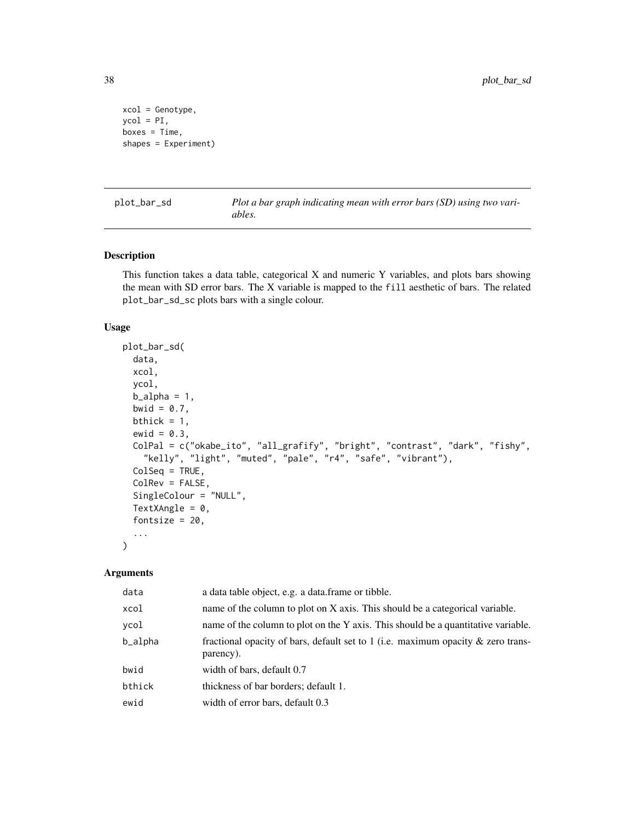```
xcol = Genotype,
ycol = PI,
boxes = Time,
shapes = Experiment)
```
plot\_bar\_sd *Plot a bar graph indicating mean with error bars (SD) using two variables.*

# Description

This function takes a data table, categorical X and numeric Y variables, and plots bars showing the mean with SD error bars. The X variable is mapped to the fill aesthetic of bars. The related plot\_bar\_sd\_sc plots bars with a single colour.

# Usage

```
plot_bar_sd(
  data,
  xcol,
  ycol,
  b<sup>-</sup>alpha = 1,
  bwid = 0.7,
 bthick = 1,
  ewid = 0.3,
  ColPal = c("okabe_ito", "all_grafify", "bright", "contrast", "dark", "fishy",
    "kelly", "light", "muted", "pale", "r4", "safe", "vibrant"),
  ColSeq = TRUE,
  ColRev = FALSE,
  SingleColour = "NULL",
  TextXAngle = 0,
  fontsize = 20,
  ...
)
```

| data    | a data table object, e.g. a data frame or tibble.                                                |
|---------|--------------------------------------------------------------------------------------------------|
| xcol    | name of the column to plot on X axis. This should be a categorical variable.                     |
| ycol    | name of the column to plot on the Y axis. This should be a quantitative variable.                |
| b_alpha | fractional opacity of bars, default set to 1 (i.e. maximum opacity $\&$ zero trans-<br>parency). |
| bwid    | width of bars, default 0.7                                                                       |
| bthick  | thickness of bar borders; default 1.                                                             |
| ewid    | width of error bars, default 0.3                                                                 |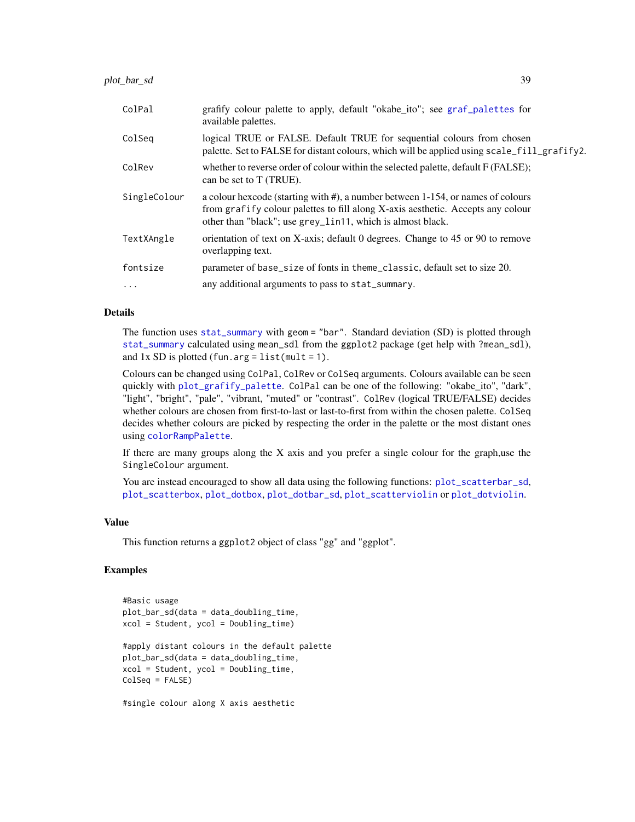| ColPal       | grafify colour palette to apply, default "okabe_ito"; see graf_palettes for<br>available palettes.                                                                                                                               |
|--------------|----------------------------------------------------------------------------------------------------------------------------------------------------------------------------------------------------------------------------------|
| ColSeg       | logical TRUE or FALSE. Default TRUE for sequential colours from chosen<br>palette. Set to FALSE for distant colours, which will be applied using scale_fill_grafify2.                                                            |
| ColRev       | whether to reverse order of colour within the selected palette, default F (FALSE);<br>can be set to T (TRUE).                                                                                                                    |
| SingleColour | a colour hexcode (starting with #), a number between 1-154, or names of colours<br>from grafify colour palettes to fill along X-axis aesthetic. Accepts any colour<br>other than "black"; use grey_lin11, which is almost black. |
| TextXAngle   | orientation of text on X-axis; default 0 degrees. Change to 45 or 90 to remove<br>overlapping text.                                                                                                                              |
| fontsize     | parameter of base_size of fonts in theme_classic, default set to size 20.                                                                                                                                                        |
| $\ddots$     | any additional arguments to pass to stat_summary.                                                                                                                                                                                |

The function uses [stat\\_summary](#page-0-0) with geom = "bar". Standard deviation (SD) is plotted through [stat\\_summary](#page-0-0) calculated using mean\_sdl from the ggplot2 package (get help with ?mean\_sdl), and  $1x$  SD is plotted (fun.arg = list(mult = 1).

Colours can be changed using ColPal, ColRev or ColSeq arguments. Colours available can be seen quickly with [plot\\_grafify\\_palette](#page-53-0). ColPal can be one of the following: "okabe\_ito", "dark", "light", "bright", "pale", "vibrant, "muted" or "contrast". ColRev (logical TRUE/FALSE) decides whether colours are chosen from first-to-last or last-to-first from within the chosen palette. ColSeq decides whether colours are picked by respecting the order in the palette or the most distant ones using [colorRampPalette](#page-0-0).

If there are many groups along the X axis and you prefer a single colour for the graph,use the SingleColour argument.

You are instead encouraged to show all data using the following functions: [plot\\_scatterbar\\_sd](#page-60-0), [plot\\_scatterbox](#page-62-0), [plot\\_dotbox](#page-48-0), [plot\\_dotbar\\_sd](#page-46-0), [plot\\_scatterviolin](#page-64-0) or [plot\\_dotviolin](#page-50-0).

#### Value

This function returns a ggplot2 object of class "gg" and "ggplot".

```
#Basic usage
plot_bar_sd(data = data_doubling_time,
xcol = Student, ycol = Doubling_time)
#apply distant colours in the default palette
plot_bar_sd(data = data_doubling_time,
xcol = Student, ycol = Doubling_time,
ColSeq = FALSE)
```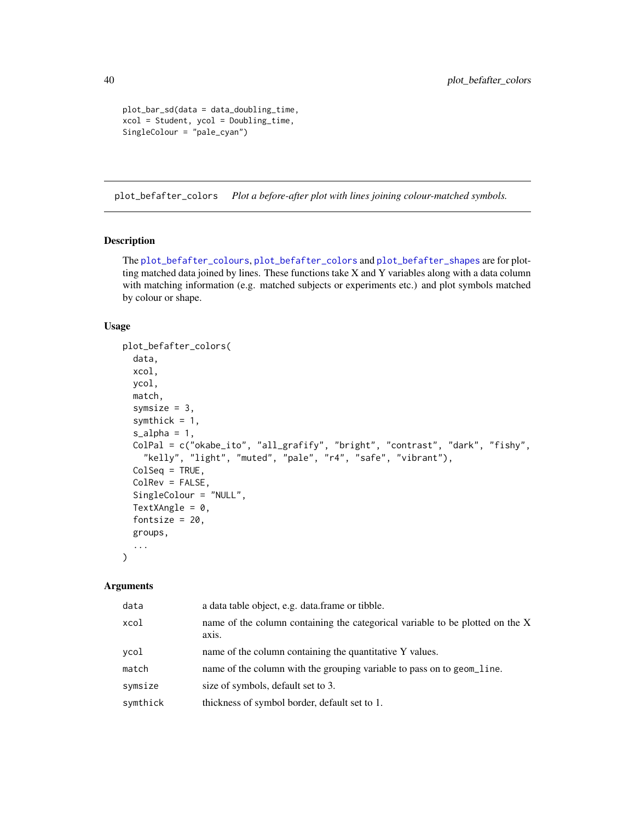```
plot_bar_sd(data = data_doubling_time,
xcol = Student, ycol = Doubling_time,
SingleColour = "pale_cyan")
```
<span id="page-39-0"></span>plot\_befafter\_colors *Plot a before-after plot with lines joining colour-matched symbols.*

### Description

The [plot\\_befafter\\_colours](#page-41-0), [plot\\_befafter\\_colors](#page-39-0) and [plot\\_befafter\\_shapes](#page-43-0) are for plotting matched data joined by lines. These functions take X and Y variables along with a data column with matching information (e.g. matched subjects or experiments etc.) and plot symbols matched by colour or shape.

# Usage

```
plot_befafter_colors(
  data,
  xcol,
  ycol,
  match,
  symsize = 3,
  symthick = 1,
  s<sup>2</sup>J<sub>2</sub>ha<sub>= 1</sub>,
  ColPal = c("okabe_ito", "all_grafify", "bright", "contrast", "dark", "fishy",
    "kelly", "light", "muted", "pale", "r4", "safe", "vibrant"),
  ColSeq = TRUE,
  ColRev = FALSE,
  SingleColour = "NULL",
  TextXAngle = 0,
  fontsize = 20,
  groups,
  ...
)
```

| data     | a data table object, e.g. data frame or tibble.                                        |
|----------|----------------------------------------------------------------------------------------|
| xcol     | name of the column containing the categorical variable to be plotted on the X<br>axis. |
| ycol     | name of the column containing the quantitative Y values.                               |
| match    | name of the column with the grouping variable to pass on to geom_line.                 |
| symsize  | size of symbols, default set to 3.                                                     |
| symthick | thickness of symbol border, default set to 1.                                          |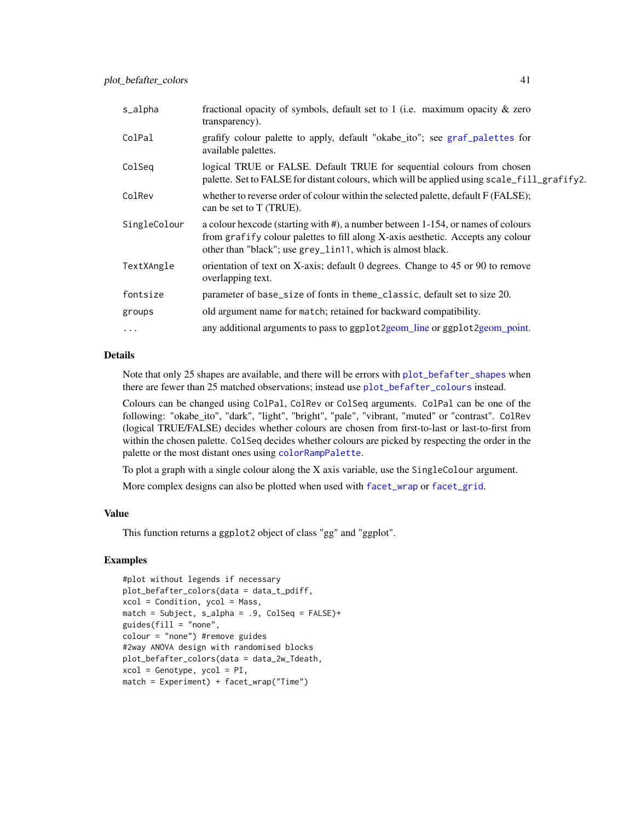| s_alpha      | fractional opacity of symbols, default set to 1 (i.e. maximum opacity $\&$ zero<br>transparency).                                                                                                                                |
|--------------|----------------------------------------------------------------------------------------------------------------------------------------------------------------------------------------------------------------------------------|
| ColPal       | grafify colour palette to apply, default "okabe_ito"; see graf_palettes for<br>available palettes.                                                                                                                               |
| ColSeg       | logical TRUE or FALSE. Default TRUE for sequential colours from chosen<br>palette. Set to FALSE for distant colours, which will be applied using scale_fill_grafify2.                                                            |
| ColRev       | whether to reverse order of colour within the selected palette, default F (FALSE);<br>can be set to T (TRUE).                                                                                                                    |
| SingleColour | a colour hexcode (starting with #), a number between 1-154, or names of colours<br>from grafify colour palettes to fill along X-axis aesthetic. Accepts any colour<br>other than "black"; use grey_lin11, which is almost black. |
| TextXAngle   | orientation of text on X-axis; default 0 degrees. Change to 45 or 90 to remove<br>overlapping text.                                                                                                                              |
| fontsize     | parameter of base_size of fonts in theme_classic, default set to size 20.                                                                                                                                                        |
| groups       | old argument name for match; retained for backward compatibility.                                                                                                                                                                |
| $\cdots$     | any additional arguments to pass to ggplot2geom_line or ggplot2geom_point.                                                                                                                                                       |

Note that only 25 shapes are available, and there will be errors with [plot\\_befafter\\_shapes](#page-43-0) when there are fewer than 25 matched observations; instead use [plot\\_befafter\\_colours](#page-41-0) instead.

Colours can be changed using ColPal, ColRev or ColSeq arguments. ColPal can be one of the following: "okabe\_ito", "dark", "light", "bright", "pale", "vibrant, "muted" or "contrast". ColRev (logical TRUE/FALSE) decides whether colours are chosen from first-to-last or last-to-first from within the chosen palette. ColSeq decides whether colours are picked by respecting the order in the palette or the most distant ones using [colorRampPalette](#page-0-0).

To plot a graph with a single colour along the X axis variable, use the SingleColour argument.

More complex designs can also be plotted when used with [facet\\_wrap](#page-0-0) or [facet\\_grid](#page-0-0).

# Value

This function returns a ggplot2 object of class "gg" and "ggplot".

```
#plot without legends if necessary
plot_befafter_colors(data = data_t_pdiff,
xcol = Condition, ycol = Mass,
match = Subject, s_alpha = .9, ColSeq = FALSE)+
guides(fill = "none",colour = "none") #remove guides
#2way ANOVA design with randomised blocks
plot_befafter_colors(data = data_2w_Tdeath,
xcol = Genotype, ycol = PI,match = Experiment) + facet_wrap("Time")
```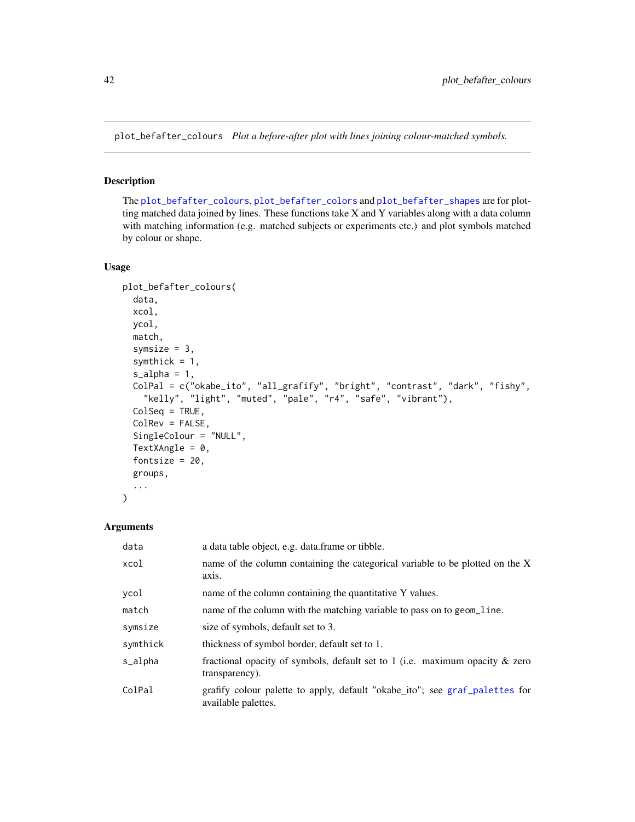<span id="page-41-0"></span>plot\_befafter\_colours *Plot a before-after plot with lines joining colour-matched symbols.*

### Description

The [plot\\_befafter\\_colours](#page-41-0), [plot\\_befafter\\_colors](#page-39-0) and [plot\\_befafter\\_shapes](#page-43-0) are for plotting matched data joined by lines. These functions take X and Y variables along with a data column with matching information (e.g. matched subjects or experiments etc.) and plot symbols matched by colour or shape.

### Usage

```
plot_befafter_colours(
  data,
  xcol,
 ycol,
  match,
  symsize = 3,
  symthick = 1,
  s<sup>2</sup>lpha = 1,
  ColPal = c("okabe_ito", "all_grafify", "bright", "contrast", "dark", "fishy",
    "kelly", "light", "muted", "pale", "r4", "safe", "vibrant"),
  ColSeq = TRUE,
  ColRev = FALSE,
  SingleColour = "NULL",
  TextXAngle = 0,
  fontsize = 20,
  groups,
  ...
)
```

| data     | a data table object, e.g. data frame or tibble.                                                    |
|----------|----------------------------------------------------------------------------------------------------|
| xcol     | name of the column containing the categorical variable to be plotted on the X<br>axis.             |
| ycol     | name of the column containing the quantitative Y values.                                           |
| match    | name of the column with the matching variable to pass on to geom_line.                             |
| symsize  | size of symbols, default set to 3.                                                                 |
| symthick | thickness of symbol border, default set to 1.                                                      |
| s_alpha  | fractional opacity of symbols, default set to 1 (i.e. maximum opacity $\&$ zero<br>transparency).  |
| ColPal   | grafify colour palette to apply, default "okabe_ito"; see graf_palettes for<br>available palettes. |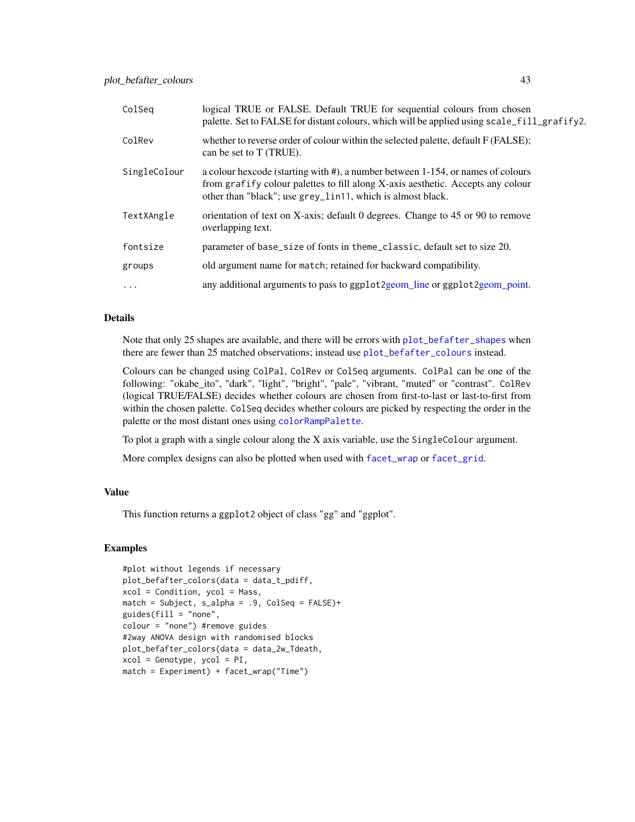| ColSeg       | logical TRUE or FALSE. Default TRUE for sequential colours from chosen<br>palette. Set to FALSE for distant colours, which will be applied using scale_fill_grafify2.                                                            |
|--------------|----------------------------------------------------------------------------------------------------------------------------------------------------------------------------------------------------------------------------------|
| ColRev       | whether to reverse order of colour within the selected palette, default F (FALSE);<br>can be set to T (TRUE).                                                                                                                    |
| SingleColour | a colour hexcode (starting with #), a number between 1-154, or names of colours<br>from grafify colour palettes to fill along X-axis aesthetic. Accepts any colour<br>other than "black"; use grey_lin11, which is almost black. |
| TextXAngle   | orientation of text on X-axis; default 0 degrees. Change to 45 or 90 to remove<br>overlapping text.                                                                                                                              |
| fontsize     | parameter of base_size of fonts in theme_classic, default set to size 20.                                                                                                                                                        |
| groups       | old argument name for match; retained for backward compatibility.                                                                                                                                                                |
| $\ddots$ .   | any additional arguments to pass to ggplot 2 geom_line or ggplot 2 geom_point.                                                                                                                                                   |

Note that only 25 shapes are available, and there will be errors with [plot\\_befafter\\_shapes](#page-43-0) when there are fewer than 25 matched observations; instead use [plot\\_befafter\\_colours](#page-41-0) instead.

Colours can be changed using ColPal, ColRev or ColSeq arguments. ColPal can be one of the following: "okabe\_ito", "dark", "light", "bright", "pale", "vibrant, "muted" or "contrast". ColRev (logical TRUE/FALSE) decides whether colours are chosen from first-to-last or last-to-first from within the chosen palette. ColSeq decides whether colours are picked by respecting the order in the palette or the most distant ones using [colorRampPalette](#page-0-0).

To plot a graph with a single colour along the X axis variable, use the SingleColour argument.

More complex designs can also be plotted when used with [facet\\_wrap](#page-0-0) or [facet\\_grid](#page-0-0).

# Value

This function returns a ggplot2 object of class "gg" and "ggplot".

```
#plot without legends if necessary
plot_befafter_colors(data = data_t_pdiff,
xcol = Condition, ycol = Mass,
match = Subject, s_alpha = .9, ColSeq = FALSE)+
guides(fill = "none",
colour = "none") #remove guides
#2way ANOVA design with randomised blocks
plot_befafter_colors(data = data_2w_Tdeath,
xcol = Genotype, ycol = PI,match = Experiment) + facet_wrap("Time")
```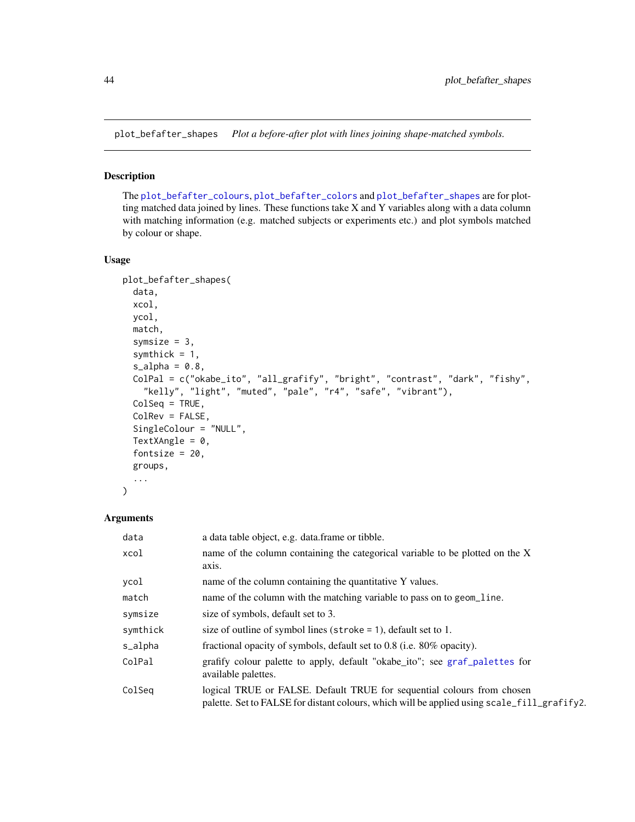<span id="page-43-0"></span>plot\_befafter\_shapes *Plot a before-after plot with lines joining shape-matched symbols.*

# Description

The [plot\\_befafter\\_colours](#page-41-0), [plot\\_befafter\\_colors](#page-39-0) and [plot\\_befafter\\_shapes](#page-43-0) are for plotting matched data joined by lines. These functions take X and Y variables along with a data column with matching information (e.g. matched subjects or experiments etc.) and plot symbols matched by colour or shape.

### Usage

```
plot_befafter_shapes(
  data,
  xcol,
  ycol,
 match,
  symsize = 3,
  symthick = 1,
  s<sup>2</sup>lpha = 0.8,
  ColPal = c("okabe_ito", "all_grafify", "bright", "contrast", "dark", "fishy",
    "kelly", "light", "muted", "pale", "r4", "safe", "vibrant"),
  ColSeq = TRUE,ColRev = FALSE,
  SingleColour = "NULL",
  TextXAngle = 0,
  fontsize = 20,
  groups,
  ...
)
```

| data     | a data table object, e.g. data frame or tibble.                                                                                                                       |
|----------|-----------------------------------------------------------------------------------------------------------------------------------------------------------------------|
| xcol     | name of the column containing the categorical variable to be plotted on the X<br>axis.                                                                                |
| ycol     | name of the column containing the quantitative Y values.                                                                                                              |
| match    | name of the column with the matching variable to pass on to geom_line.                                                                                                |
| symsize  | size of symbols, default set to 3.                                                                                                                                    |
| symthick | size of outline of symbol lines (stroke $= 1$ ), default set to 1.                                                                                                    |
| s_alpha  | fractional opacity of symbols, default set to 0.8 (i.e. 80% opacity).                                                                                                 |
| ColPal   | grafify colour palette to apply, default "okabe_ito"; see graf_palettes for<br>available palettes.                                                                    |
| ColSeg   | logical TRUE or FALSE. Default TRUE for sequential colours from chosen<br>palette. Set to FALSE for distant colours, which will be applied using scale_fill_grafify2. |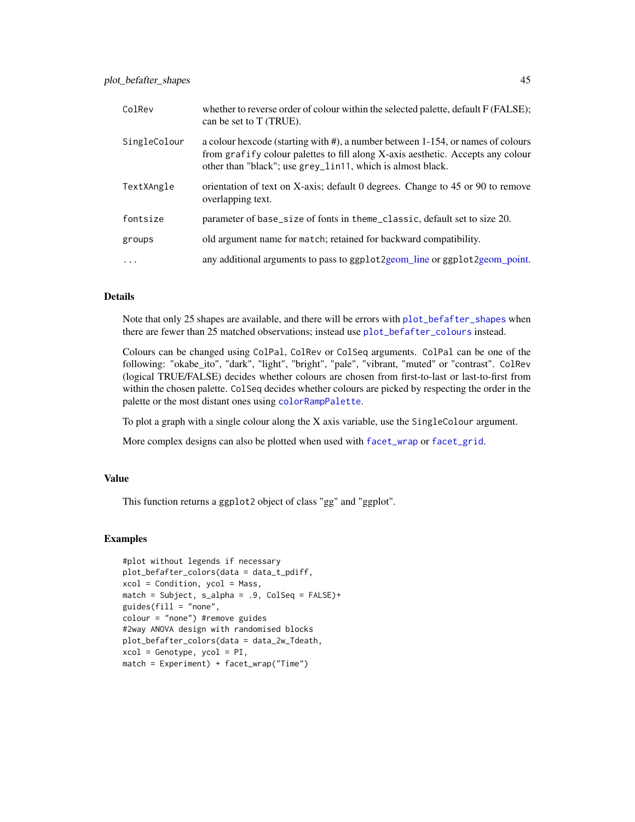| ColRev       | whether to reverse order of colour within the selected palette, default F (FALSE);<br>can be set to T (TRUE).                                                                                                                    |
|--------------|----------------------------------------------------------------------------------------------------------------------------------------------------------------------------------------------------------------------------------|
| SingleColour | a colour hexcode (starting with #), a number between 1-154, or names of colours<br>from grafify colour palettes to fill along X-axis aesthetic. Accepts any colour<br>other than "black"; use grey_lin11, which is almost black. |
| TextXAngle   | orientation of text on X-axis; default 0 degrees. Change to 45 or 90 to remove<br>overlapping text.                                                                                                                              |
| fontsize     | parameter of base_size of fonts in theme_classic, default set to size 20.                                                                                                                                                        |
| groups       | old argument name for match; retained for backward compatibility.                                                                                                                                                                |
| $\ddots$     | any additional arguments to pass to ggplot 2geom_line or ggplot 2geom_point.                                                                                                                                                     |

Note that only 25 shapes are available, and there will be errors with [plot\\_befafter\\_shapes](#page-43-0) when there are fewer than 25 matched observations; instead use [plot\\_befafter\\_colours](#page-41-0) instead.

Colours can be changed using ColPal, ColRev or ColSeq arguments. ColPal can be one of the following: "okabe\_ito", "dark", "light", "bright", "pale", "vibrant, "muted" or "contrast". ColRev (logical TRUE/FALSE) decides whether colours are chosen from first-to-last or last-to-first from within the chosen palette. ColSeq decides whether colours are picked by respecting the order in the palette or the most distant ones using [colorRampPalette](#page-0-0).

To plot a graph with a single colour along the X axis variable, use the SingleColour argument.

More complex designs can also be plotted when used with [facet\\_wrap](#page-0-0) or [facet\\_grid](#page-0-0).

# Value

This function returns a ggplot2 object of class "gg" and "ggplot".

```
#plot without legends if necessary
plot_befafter_colors(data = data_t_pdiff,
xcol = Condition, ycol = Mass,
match = Subject, s_alpha = .9, ColSeq = FALSE)+
guides(fill = "none",
colour = "none") #remove guides
#2way ANOVA design with randomised blocks
plot_befafter_colors(data = data_2w_Tdeath,
xcol = Genotype, ycol = PI,match = Experiment) + facet_wrap("Time")
```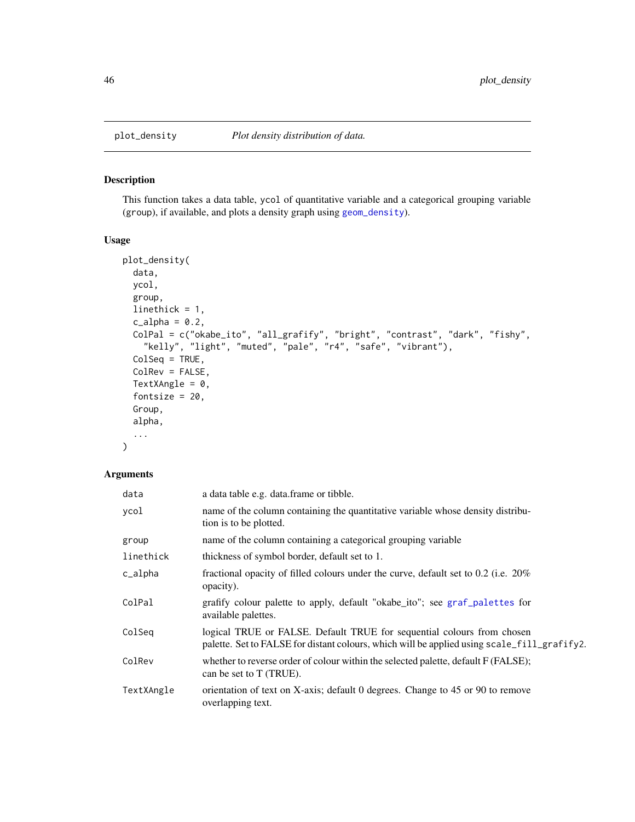## Description

This function takes a data table, ycol of quantitative variable and a categorical grouping variable (group), if available, and plots a density graph using [geom\\_density](#page-0-0)).

# Usage

```
plot_density(
 data,
 ycol,
  group,
 linethick = 1,
  c_alpha = 0.2,
 ColPal = c("okabe_ito", "all_grafify", "bright", "contrast", "dark", "fishy",
    "kelly", "light", "muted", "pale", "r4", "safe", "vibrant"),
 ColSeq = TRUE,
 ColRev = FALSE,
 TextXAngle = 0,
  fontsize = 20,
 Group,
  alpha,
  ...
)
```

| data       | a data table e.g. data.frame or tibble.                                                                                                                               |
|------------|-----------------------------------------------------------------------------------------------------------------------------------------------------------------------|
| ycol       | name of the column containing the quantitative variable whose density distribu-<br>tion is to be plotted.                                                             |
| group      | name of the column containing a categorical grouping variable                                                                                                         |
| linethick  | thickness of symbol border, default set to 1.                                                                                                                         |
| c_alpha    | fractional opacity of filled colours under the curve, default set to 0.2 (i.e. 20%)<br>opacity).                                                                      |
| ColPal     | grafify colour palette to apply, default "okabe_ito"; see graf_palettes for<br>available palettes.                                                                    |
| ColSeg     | logical TRUE or FALSE. Default TRUE for sequential colours from chosen<br>palette. Set to FALSE for distant colours, which will be applied using scale_fill_grafify2. |
| ColRev     | whether to reverse order of colour within the selected palette, default F (FALSE);<br>can be set to T (TRUE).                                                         |
| TextXAngle | orientation of text on X-axis; default 0 degrees. Change to 45 or 90 to remove<br>overlapping text.                                                                   |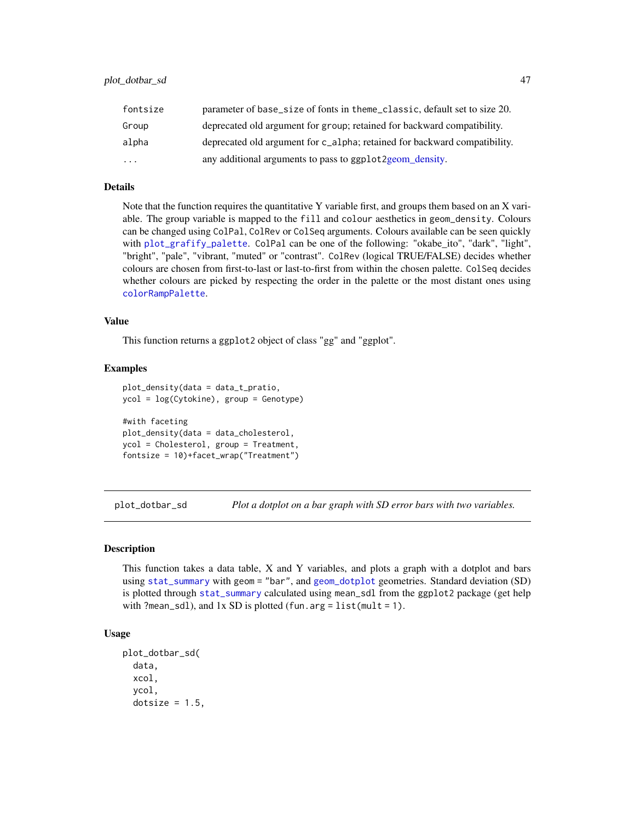| fontsize  | parameter of base_size of fonts in theme_classic, default set to size 20. |
|-----------|---------------------------------------------------------------------------|
| Group     | deprecated old argument for group; retained for backward compatibility.   |
| alpha     | deprecated old argument for c_alpha; retained for backward compatibility. |
| $\ddotsc$ | any additional arguments to pass to ggplot2geom_density.                  |

Note that the function requires the quantitative Y variable first, and groups them based on an X variable. The group variable is mapped to the fill and colour aesthetics in geom\_density. Colours can be changed using ColPal, ColRev or ColSeq arguments. Colours available can be seen quickly with [plot\\_grafify\\_palette](#page-53-0). ColPal can be one of the following: "okabe\_ito", "dark", "light", "bright", "pale", "vibrant, "muted" or "contrast". ColRev (logical TRUE/FALSE) decides whether colours are chosen from first-to-last or last-to-first from within the chosen palette. ColSeq decides whether colours are picked by respecting the order in the palette or the most distant ones using [colorRampPalette](#page-0-0).

## Value

This function returns a ggplot2 object of class "gg" and "ggplot".

#### Examples

```
plot_density(data = data_t_pratio,
ycol = log(Cytokine), group = Genotype)
#with faceting
plot_density(data = data_cholesterol,
ycol = Cholesterol, group = Treatment,
fontsize = 10)+facet_wrap("Treatment")
```
<span id="page-46-0"></span>plot\_dotbar\_sd *Plot a dotplot on a bar graph with SD error bars with two variables.*

### Description

This function takes a data table, X and Y variables, and plots a graph with a dotplot and bars using [stat\\_summary](#page-0-0) with geom = "bar", and [geom\\_dotplot](#page-0-0) geometries. Standard deviation (SD) is plotted through [stat\\_summary](#page-0-0) calculated using mean\_sdl from the ggplot2 package (get help with ?mean\_sdl), and  $1x$  SD is plotted (fun.arg = list(mult = 1).

#### Usage

```
plot_dotbar_sd(
  data,
  xcol,
  ycol,
  dotsize = 1.5,
```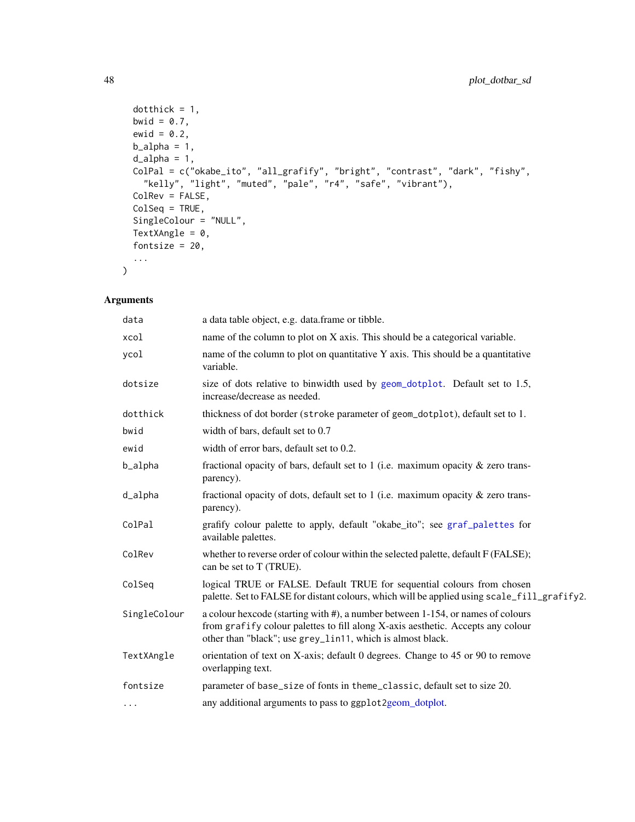```
dotthick = 1,
 bwid = 0.7,
 ewid = 0.2,
 b_21pha = 1,
 d<sup>-</sup>alpha = 1,
 ColPal = c("okabe_ito", "all_grafify", "bright", "contrast", "dark", "fishy",
   "kelly", "light", "muted", "pale", "r4", "safe", "vibrant"),
 ColRev = FALSE,
 ColSeq = TRUE,
 SingleColour = "NULL",
 TextXAngle = 0,
 fontsize = 20,
  ...
)
```

| data         | a data table object, e.g. data.frame or tibble.                                                                                                                                                                                  |
|--------------|----------------------------------------------------------------------------------------------------------------------------------------------------------------------------------------------------------------------------------|
| xcol         | name of the column to plot on X axis. This should be a categorical variable.                                                                                                                                                     |
| ycol         | name of the column to plot on quantitative Y axis. This should be a quantitative<br>variable.                                                                                                                                    |
| dotsize      | size of dots relative to binwidth used by geom_dotplot. Default set to 1.5,<br>increase/decrease as needed.                                                                                                                      |
| dotthick     | thickness of dot border (stroke parameter of geom_dotplot), default set to 1.                                                                                                                                                    |
| bwid         | width of bars, default set to 0.7                                                                                                                                                                                                |
| ewid         | width of error bars, default set to 0.2.                                                                                                                                                                                         |
| b_alpha      | fractional opacity of bars, default set to 1 (i.e. maximum opacity $\&$ zero trans-<br>parency).                                                                                                                                 |
| d_alpha      | fractional opacity of dots, default set to 1 (i.e. maximum opacity $\&$ zero trans-<br>parency).                                                                                                                                 |
| ColPal       | grafify colour palette to apply, default "okabe_ito"; see graf_palettes for<br>available palettes.                                                                                                                               |
| ColRev       | whether to reverse order of colour within the selected palette, default F (FALSE);<br>can be set to T (TRUE).                                                                                                                    |
| ColSeq       | logical TRUE or FALSE. Default TRUE for sequential colours from chosen<br>palette. Set to FALSE for distant colours, which will be applied using scale_fill_grafify2.                                                            |
| SingleColour | a colour hexcode (starting with #), a number between 1-154, or names of colours<br>from grafify colour palettes to fill along X-axis aesthetic. Accepts any colour<br>other than "black"; use grey_lin11, which is almost black. |
| TextXAngle   | orientation of text on X-axis; default 0 degrees. Change to 45 or 90 to remove<br>overlapping text.                                                                                                                              |
| fontsize     | parameter of base_size of fonts in theme_classic, default set to size 20.                                                                                                                                                        |
| $\cdots$     | any additional arguments to pass to ggplot2geom_dotplot.                                                                                                                                                                         |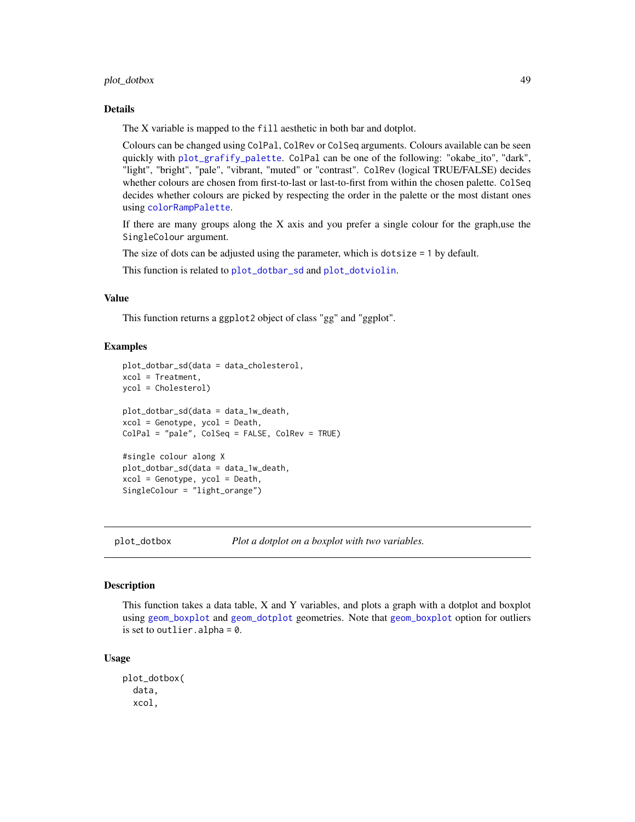# plot\_dotbox 49

#### Details

The X variable is mapped to the fill aesthetic in both bar and dotplot.

Colours can be changed using ColPal, ColRev or ColSeq arguments. Colours available can be seen quickly with [plot\\_grafify\\_palette](#page-53-0). ColPal can be one of the following: "okabe\_ito", "dark", "light", "bright", "pale", "vibrant, "muted" or "contrast". ColRev (logical TRUE/FALSE) decides whether colours are chosen from first-to-last or last-to-first from within the chosen palette. ColSeq decides whether colours are picked by respecting the order in the palette or the most distant ones using [colorRampPalette](#page-0-0).

If there are many groups along the  $X$  axis and you prefer a single colour for the graph, use the SingleColour argument.

The size of dots can be adjusted using the parameter, which is dotsize = 1 by default.

This function is related to [plot\\_dotbar\\_sd](#page-46-0) and [plot\\_dotviolin](#page-50-0).

### Value

This function returns a ggplot2 object of class "gg" and "ggplot".

## Examples

```
plot_dotbar_sd(data = data_cholesterol,
xcol = Treatment,
ycol = Cholesterol)
plot_dotbar_sd(data = data_1w_death,
xcol = Genotype, ycol = Death,
ColPal = "pale", ColSeq = FALSE, ColRev = TRUE)
#single colour along X
plot_dotbar_sd(data = data_1w_death,
```
xcol = Genotype, ycol = Death, SingleColour = "light\_orange")

<span id="page-48-0"></span>

plot\_dotbox *Plot a dotplot on a boxplot with two variables.*

## Description

This function takes a data table, X and Y variables, and plots a graph with a dotplot and boxplot using [geom\\_boxplot](#page-0-0) and [geom\\_dotplot](#page-0-0) geometries. Note that [geom\\_boxplot](#page-0-0) option for outliers is set to outlier. alpha =  $0$ .

#### Usage

plot\_dotbox( data, xcol,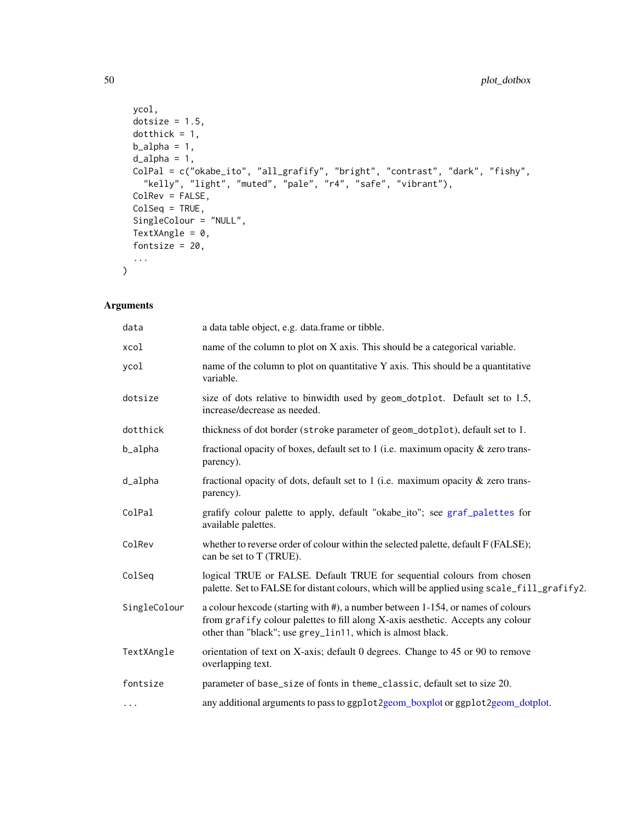```
ycol,
 dotsize = 1.5,
 dotthick = 1,
 b_21pha = 1,
 d<sup>-</sup>alpha = 1,
 ColPal = c("okabe_ito", "all_grafify", "bright", "contrast", "dark", "fishy",
   "kelly", "light", "muted", "pale", "r4", "safe", "vibrant"),
 ColRev = FALSE,
 ColSeq = TRUE,
 SingleColour = "NULL",
 TextXAngle = 0,
 fontsize = 20,
  ...
)
```

| data         | a data table object, e.g. data.frame or tibble.                                                                                                                                                                                  |
|--------------|----------------------------------------------------------------------------------------------------------------------------------------------------------------------------------------------------------------------------------|
| xcol         | name of the column to plot on X axis. This should be a categorical variable.                                                                                                                                                     |
| ycol         | name of the column to plot on quantitative Y axis. This should be a quantitative<br>variable.                                                                                                                                    |
| dotsize      | size of dots relative to binwidth used by geom_dotplot. Default set to 1.5,<br>increase/decrease as needed.                                                                                                                      |
| dotthick     | thickness of dot border (stroke parameter of geom_dotplot), default set to 1.                                                                                                                                                    |
| b_alpha      | fractional opacity of boxes, default set to 1 (i.e. maximum opacity $\&$ zero trans-<br>parency).                                                                                                                                |
| d_alpha      | fractional opacity of dots, default set to 1 (i.e. maximum opacity $\&$ zero trans-<br>parency).                                                                                                                                 |
| ColPal       | grafify colour palette to apply, default "okabe_ito"; see graf_palettes for<br>available palettes.                                                                                                                               |
| ColRev       | whether to reverse order of colour within the selected palette, default F (FALSE);<br>can be set to T (TRUE).                                                                                                                    |
| ColSeq       | logical TRUE or FALSE. Default TRUE for sequential colours from chosen<br>palette. Set to FALSE for distant colours, which will be applied using scale_fill_grafify2.                                                            |
| SingleColour | a colour hexcode (starting with #), a number between 1-154, or names of colours<br>from grafify colour palettes to fill along X-axis aesthetic. Accepts any colour<br>other than "black"; use grey_lin11, which is almost black. |
| TextXAngle   | orientation of text on X-axis; default 0 degrees. Change to 45 or 90 to remove<br>overlapping text.                                                                                                                              |
| fontsize     | parameter of base_size of fonts in theme_classic, default set to size 20.                                                                                                                                                        |
| $\cdots$     | any additional arguments to pass to ggplot2geom_boxplot or ggplot2geom_dotplot.                                                                                                                                                  |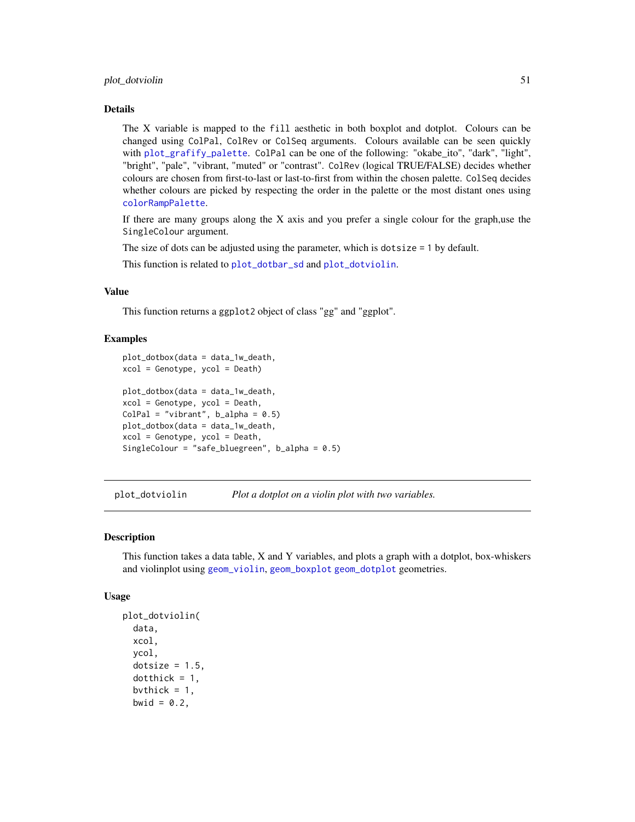#### plot\_dotviolin 51

#### Details

The X variable is mapped to the fill aesthetic in both boxplot and dotplot. Colours can be changed using ColPal, ColRev or ColSeq arguments. Colours available can be seen quickly with [plot\\_grafify\\_palette](#page-53-0). ColPal can be one of the following: "okabe\_ito", "dark", "light", "bright", "pale", "vibrant, "muted" or "contrast". ColRev (logical TRUE/FALSE) decides whether colours are chosen from first-to-last or last-to-first from within the chosen palette. ColSeq decides whether colours are picked by respecting the order in the palette or the most distant ones using [colorRampPalette](#page-0-0).

If there are many groups along the X axis and you prefer a single colour for the graph,use the SingleColour argument.

The size of dots can be adjusted using the parameter, which is dotsize = 1 by default.

This function is related to [plot\\_dotbar\\_sd](#page-46-0) and [plot\\_dotviolin](#page-50-0).

# Value

This function returns a ggplot2 object of class "gg" and "ggplot".

### Examples

```
plot_dotbox(data = data_1w_death,
xcol = Genotype, ycol = Death)
plot_dotbox(data = data_1w_death,
xcol = Genotype, ycol = Death,
ColPal = "vibrant", b_alpha = 0.5)plot_dotbox(data = data_1w_death,
xcol = Genotype, ycol = Death,
SingleColour = "safe_bluegreen", b_alpha = 0.5)
```
<span id="page-50-0"></span>plot\_dotviolin *Plot a dotplot on a violin plot with two variables.*

# Description

This function takes a data table, X and Y variables, and plots a graph with a dotplot, box-whiskers and violinplot using [geom\\_violin](#page-0-0), [geom\\_boxplot](#page-0-0) [geom\\_dotplot](#page-0-0) geometries.

#### Usage

```
plot_dotviolin(
  data,
  xcol,
  ycol,
  dotsize = 1.5,
  dotthick = 1,
  bvthick = 1,
 bwid = 0.2,
```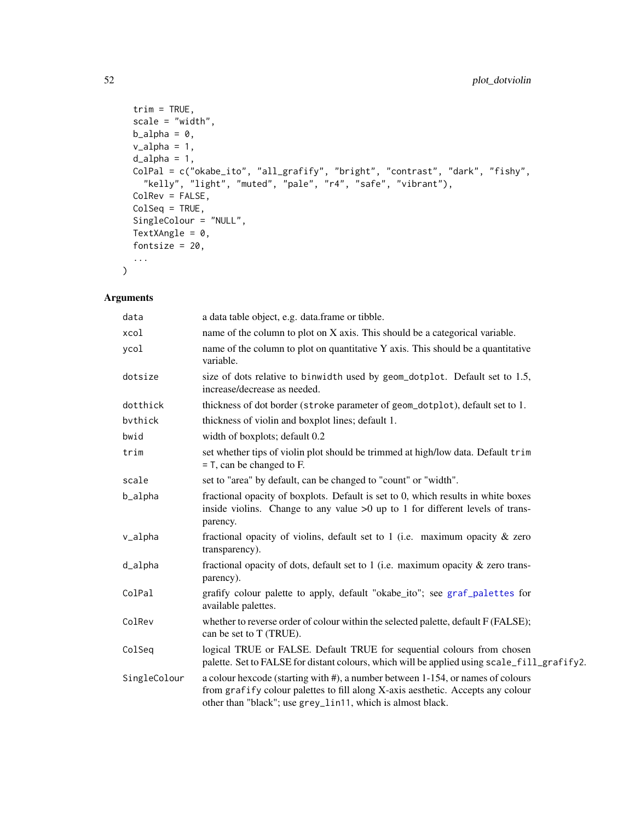```
trim = TRUE,scale = "width",
 b_2lpha = 0,
 v_alpha = 1,
 d<sup>-</sup>alpha = 1,
 ColPal = c("okabe_ito", "all_grafify", "bright", "contrast", "dark", "fishy",
   "kelly", "light", "muted", "pale", "r4", "safe", "vibrant"),
 ColRev = FALSE,
 ColSeq = TRUE,
 SingleColour = "NULL",
 TextXAngle = 0,
 fontsize = 20,
  ...
)
```

| data         | a data table object, e.g. data.frame or tibble.                                                                                                                                                                                  |
|--------------|----------------------------------------------------------------------------------------------------------------------------------------------------------------------------------------------------------------------------------|
| xcol         | name of the column to plot on X axis. This should be a categorical variable.                                                                                                                                                     |
| ycol         | name of the column to plot on quantitative Y axis. This should be a quantitative<br>variable.                                                                                                                                    |
| dotsize      | size of dots relative to binwidth used by geom_dotplot. Default set to 1.5,<br>increase/decrease as needed.                                                                                                                      |
| dotthick     | thickness of dot border (stroke parameter of geom_dotplot), default set to 1.                                                                                                                                                    |
| bythick      | thickness of violin and boxplot lines; default 1.                                                                                                                                                                                |
| bwid         | width of boxplots; default 0.2                                                                                                                                                                                                   |
| trim         | set whether tips of violin plot should be trimmed at high/low data. Default trim<br>$=$ T, can be changed to F.                                                                                                                  |
| scale        | set to "area" by default, can be changed to "count" or "width".                                                                                                                                                                  |
| b_alpha      | fractional opacity of boxplots. Default is set to 0, which results in white boxes<br>inside violins. Change to any value $>0$ up to 1 for different levels of trans-<br>parency.                                                 |
| v_alpha      | fractional opacity of violins, default set to 1 (i.e. maximum opacity $\&$ zero<br>transparency).                                                                                                                                |
| d_alpha      | fractional opacity of dots, default set to 1 (i.e. maximum opacity $\&$ zero trans-<br>parency).                                                                                                                                 |
| ColPal       | grafify colour palette to apply, default "okabe_ito"; see graf_palettes for<br>available palettes.                                                                                                                               |
| ColRev       | whether to reverse order of colour within the selected palette, default F (FALSE);<br>can be set to T (TRUE).                                                                                                                    |
| ColSeq       | logical TRUE or FALSE. Default TRUE for sequential colours from chosen<br>palette. Set to FALSE for distant colours, which will be applied using scale_fill_grafify2.                                                            |
| SingleColour | a colour hexcode (starting with #), a number between 1-154, or names of colours<br>from grafify colour palettes to fill along X-axis aesthetic. Accepts any colour<br>other than "black"; use grey_lin11, which is almost black. |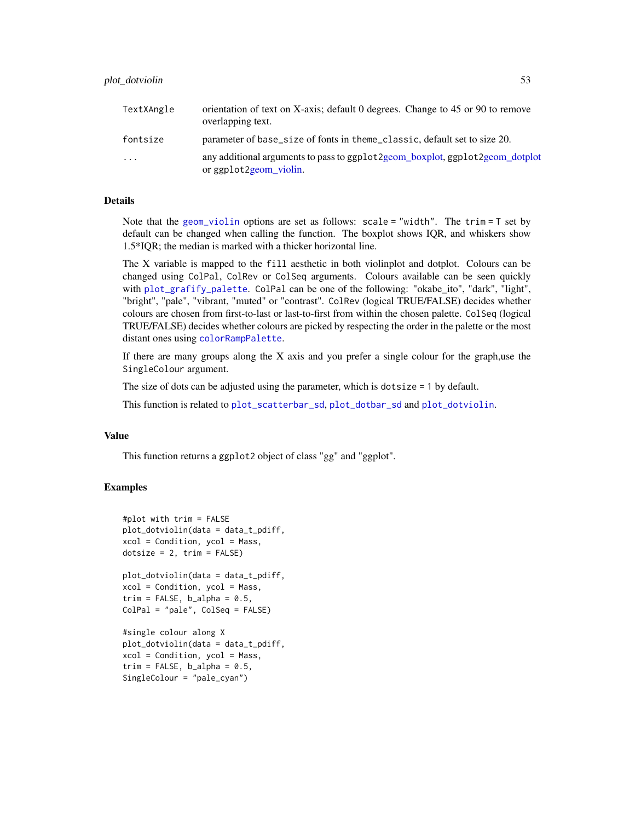| TextXAngle | orientation of text on X-axis; default 0 degrees. Change to 45 or 90 to remove<br>overlapping text.    |
|------------|--------------------------------------------------------------------------------------------------------|
| fontsize   | parameter of base_size of fonts in theme_classic, default set to size 20.                              |
| $\cdot$    | any additional arguments to pass to ggplot2geom_boxplot, ggplot2geom_dotplot<br>or ggplot2geom_violin. |

Note that the [geom\\_violin](#page-0-0) options are set as follows: scale = "width". The trim = T set by default can be changed when calling the function. The boxplot shows IQR, and whiskers show 1.5\*IQR; the median is marked with a thicker horizontal line.

The X variable is mapped to the fill aesthetic in both violinplot and dotplot. Colours can be changed using ColPal, ColRev or ColSeq arguments. Colours available can be seen quickly with [plot\\_grafify\\_palette](#page-53-0). ColPal can be one of the following: "okabe\_ito", "dark", "light", "bright", "pale", "vibrant, "muted" or "contrast". ColRev (logical TRUE/FALSE) decides whether colours are chosen from first-to-last or last-to-first from within the chosen palette. ColSeq (logical TRUE/FALSE) decides whether colours are picked by respecting the order in the palette or the most distant ones using [colorRampPalette](#page-0-0).

If there are many groups along the  $X$  axis and you prefer a single colour for the graph, use the SingleColour argument.

The size of dots can be adjusted using the parameter, which is dotsize = 1 by default.

This function is related to [plot\\_scatterbar\\_sd](#page-60-0), [plot\\_dotbar\\_sd](#page-46-0) and [plot\\_dotviolin](#page-50-0).

### Value

This function returns a ggplot2 object of class "gg" and "ggplot".

```
#plot with trim = FALSE
plot_dotviolin(data = data_t_pdiff,
xcol = Condition, ycol = Mass,
dotsize = 2, trim = FALSE)
plot_dotviolin(data = data_t_pdiff,
```

```
xcol = Condition, ycol = Mass,
trim = FALSE, b_alpha = 0.5,ColPal = "pale", ColSeq = FALSE)
```

```
#single colour along X
plot_dotviolin(data = data_t_pdiff,
xcol = Condition, ycol = Mass,
trim = FALSE, b_alpha = 0.5,SingleColour = "pale_cyan")
```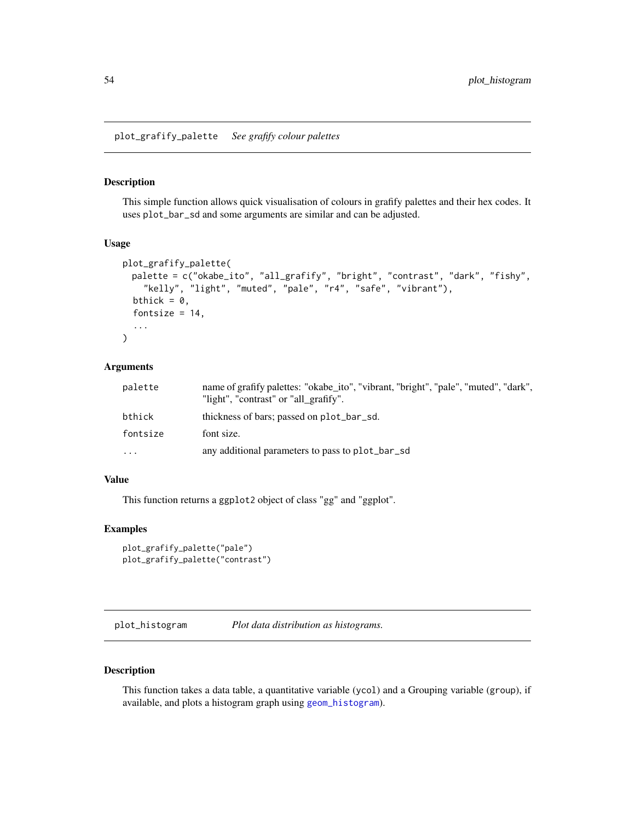<span id="page-53-0"></span>plot\_grafify\_palette *See grafify colour palettes*

# Description

This simple function allows quick visualisation of colours in grafify palettes and their hex codes. It uses plot\_bar\_sd and some arguments are similar and can be adjusted.

## Usage

```
plot_grafify_palette(
 palette = c("okabe_ito", "all_grafify", "bright", "contrast", "dark", "fishy",
    "kelly", "light", "muted", "pale", "r4", "safe", "vibrant"),
  bthick = 0,
  fontsize = 14,
  ...
\mathcal{L}
```
### Arguments

| palette   | name of grafify palettes: "okabe_ito", "vibrant, "bright", "pale", "muted", "dark",<br>"light", "contrast" or "all grafify". |
|-----------|------------------------------------------------------------------------------------------------------------------------------|
| bthick    | thickness of bars; passed on plot_bar_sd.                                                                                    |
| fontsize  | font size.                                                                                                                   |
| $\ddotsc$ | any additional parameters to pass to plot_bar_sd                                                                             |

# Value

This function returns a ggplot2 object of class "gg" and "ggplot".

# Examples

```
plot_grafify_palette("pale")
plot_grafify_palette("contrast")
```
plot\_histogram *Plot data distribution as histograms.*

### Description

This function takes a data table, a quantitative variable (ycol) and a Grouping variable (group), if available, and plots a histogram graph using [geom\\_histogram](#page-0-0)).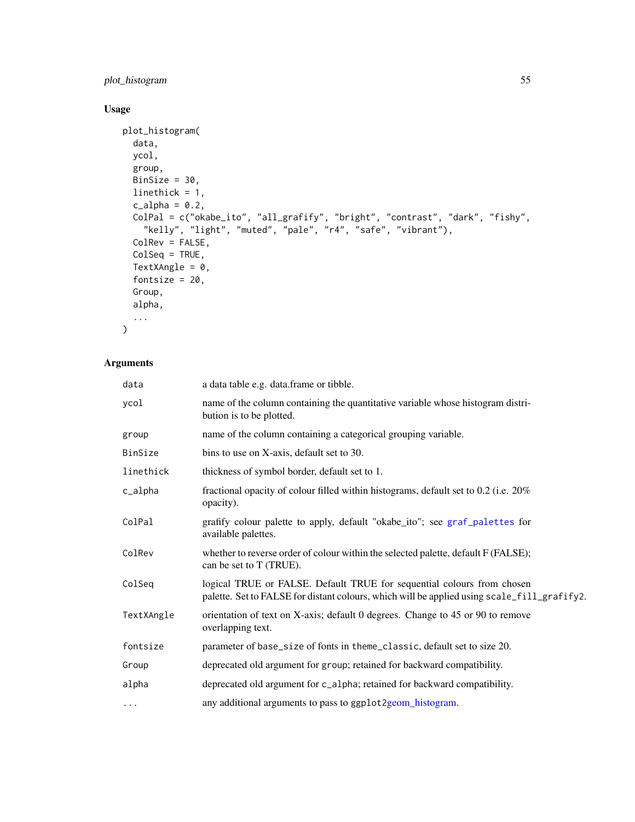# plot\_histogram 55

# Usage

```
plot_histogram(
  data,
  ycol,
  group,
  BinSize = 30,
  linethick = 1,
  c_{a}lpha = 0.2,
  ColPal = c("okabe_ito", "all_grafify", "bright", "contrast", "dark", "fishy",
    "kelly", "light", "muted", "pale", "r4", "safe", "vibrant"),
  ColRev = FALSE,
  ColSeq = TRUE,TextXAngle = 0,
  fontsize = 20,
  Group,
  alpha,
  ...
)
```

| data       | a data table e.g. data.frame or tibble.                                                                                                                               |
|------------|-----------------------------------------------------------------------------------------------------------------------------------------------------------------------|
| ycol       | name of the column containing the quantitative variable whose histogram distri-<br>bution is to be plotted.                                                           |
| group      | name of the column containing a categorical grouping variable.                                                                                                        |
| BinSize    | bins to use on X-axis, default set to 30.                                                                                                                             |
| linethick  | thickness of symbol border, default set to 1.                                                                                                                         |
| c_alpha    | fractional opacity of colour filled within histograms, default set to 0.2 (i.e. 20%<br>opacity).                                                                      |
| ColPal     | grafify colour palette to apply, default "okabe_ito"; see graf_palettes for<br>available palettes.                                                                    |
| ColRev     | whether to reverse order of colour within the selected palette, default F (FALSE);<br>can be set to T (TRUE).                                                         |
| ColSeq     | logical TRUE or FALSE. Default TRUE for sequential colours from chosen<br>palette. Set to FALSE for distant colours, which will be applied using scale_fill_grafify2. |
| TextXAngle | orientation of text on X-axis; default 0 degrees. Change to 45 or 90 to remove<br>overlapping text.                                                                   |
| fontsize   | parameter of base_size of fonts in theme_classic, default set to size 20.                                                                                             |
| Group      | deprecated old argument for group; retained for backward compatibility.                                                                                               |
| alpha      | deprecated old argument for c_alpha; retained for backward compatibility.                                                                                             |
| $\cdots$   | any additional arguments to pass to ggplot2geom_histogram.                                                                                                            |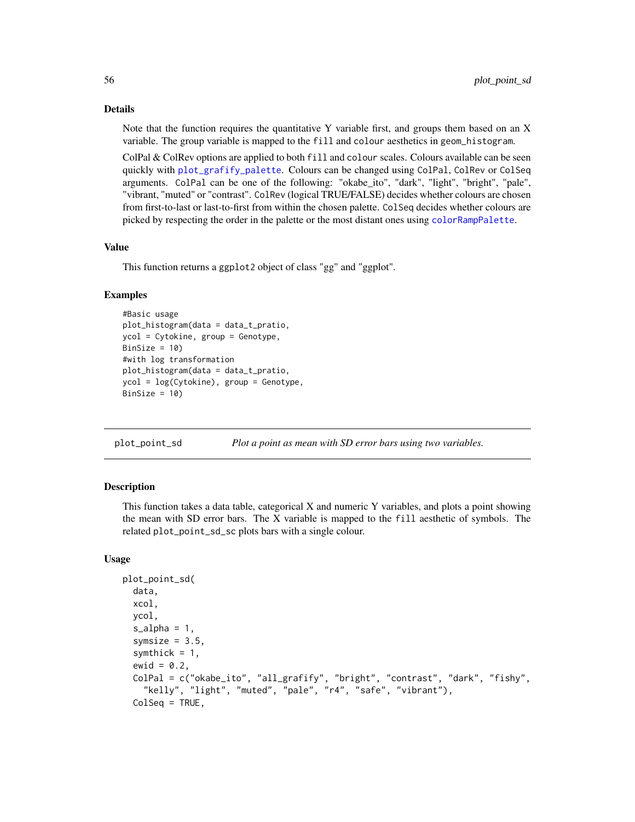Note that the function requires the quantitative Y variable first, and groups them based on an X variable. The group variable is mapped to the fill and colour aesthetics in geom\_histogram.

ColPal & ColRev options are applied to both fill and colour scales. Colours available can be seen quickly with [plot\\_grafify\\_palette](#page-53-0). Colours can be changed using ColPal, ColRev or ColSeq arguments. ColPal can be one of the following: "okabe\_ito", "dark", "light", "bright", "pale", "vibrant, "muted" or "contrast". ColRev (logical TRUE/FALSE) decides whether colours are chosen from first-to-last or last-to-first from within the chosen palette. ColSeq decides whether colours are picked by respecting the order in the palette or the most distant ones using [colorRampPalette](#page-0-0).

# Value

This function returns a ggplot2 object of class "gg" and "ggplot".

# Examples

```
#Basic usage
plot_histogram(data = data_t_pratio,
ycol = Cytokine, group = Genotype,
BinSize = 10)
#with log transformation
plot_histogram(data = data_t_pratio,
ycol = log(Cytokine), group = Genotype,
BinSize = 10)
```
plot\_point\_sd *Plot a point as mean with SD error bars using two variables.*

## **Description**

This function takes a data table, categorical X and numeric Y variables, and plots a point showing the mean with SD error bars. The X variable is mapped to the fill aesthetic of symbols. The related plot\_point\_sd\_sc plots bars with a single colour.

#### Usage

```
plot_point_sd(
  data,
  xcol,
  ycol,
  s<sup>2</sup>lpha = 1,
  symsize = 3.5,
  symthick = 1,
  ewid = 0.2,
  ColPal = c("okabe_ito", "all_grafify", "bright", "contrast", "dark", "fishy",
    "kelly", "light", "muted", "pale", "r4", "safe", "vibrant"),
  ColSeq = TRUE,
```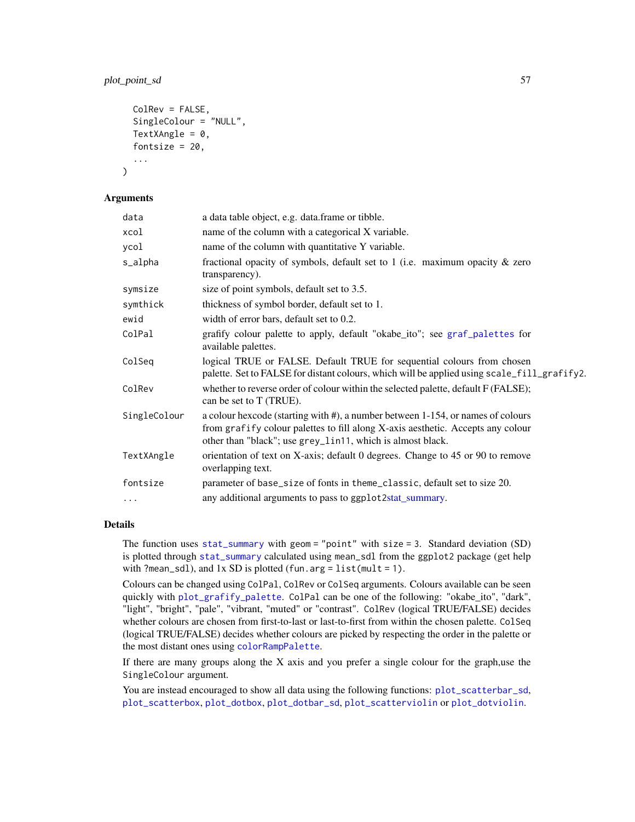# plot\_point\_sd 57

```
ColRev = FALSE,
SingleColour = "NULL",
TextXAngle = 0,
fontsize = 20,
...
```
# Arguments

 $\mathcal{L}$ 

| data         | a data table object, e.g. data.frame or tibble.                                                                                                                                                                                  |
|--------------|----------------------------------------------------------------------------------------------------------------------------------------------------------------------------------------------------------------------------------|
| xcol         | name of the column with a categorical X variable.                                                                                                                                                                                |
| ycol         | name of the column with quantitative Y variable.                                                                                                                                                                                 |
| s_alpha      | fractional opacity of symbols, default set to 1 (i.e. maximum opacity $\&$ zero<br>transparency).                                                                                                                                |
| symsize      | size of point symbols, default set to 3.5.                                                                                                                                                                                       |
| symthick     | thickness of symbol border, default set to 1.                                                                                                                                                                                    |
| ewid         | width of error bars, default set to 0.2.                                                                                                                                                                                         |
| ColPal       | grafify colour palette to apply, default "okabe_ito"; see graf_palettes for<br>available palettes.                                                                                                                               |
| ColSeq       | logical TRUE or FALSE. Default TRUE for sequential colours from chosen<br>palette. Set to FALSE for distant colours, which will be applied using scale_fill_grafify2.                                                            |
| ColRev       | whether to reverse order of colour within the selected palette, default F (FALSE);<br>can be set to T (TRUE).                                                                                                                    |
| SingleColour | a colour hexcode (starting with #), a number between 1-154, or names of colours<br>from grafify colour palettes to fill along X-axis aesthetic. Accepts any colour<br>other than "black"; use grey_lin11, which is almost black. |
| TextXAngle   | orientation of text on X-axis; default 0 degrees. Change to 45 or 90 to remove<br>overlapping text.                                                                                                                              |
| fontsize     | parameter of base_size of fonts in theme_classic, default set to size 20.                                                                                                                                                        |
| .            | any additional arguments to pass to ggplot2stat_summary.                                                                                                                                                                         |

# Details

The function uses [stat\\_summary](#page-0-0) with geom = "point" with size = 3. Standard deviation (SD) is plotted through [stat\\_summary](#page-0-0) calculated using mean\_sdl from the ggplot2 package (get help with ?mean\_sdl), and  $1x$  SD is plotted (fun.arg = list(mult = 1).

Colours can be changed using ColPal, ColRev or ColSeq arguments. Colours available can be seen quickly with [plot\\_grafify\\_palette](#page-53-0). ColPal can be one of the following: "okabe\_ito", "dark", "light", "bright", "pale", "vibrant, "muted" or "contrast". ColRev (logical TRUE/FALSE) decides whether colours are chosen from first-to-last or last-to-first from within the chosen palette. ColSeq (logical TRUE/FALSE) decides whether colours are picked by respecting the order in the palette or the most distant ones using [colorRampPalette](#page-0-0).

If there are many groups along the X axis and you prefer a single colour for the graph,use the SingleColour argument.

You are instead encouraged to show all data using the following functions:  $plot\_scatterbar\_sd$ , [plot\\_scatterbox](#page-62-0), [plot\\_dotbox](#page-48-0), [plot\\_dotbar\\_sd](#page-46-0), [plot\\_scatterviolin](#page-64-0) or [plot\\_dotviolin](#page-50-0).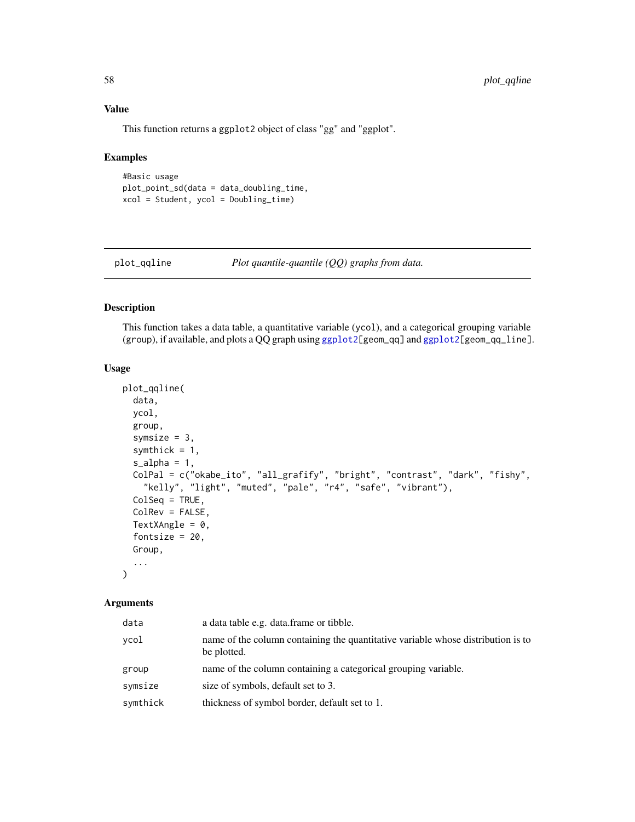# Value

This function returns a ggplot2 object of class "gg" and "ggplot".

# Examples

```
#Basic usage
plot_point_sd(data = data_doubling_time,
xcol = Student, ycol = Doubling_time)
```
plot\_qqline *Plot quantile-quantile (QQ) graphs from data.*

# Description

This function takes a data table, a quantitative variable (ycol), and a categorical grouping variable (group), if available, and plots a QQ graph using [ggplot2\[](#page-0-0)geom\_qq] and [ggplot2\[](#page-0-0)geom\_qq\_line].

### Usage

```
plot_qqline(
 data,
 ycol,
 group,
  symsize = 3,
  symthick = 1,
  s<sup>2</sup>lpha = 1,
 ColPal = c("okabe_ito", "all_grafify", "bright", "contrast", "dark", "fishy",
    "kelly", "light", "muted", "pale", "r4", "safe", "vibrant"),
 ColSeq = TRUE,
 ColRev = FALSE,
 TextXAngle = 0,
  fontsize = 20,
 Group,
  ...
)
```

| data     | a data table e.g. data.frame or tibble.                                                         |
|----------|-------------------------------------------------------------------------------------------------|
| ycol     | name of the column containing the quantitative variable whose distribution is to<br>be plotted. |
| group    | name of the column containing a categorical grouping variable.                                  |
| symsize  | size of symbols, default set to 3.                                                              |
| symthick | thickness of symbol border, default set to 1.                                                   |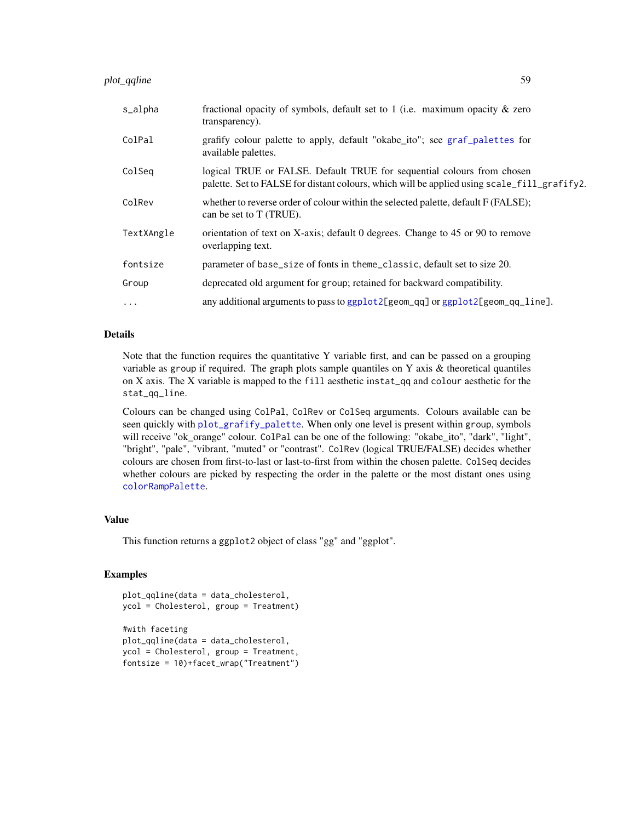| s_alpha    | fractional opacity of symbols, default set to 1 (i.e. maximum opacity $\&$ zero<br>transparency).                                                                     |
|------------|-----------------------------------------------------------------------------------------------------------------------------------------------------------------------|
| ColPal     | grafify colour palette to apply, default "okabe_ito"; see graf_palettes for<br>available palettes.                                                                    |
| ColSeq     | logical TRUE or FALSE. Default TRUE for sequential colours from chosen<br>palette. Set to FALSE for distant colours, which will be applied using scale_fill_grafify2. |
| ColRev     | whether to reverse order of colour within the selected palette, default F (FALSE);<br>can be set to T (TRUE).                                                         |
| TextXAngle | orientation of text on X-axis; default 0 degrees. Change to 45 or 90 to remove<br>overlapping text.                                                                   |
| fontsize   | parameter of base_size of fonts in theme_classic, default set to size 20.                                                                                             |
| Group      | deprecated old argument for group; retained for backward compatibility.                                                                                               |
| $\cdots$   | any additional arguments to pass to ggplot2[geom_qq] or ggplot2[geom_qq_line].                                                                                        |

Note that the function requires the quantitative Y variable first, and can be passed on a grouping variable as group if required. The graph plots sample quantiles on Y axis  $\&$  theoretical quantiles on X axis. The X variable is mapped to the fill aesthetic instat\_qq and colour aesthetic for the stat\_qq\_line.

Colours can be changed using ColPal, ColRev or ColSeq arguments. Colours available can be seen quickly with [plot\\_grafify\\_palette](#page-53-0). When only one level is present within group, symbols will receive "ok\_orange" colour. ColPal can be one of the following: "okabe\_ito", "dark", "light", "bright", "pale", "vibrant, "muted" or "contrast". ColRev (logical TRUE/FALSE) decides whether colours are chosen from first-to-last or last-to-first from within the chosen palette. ColSeq decides whether colours are picked by respecting the order in the palette or the most distant ones using [colorRampPalette](#page-0-0).

# Value

This function returns a ggplot2 object of class "gg" and "ggplot".

```
plot_qqline(data = data_cholesterol,
ycol = Cholesterol, group = Treatment)
```

```
#with faceting
plot_qqline(data = data_cholesterol,
ycol = Cholesterol, group = Treatment,
fontsize = 10)+facet_wrap("Treatment")
```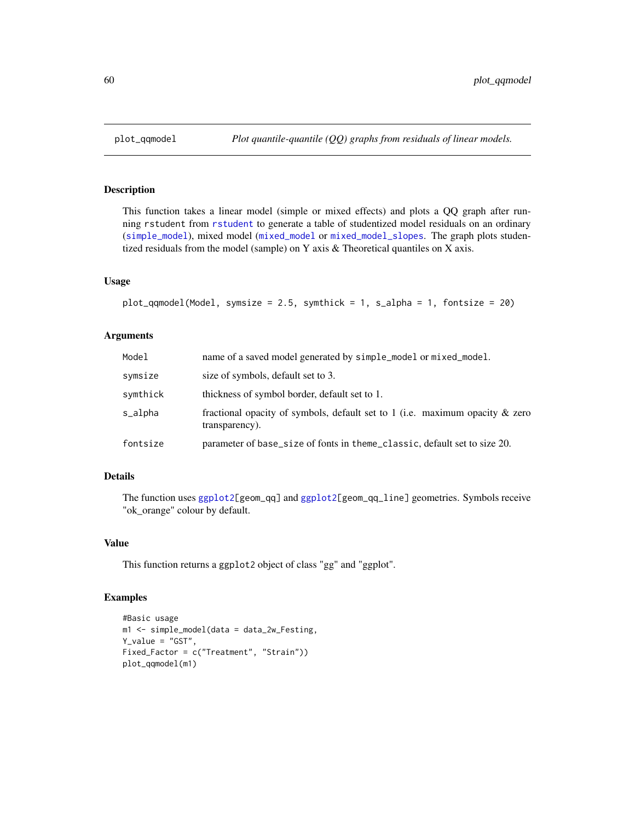# Description

This function takes a linear model (simple or mixed effects) and plots a QQ graph after running rstudent from [rstudent](#page-0-0) to generate a table of studentized model residuals on an ordinary ([simple\\_model](#page-85-0)), mixed model ([mixed\\_model](#page-18-0) or [mixed\\_model\\_slopes](#page-19-0). The graph plots studentized residuals from the model (sample) on Y axis & Theoretical quantiles on X axis.

#### Usage

```
plot_qqmodel(Model, symsize = 2.5, symthick = 1, s_alpha = 1, fontsize = 20)
```
# Arguments

| Model    | name of a saved model generated by simple_model or mixed_model.                                |
|----------|------------------------------------------------------------------------------------------------|
| symsize  | size of symbols, default set to 3.                                                             |
| symthick | thickness of symbol border, default set to 1.                                                  |
| s_alpha  | fractional opacity of symbols, default set to 1 (i.e. maximum opacity & zero<br>transparency). |
| fontsize | parameter of base_size of fonts in theme_classic, default set to size 20.                      |

# Details

The function uses [ggplot2\[](#page-0-0)geom\_qq] and [ggplot2\[](#page-0-0)geom\_qq\_line] geometries. Symbols receive "ok\_orange" colour by default.

# Value

This function returns a ggplot2 object of class "gg" and "ggplot".

```
#Basic usage
m1 <- simple_model(data = data_2w_Festing,
Y_value = "GST",
Fixed_Factor = c("Treatment", "Strain"))
plot_qqmodel(m1)
```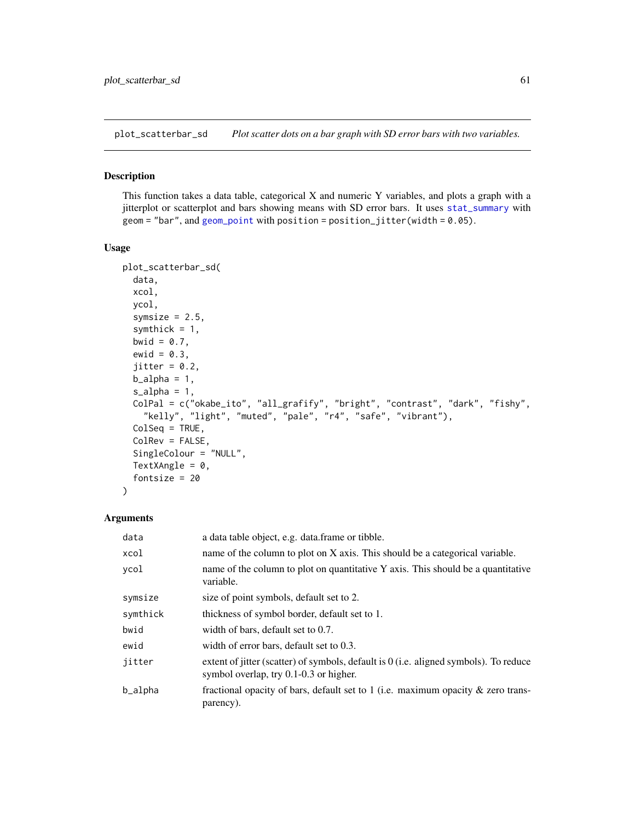<span id="page-60-0"></span>plot\_scatterbar\_sd *Plot scatter dots on a bar graph with SD error bars with two variables.*

# Description

This function takes a data table, categorical X and numeric Y variables, and plots a graph with a jitterplot or scatterplot and bars showing means with SD error bars. It uses [stat\\_summary](#page-0-0) with  $geom = "bar", and geom\_point with position = position\_jitter(width = 0.05).$ 

#### Usage

```
plot_scatterbar_sd(
  data,
  xcol,
 ycol,
  symsize = 2.5,
  symthick = 1,
 bwid = 0.7,
 ewid = 0.3,
  jitter = 0.2,
 b_21pha = 1,
  s_alpha = 1,
 ColPal = c("okabe_ito", "all_grafify", "bright", "contrast", "dark", "fishy",
    "kelly", "light", "muted", "pale", "r4", "safe", "vibrant"),
 ColSeq = TRUE,ColRev = FALSE,SingleColour = "NULL",
 TextXAngle = 0,
  fontsize = 20
)
```

| data     | a data table object, e.g. data frame or tibble.                                                                                   |
|----------|-----------------------------------------------------------------------------------------------------------------------------------|
| xcol     | name of the column to plot on X axis. This should be a categorical variable.                                                      |
| ycol     | name of the column to plot on quantitative $Y$ axis. This should be a quantitative<br>variable.                                   |
| symsize  | size of point symbols, default set to 2.                                                                                          |
| symthick | thickness of symbol border, default set to 1.                                                                                     |
| bwid     | width of bars, default set to 0.7.                                                                                                |
| ewid     | width of error bars, default set to 0.3.                                                                                          |
| jitter   | extent of jitter (scatter) of symbols, default is $0$ (i.e. aligned symbols). To reduce<br>symbol overlap, try 0.1-0.3 or higher. |
| b_alpha  | fractional opacity of bars, default set to 1 (i.e. maximum opacity $\&$ zero trans-<br>parency).                                  |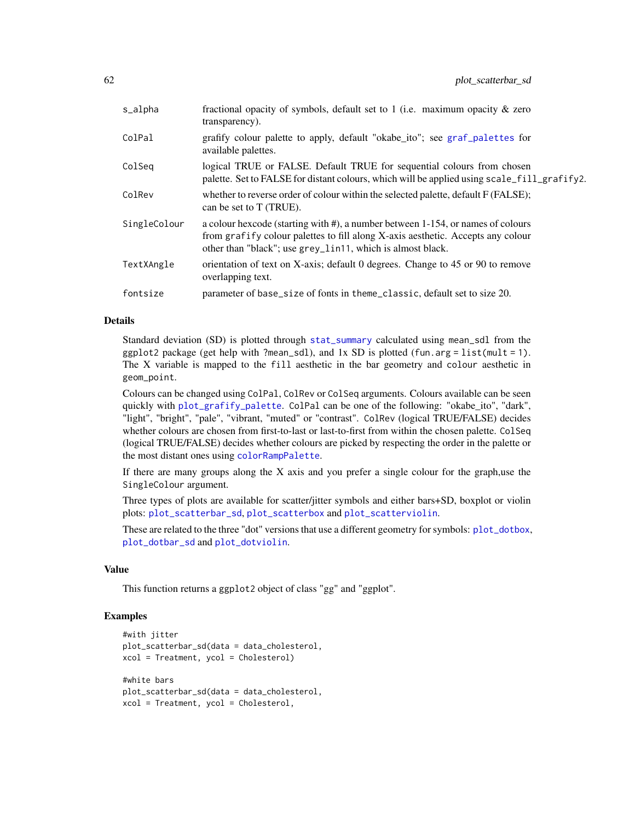| s_alpha      | fractional opacity of symbols, default set to 1 (i.e. maximum opacity $\&$ zero<br>transparency).                                                                                                                                |
|--------------|----------------------------------------------------------------------------------------------------------------------------------------------------------------------------------------------------------------------------------|
| ColPal       | grafify colour palette to apply, default "okabe_ito"; see graf_palettes for<br>available palettes.                                                                                                                               |
| ColSeq       | logical TRUE or FALSE. Default TRUE for sequential colours from chosen<br>palette. Set to FALSE for distant colours, which will be applied using scale_fill_grafify2.                                                            |
| ColRev       | whether to reverse order of colour within the selected palette, default F (FALSE);<br>can be set to T (TRUE).                                                                                                                    |
| SingleColour | a colour hexcode (starting with #), a number between 1-154, or names of colours<br>from grafify colour palettes to fill along X-axis aesthetic. Accepts any colour<br>other than "black"; use grey_lin11, which is almost black. |
| TextXAngle   | orientation of text on X-axis; default 0 degrees. Change to 45 or 90 to remove<br>overlapping text.                                                                                                                              |
| fontsize     | parameter of base_size of fonts in theme_classic, default set to size 20.                                                                                                                                                        |

Standard deviation (SD) is plotted through [stat\\_summary](#page-0-0) calculated using mean\_sdl from the ggplot2 package (get help with ?mean\_sdl), and  $1x$  SD is plotted (fun.arg = list(mult = 1). The X variable is mapped to the fill aesthetic in the bar geometry and colour aesthetic in geom\_point.

Colours can be changed using ColPal, ColRev or ColSeq arguments. Colours available can be seen quickly with [plot\\_grafify\\_palette](#page-53-0). ColPal can be one of the following: "okabe\_ito", "dark", "light", "bright", "pale", "vibrant, "muted" or "contrast". ColRev (logical TRUE/FALSE) decides whether colours are chosen from first-to-last or last-to-first from within the chosen palette. ColSeq (logical TRUE/FALSE) decides whether colours are picked by respecting the order in the palette or the most distant ones using [colorRampPalette](#page-0-0).

If there are many groups along the X axis and you prefer a single colour for the graph,use the SingleColour argument.

Three types of plots are available for scatter/jitter symbols and either bars+SD, boxplot or violin plots: [plot\\_scatterbar\\_sd](#page-60-0), [plot\\_scatterbox](#page-62-0) and [plot\\_scatterviolin](#page-64-0).

These are related to the three "dot" versions that use a different geometry for symbols: [plot\\_dotbox](#page-48-0), [plot\\_dotbar\\_sd](#page-46-0) and [plot\\_dotviolin](#page-50-0).

### Value

This function returns a ggplot2 object of class "gg" and "ggplot".

```
#with jitter
plot_scatterbar_sd(data = data_cholesterol,
xcol = Treatment, ycol = Cholesterol)
#white bars
plot_scatterbar_sd(data = data_cholesterol,
xcol = Treatment, ycol = Cholesterol,
```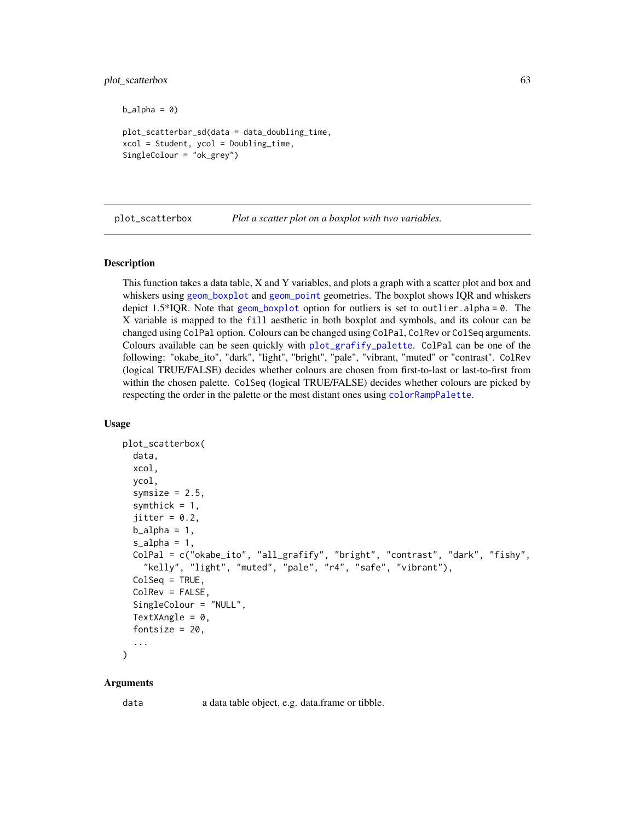### plot\_scatterbox 63

 $b_alpha = 0$ 

```
plot_scatterbar_sd(data = data_doubling_time,
xcol = Student, ycol = Doubling_time,
SingleColour = "ok_grey")
```
<span id="page-62-0"></span>plot\_scatterbox *Plot a scatter plot on a boxplot with two variables.*

# Description

This function takes a data table, X and Y variables, and plots a graph with a scatter plot and box and whiskers using [geom\\_boxplot](#page-0-0) and [geom\\_point](#page-0-0) geometries. The boxplot shows IQR and whiskers depict  $1.5*IQR$ . Note that [geom\\_boxplot](#page-0-0) option for outliers is set to outlier. alpha = 0. The X variable is mapped to the fill aesthetic in both boxplot and symbols, and its colour can be changed using ColPal option. Colours can be changed using ColPal, ColRev or ColSeq arguments. Colours available can be seen quickly with [plot\\_grafify\\_palette](#page-53-0). ColPal can be one of the following: "okabe\_ito", "dark", "light", "bright", "pale", "vibrant, "muted" or "contrast". ColRev (logical TRUE/FALSE) decides whether colours are chosen from first-to-last or last-to-first from within the chosen palette. ColSeq (logical TRUE/FALSE) decides whether colours are picked by respecting the order in the palette or the most distant ones using [colorRampPalette](#page-0-0).

### Usage

```
plot_scatterbox(
  data,
  xcol,
  ycol,
  symsize = 2.5,
  symthick = 1,
  jitter = 0.2,
  b_21pha = 1,
  s<sup>2</sup>J<sub>2</sub>h<sub>a</sub> = 1,
  ColPal = c("okabe_ito", "all_grafify", "bright", "contrast", "dark", "fishy",
    "kelly", "light", "muted", "pale", "r4", "safe", "vibrant"),
  ColSeq = TRUE,
  ColRev = FALSE,
  SingleColour = "NULL",
  TextXAngle = 0,
  fontsize = 20,
  ...
)
```
#### Arguments

data a data table object, e.g. data.frame or tibble.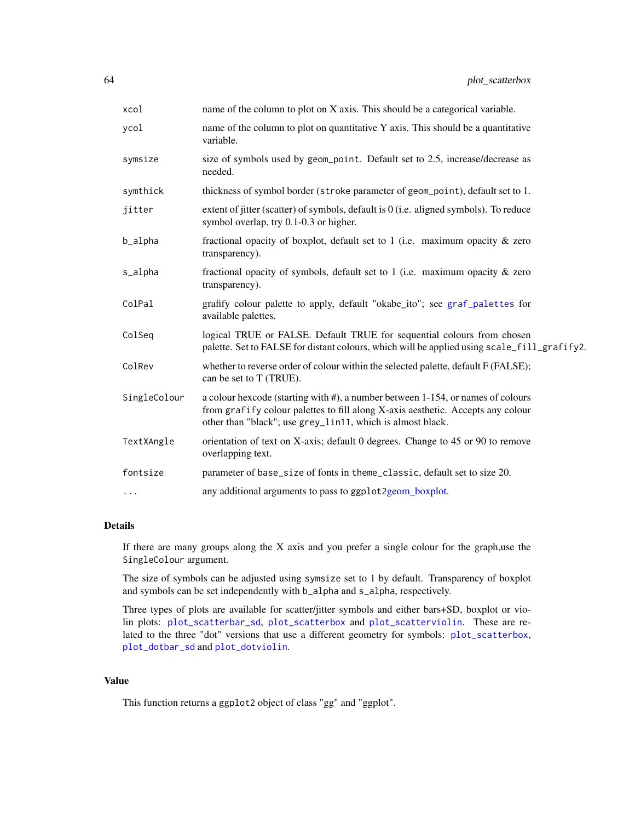| xcol         | name of the column to plot on X axis. This should be a categorical variable.                                                                                                                                                     |
|--------------|----------------------------------------------------------------------------------------------------------------------------------------------------------------------------------------------------------------------------------|
| ycol         | name of the column to plot on quantitative Y axis. This should be a quantitative<br>variable.                                                                                                                                    |
| symsize      | size of symbols used by geom_point. Default set to 2.5, increase/decrease as<br>needed.                                                                                                                                          |
| symthick     | thickness of symbol border (stroke parameter of geom_point), default set to 1.                                                                                                                                                   |
| jitter       | extent of jitter (scatter) of symbols, default is $0$ (i.e. aligned symbols). To reduce<br>symbol overlap, try 0.1-0.3 or higher.                                                                                                |
| b_alpha      | fractional opacity of boxplot, default set to 1 (i.e. maximum opacity $\&$ zero<br>transparency).                                                                                                                                |
| s_alpha      | fractional opacity of symbols, default set to 1 (i.e. maximum opacity $\&$ zero<br>transparency).                                                                                                                                |
| ColPal       | grafify colour palette to apply, default "okabe_ito"; see graf_palettes for<br>available palettes.                                                                                                                               |
| ColSeq       | logical TRUE or FALSE. Default TRUE for sequential colours from chosen<br>palette. Set to FALSE for distant colours, which will be applied using scale_fill_grafify2.                                                            |
| ColRev       | whether to reverse order of colour within the selected palette, default F (FALSE);<br>can be set to T (TRUE).                                                                                                                    |
| SingleColour | a colour hexcode (starting with #), a number between 1-154, or names of colours<br>from grafify colour palettes to fill along X-axis aesthetic. Accepts any colour<br>other than "black"; use grey_lin11, which is almost black. |
| TextXAngle   | orientation of text on X-axis; default 0 degrees. Change to 45 or 90 to remove<br>overlapping text.                                                                                                                              |
| fontsize     | parameter of base_size of fonts in theme_classic, default set to size 20.                                                                                                                                                        |
| $\cdots$     | any additional arguments to pass to ggplot2geom_boxplot.                                                                                                                                                                         |

If there are many groups along the X axis and you prefer a single colour for the graph,use the SingleColour argument.

The size of symbols can be adjusted using symsize set to 1 by default. Transparency of boxplot and symbols can be set independently with b\_alpha and s\_alpha, respectively.

Three types of plots are available for scatter/jitter symbols and either bars+SD, boxplot or violin plots: [plot\\_scatterbar\\_sd](#page-60-0), [plot\\_scatterbox](#page-62-0) and [plot\\_scatterviolin](#page-64-0). These are related to the three "dot" versions that use a different geometry for symbols: [plot\\_scatterbox](#page-62-0), [plot\\_dotbar\\_sd](#page-46-0) and [plot\\_dotviolin](#page-50-0).

# Value

This function returns a ggplot2 object of class "gg" and "ggplot".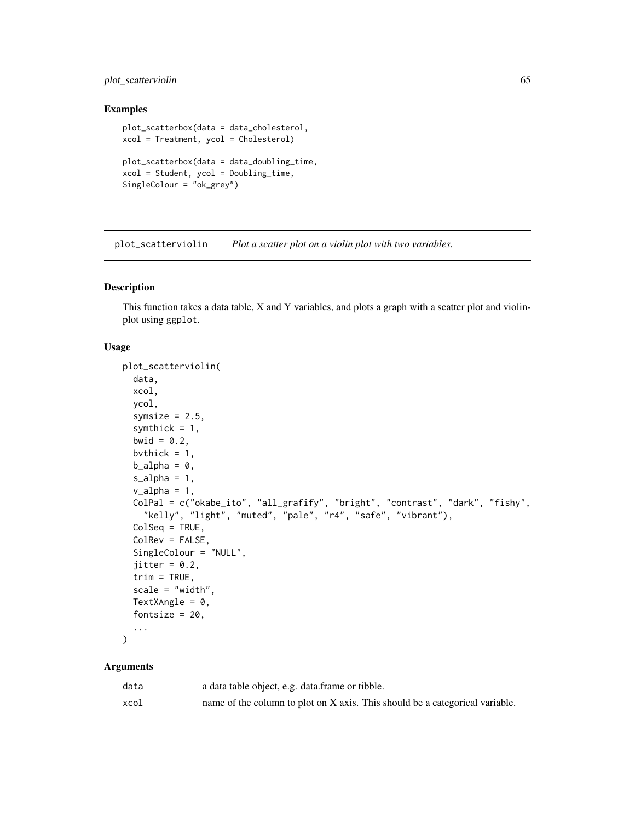# plot\_scatterviolin 65

## Examples

```
plot_scatterbox(data = data_cholesterol,
xcol = Treatment, ycol = Cholesterol)
plot_scatterbox(data = data_doubling_time,
xcol = Student, ycol = Doubling_time,
SingleColour = "ok_grey")
```
<span id="page-64-0"></span>plot\_scatterviolin *Plot a scatter plot on a violin plot with two variables.*

### Description

This function takes a data table, X and Y variables, and plots a graph with a scatter plot and violinplot using ggplot.

## Usage

```
plot_scatterviolin(
 data,
  xcol,
 ycol,
  symsize = 2.5,
  symthick = 1,
 bwid = 0.2,
 bvthick = 1,
 b<sup>= 0</sup>,
  s_alpha = 1,
  v_\text{alpha} = 1,
 ColPal = c("okabe_ito", "all_grafify", "bright", "contrast", "dark", "fishy",
    "kelly", "light", "muted", "pale", "r4", "safe", "vibrant"),
 ColSeq = TRUE,ColRev = FALSE,
  SingleColour = "NULL",
  jitter = 0.2,
  trim = TRUE,scale = "width",
 TextXAngle = 0,
 fontsize = 20,
  ...
)
```

| data | a data table object, e.g. data.frame or tibble.                              |
|------|------------------------------------------------------------------------------|
| xcol | name of the column to plot on X axis. This should be a categorical variable. |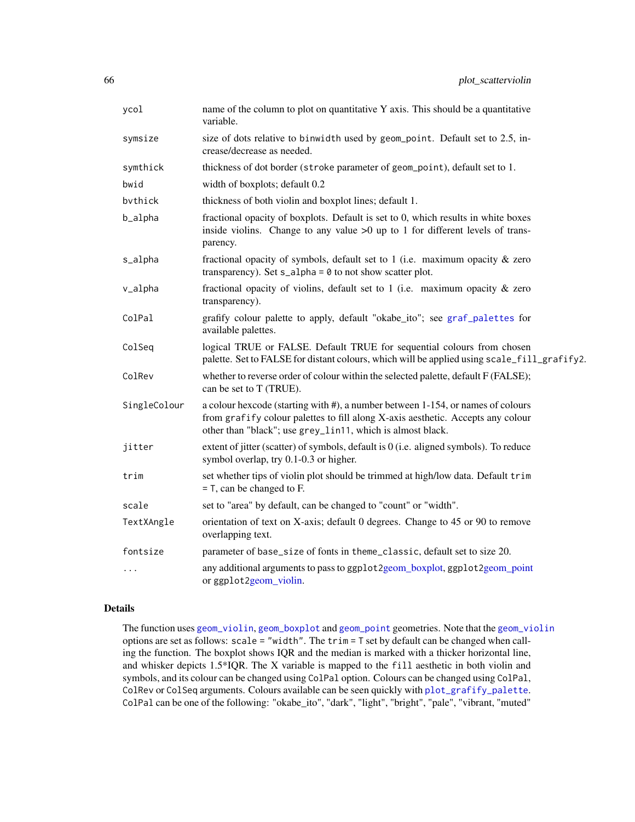| ycol         | name of the column to plot on quantitative Y axis. This should be a quantitative<br>variable.                                                                                                                                    |
|--------------|----------------------------------------------------------------------------------------------------------------------------------------------------------------------------------------------------------------------------------|
| symsize      | size of dots relative to binwidth used by geom_point. Default set to 2.5, in-<br>crease/decrease as needed.                                                                                                                      |
| symthick     | thickness of dot border (stroke parameter of geom_point), default set to 1.                                                                                                                                                      |
| bwid         | width of boxplots; default 0.2                                                                                                                                                                                                   |
| bythick      | thickness of both violin and boxplot lines; default 1.                                                                                                                                                                           |
| b_alpha      | fractional opacity of boxplots. Default is set to 0, which results in white boxes<br>inside violins. Change to any value $>0$ up to 1 for different levels of trans-<br>parency.                                                 |
| s_alpha      | fractional opacity of symbols, default set to 1 (i.e. maximum opacity $\&$ zero<br>transparency). Set $s$ _alpha = $\theta$ to not show scatter plot.                                                                            |
| v_alpha      | fractional opacity of violins, default set to 1 (i.e. maximum opacity $\&$ zero<br>transparency).                                                                                                                                |
| ColPal       | grafify colour palette to apply, default "okabe_ito"; see graf_palettes for<br>available palettes.                                                                                                                               |
| ColSeq       | logical TRUE or FALSE. Default TRUE for sequential colours from chosen<br>palette. Set to FALSE for distant colours, which will be applied using scale_fill_grafify2.                                                            |
| ColRev       | whether to reverse order of colour within the selected palette, default F (FALSE);<br>can be set to T (TRUE).                                                                                                                    |
| SingleColour | a colour hexcode (starting with #), a number between 1-154, or names of colours<br>from grafify colour palettes to fill along X-axis aesthetic. Accepts any colour<br>other than "black"; use grey_lin11, which is almost black. |
| jitter       | extent of jitter (scatter) of symbols, default is 0 (i.e. aligned symbols). To reduce<br>symbol overlap, try 0.1-0.3 or higher.                                                                                                  |
| trim         | set whether tips of violin plot should be trimmed at high/low data. Default trim<br>$=$ T, can be changed to F.                                                                                                                  |
| scale        | set to "area" by default, can be changed to "count" or "width".                                                                                                                                                                  |
| TextXAngle   | orientation of text on X-axis; default 0 degrees. Change to 45 or 90 to remove<br>overlapping text.                                                                                                                              |
| fontsize     | parameter of base_size of fonts in theme_classic, default set to size 20.                                                                                                                                                        |
| .            | any additional arguments to pass to ggplot2geom_boxplot, ggplot2geom_point<br>or ggplot2geom_violin.                                                                                                                             |

The function uses [geom\\_violin](#page-0-0), [geom\\_boxplot](#page-0-0) and [geom\\_point](#page-0-0) geometries. Note that the [geom\\_violin](#page-0-0) options are set as follows: scale = "width". The trim = T set by default can be changed when calling the function. The boxplot shows IQR and the median is marked with a thicker horizontal line, and whisker depicts 1.5\*IQR. The X variable is mapped to the fill aesthetic in both violin and symbols, and its colour can be changed using ColPal option. Colours can be changed using ColPal, ColRev or ColSeq arguments. Colours available can be seen quickly with [plot\\_grafify\\_palette](#page-53-0). ColPal can be one of the following: "okabe\_ito", "dark", "light", "bright", "pale", "vibrant, "muted"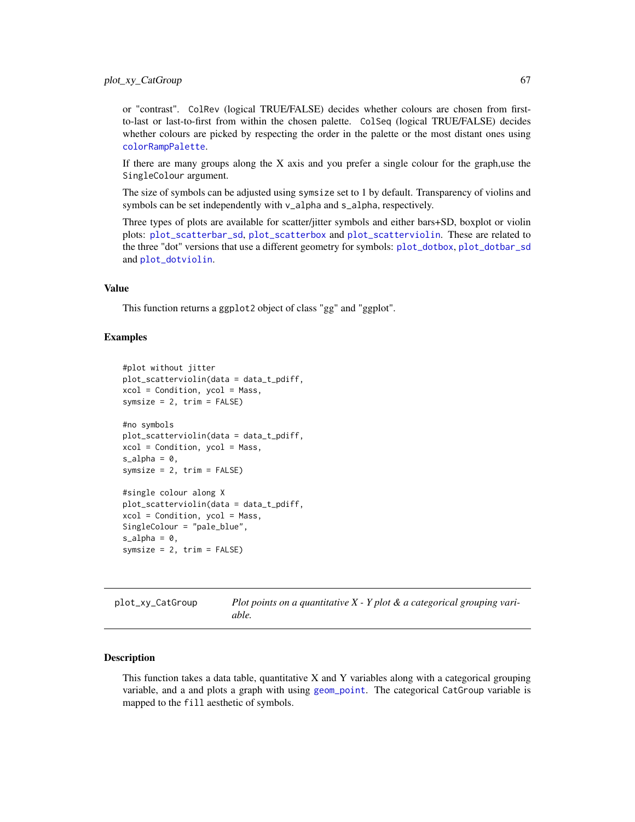or "contrast". ColRev (logical TRUE/FALSE) decides whether colours are chosen from firstto-last or last-to-first from within the chosen palette. ColSeq (logical TRUE/FALSE) decides whether colours are picked by respecting the order in the palette or the most distant ones using [colorRampPalette](#page-0-0).

If there are many groups along the X axis and you prefer a single colour for the graph,use the SingleColour argument.

The size of symbols can be adjusted using symsize set to 1 by default. Transparency of violins and symbols can be set independently with v\_alpha and s\_alpha, respectively.

Three types of plots are available for scatter/jitter symbols and either bars+SD, boxplot or violin plots: [plot\\_scatterbar\\_sd](#page-60-0), [plot\\_scatterbox](#page-62-0) and [plot\\_scatterviolin](#page-64-0). These are related to the three "dot" versions that use a different geometry for symbols: [plot\\_dotbox](#page-48-0), [plot\\_dotbar\\_sd](#page-46-0) and [plot\\_dotviolin](#page-50-0).

### Value

This function returns a ggplot2 object of class "gg" and "ggplot".

### Examples

```
#plot without jitter
plot_scatterviolin(data = data_t_pdiff,
xcol = Condition, ycol = Mass,
symsize = 2, trim = FALSE)
#no symbols
plot_scatterviolin(data = data_t_pdiff,
xcol = Condition, ycol = Mass,
s_alpha = 0,
symsize = 2, trim = FALSE)
#single colour along X
plot_scatterviolin(data = data_t_pdiff,
xcol = Condition, ycol = Mass,
SingleColour = "pale_blue",
s_alpha = 0,
symsize = 2, trim = FALSE)
```
<span id="page-66-0"></span>

| plot_xy_CatGroup | Plot points on a quantitative $X - Y$ plot $\&$ a categorical grouping vari- |
|------------------|------------------------------------------------------------------------------|
|                  | able.                                                                        |

#### Description

This function takes a data table, quantitative  $X$  and  $Y$  variables along with a categorical grouping variable, and a and plots a graph with using [geom\\_point](#page-0-0). The categorical CatGroup variable is mapped to the fill aesthetic of symbols.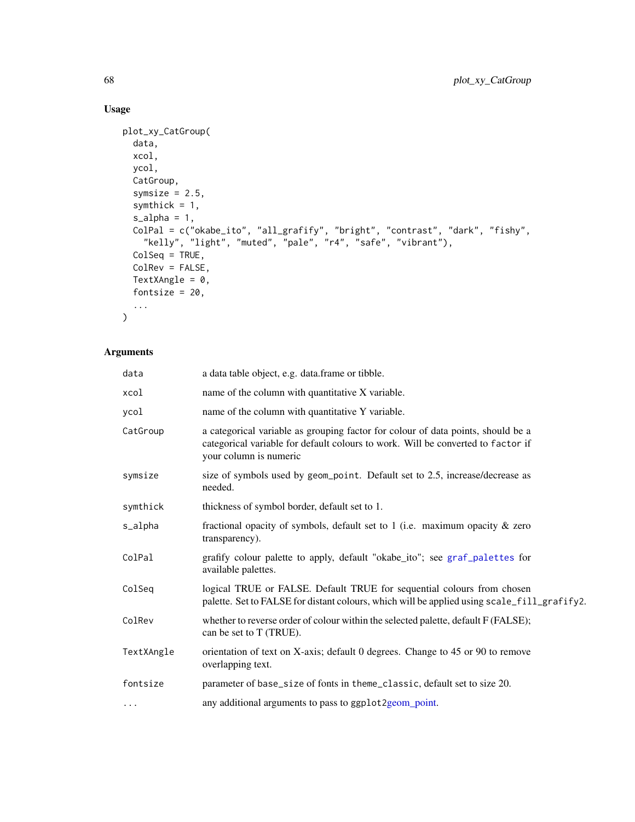# Usage

```
plot_xy_CatGroup(
  data,
  xcol,
  ycol,
  CatGroup,
  symsize = 2.5,
  symthick = 1,
  s_alpha = 1,
  ColPal = c("okabe_ito", "all_grafify", "bright", "contrast", "dark", "fishy",
    "kelly", "light", "muted", "pale", "r4", "safe", "vibrant"),
  ColSeq = TRUE,ColRev = FALSE,
  TextXAngle = 0,
  fontsize = 20,
  ...
\mathcal{L}
```

| data       | a data table object, e.g. data.frame or tibble.                                                                                                                                                |
|------------|------------------------------------------------------------------------------------------------------------------------------------------------------------------------------------------------|
| xcol       | name of the column with quantitative X variable.                                                                                                                                               |
| ycol       | name of the column with quantitative Y variable.                                                                                                                                               |
| CatGroup   | a categorical variable as grouping factor for colour of data points, should be a<br>categorical variable for default colours to work. Will be converted to factor if<br>your column is numeric |
| symsize    | size of symbols used by geom_point. Default set to 2.5, increase/decrease as<br>needed.                                                                                                        |
| symthick   | thickness of symbol border, default set to 1.                                                                                                                                                  |
| s_alpha    | fractional opacity of symbols, default set to 1 (i.e. maximum opacity $\&$ zero<br>transparency).                                                                                              |
| ColPal     | grafify colour palette to apply, default "okabe_ito"; see graf_palettes for<br>available palettes.                                                                                             |
| ColSeq     | logical TRUE or FALSE. Default TRUE for sequential colours from chosen<br>palette. Set to FALSE for distant colours, which will be applied using scale_fill_grafify2.                          |
| ColRev     | whether to reverse order of colour within the selected palette, default F (FALSE);<br>can be set to T (TRUE).                                                                                  |
| TextXAngle | orientation of text on X-axis; default 0 degrees. Change to 45 or 90 to remove<br>overlapping text.                                                                                            |
| fontsize   | parameter of base_size of fonts in theme_classic, default set to size 20.                                                                                                                      |
| $\cdots$   | any additional arguments to pass to ggplot2geom_point.                                                                                                                                         |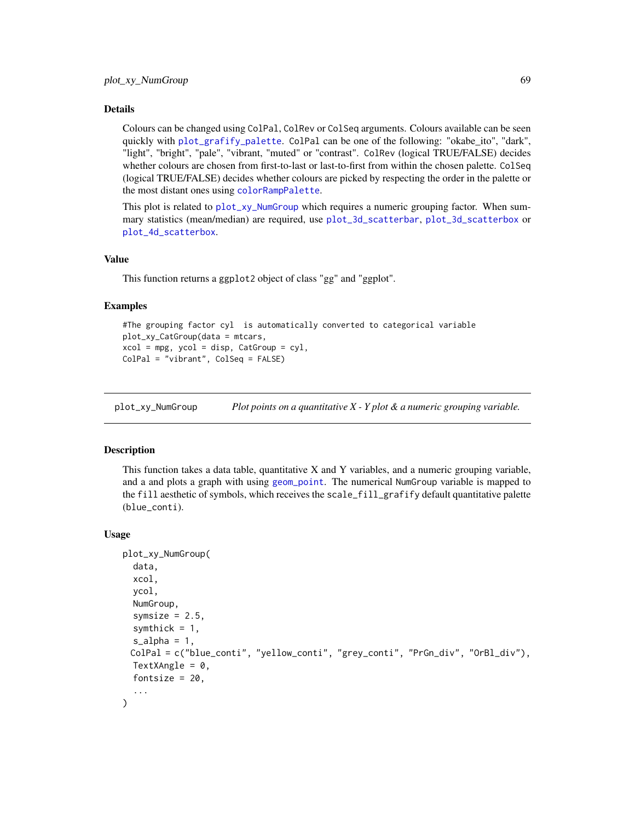Colours can be changed using ColPal, ColRev or ColSeq arguments. Colours available can be seen quickly with [plot\\_grafify\\_palette](#page-53-0). ColPal can be one of the following: "okabe\_ito", "dark", "light", "bright", "pale", "vibrant, "muted" or "contrast". ColRev (logical TRUE/FALSE) decides whether colours are chosen from first-to-last or last-to-first from within the chosen palette. ColSeq (logical TRUE/FALSE) decides whether colours are picked by respecting the order in the palette or the most distant ones using [colorRampPalette](#page-0-0).

This plot is related to [plot\\_xy\\_NumGroup](#page-68-0) which requires a numeric grouping factor. When summary statistics (mean/median) are required, use [plot\\_3d\\_scatterbar](#page-21-0), [plot\\_3d\\_scatterbox](#page-23-0) or [plot\\_4d\\_scatterbox](#page-31-0).

#### Value

This function returns a ggplot2 object of class "gg" and "ggplot".

### Examples

```
#The grouping factor cyl is automatically converted to categorical variable
plot_xy_CatGroup(data = mtcars,
xcol = mpg, ycol = disp, CatGroup = cyl,
ColPal = "vibrant", ColSeq = FALSE)
```
<span id="page-68-0"></span>plot\_xy\_NumGroup *Plot points on a quantitative X - Y plot & a numeric grouping variable.*

# Description

This function takes a data table, quantitative X and Y variables, and a numeric grouping variable, and a and plots a graph with using [geom\\_point](#page-0-0). The numerical NumGroup variable is mapped to the fill aesthetic of symbols, which receives the scale\_fill\_grafify default quantitative palette (blue\_conti).

## Usage

```
plot_xy_NumGroup(
  data,
  xcol,
  ycol,
  NumGroup,
  symsize = 2.5,
  symthick = 1,
  s<sup>-alpha = 1,</sup>
 ColPal = c("blue_conti", "yellow_conti", "grey_conti", "PrGn_div", "OrBl_div"),
  TextXAngle = 0.
  fontsize = 20,
  ...
)
```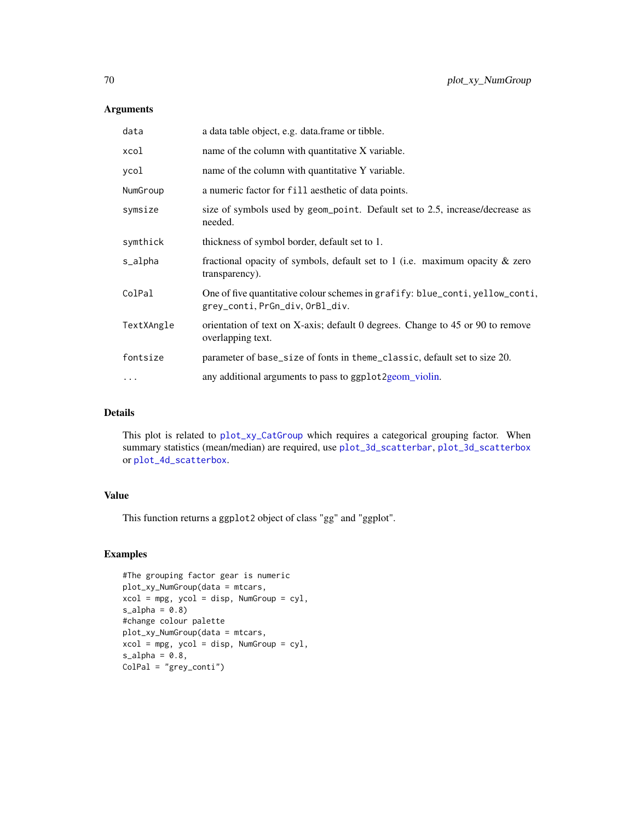# Arguments

| data       | a data table object, e.g. data.frame or tibble.                                                                  |
|------------|------------------------------------------------------------------------------------------------------------------|
| xcol       | name of the column with quantitative X variable.                                                                 |
| ycol       | name of the column with quantitative Y variable.                                                                 |
| NumGroup   | a numeric factor for fill aesthetic of data points.                                                              |
| symsize    | size of symbols used by geom_point. Default set to 2.5, increase/decrease as<br>needed.                          |
| symthick   | thickness of symbol border, default set to 1.                                                                    |
| s_alpha    | fractional opacity of symbols, default set to 1 (i.e. maximum opacity $\&$ zero<br>transparency).                |
| ColPal     | One of five quantitative colour schemes in grafify: blue_conti, yellow_conti,<br>grey_conti, PrGn_div, OrBl_div. |
| TextXAngle | orientation of text on X-axis; default 0 degrees. Change to 45 or 90 to remove<br>overlapping text.              |
| fontsize   | parameter of base_size of fonts in theme_classic, default set to size 20.                                        |
| $\cdots$   | any additional arguments to pass to ggplot 2 geom_violin.                                                        |

# Details

This plot is related to [plot\\_xy\\_CatGroup](#page-66-0) which requires a categorical grouping factor. When summary statistics (mean/median) are required, use [plot\\_3d\\_scatterbar](#page-21-0), [plot\\_3d\\_scatterbox](#page-23-0) or [plot\\_4d\\_scatterbox](#page-31-0).

## Value

This function returns a ggplot2 object of class "gg" and "ggplot".

```
#The grouping factor gear is numeric
plot_xy_NumGroup(data = mtcars,
xcol = mpg, ycol = disp, NumGroup = cyl,
s_alpha = 0.8#change colour palette
plot_xy_NumGroup(data = mtcars,
xcol = mpg, ycol = disp, NumGroup = cyl,
s_alpha = 0.8,
ColPal = "grey_conti")
```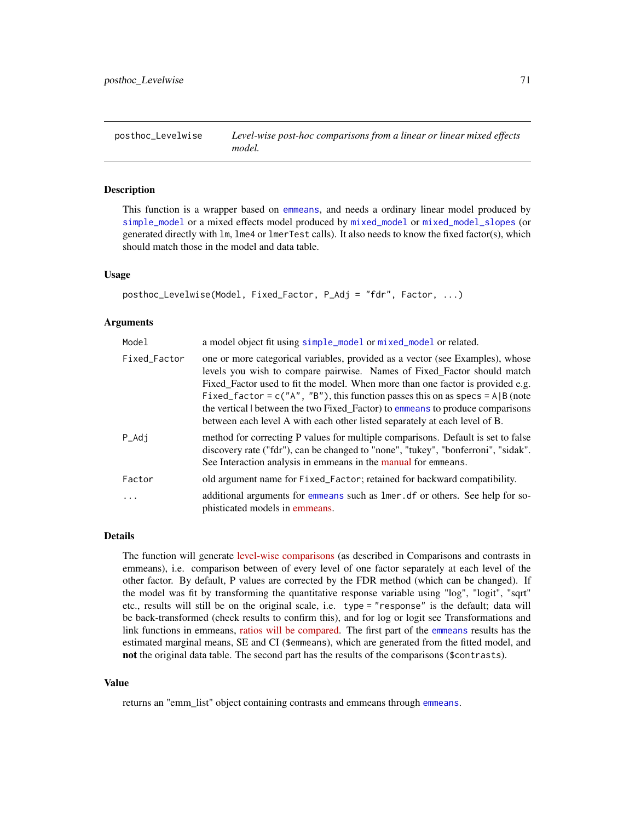posthoc\_Levelwise *Level-wise post-hoc comparisons from a linear or linear mixed effects model.*

# **Description**

This function is a wrapper based on [emmeans](#page-0-0), and needs a ordinary linear model produced by [simple\\_model](#page-85-0) or a mixed effects model produced by [mixed\\_model](#page-18-0) or [mixed\\_model\\_slopes](#page-19-0) (or generated directly with lm, lme4 or lmerTest calls). It also needs to know the fixed factor(s), which should match those in the model and data table.

### Usage

```
posthoc_Levelwise(Model, Fixed_Factor, P_Adj = "fdr", Factor, ...)
```
#### Arguments

| Model        | a model object fit using simple_model or mixed_model or related.                                                                                                                                                                                                                                                                                                                                                                                                                              |
|--------------|-----------------------------------------------------------------------------------------------------------------------------------------------------------------------------------------------------------------------------------------------------------------------------------------------------------------------------------------------------------------------------------------------------------------------------------------------------------------------------------------------|
| Fixed_Factor | one or more categorical variables, provided as a vector (see Examples), whose<br>levels you wish to compare pairwise. Names of Fixed_Factor should match<br>Fixed Factor used to fit the model. When more than one factor is provided e.g.<br>Fixed_factor = $c("A", "B")$ , this function passes this on as specs = A  B (note<br>the vertical between the two Fixed_Factor) to emmeans to produce comparisons<br>between each level A with each other listed separately at each level of B. |
| $P\_Adj$     | method for correcting P values for multiple comparisons. Default is set to false<br>discovery rate ("fdr"), can be changed to "none", "tukey", "bonferroni", "sidak".<br>See Interaction analysis in emmeans in the manual for emmeans.                                                                                                                                                                                                                                                       |
| Factor       | old argument name for Fixed_Factor; retained for backward compatibility.                                                                                                                                                                                                                                                                                                                                                                                                                      |
| $\ddots$ .   | additional arguments for emmeans such as lmer. df or others. See help for so-<br>phisticated models in emmeans.                                                                                                                                                                                                                                                                                                                                                                               |

# Details

The function will generate [level-wise comparisons](https://CRAN.R-project.org/package=emmeans) (as described in Comparisons and contrasts in emmeans), i.e. comparison between of every level of one factor separately at each level of the other factor. By default, P values are corrected by the FDR method (which can be changed). If the model was fit by transforming the quantitative response variable using "log", "logit", "sqrt" etc., results will still be on the original scale, i.e. type = "response" is the default; data will be back-transformed (check results to confirm this), and for log or logit see Transformations and link functions in emmeans, [ratios will be compared.](https://CRAN.R-project.org/package=emmeans) The first part of the [emmeans](#page-0-0) results has the estimated marginal means, SE and CI (\$emmeans), which are generated from the fitted model, and not the original data table. The second part has the results of the comparisons (\$contrasts).

#### Value

returns an "emm\_list" object containing contrasts and emmeans through [emmeans](#page-0-0).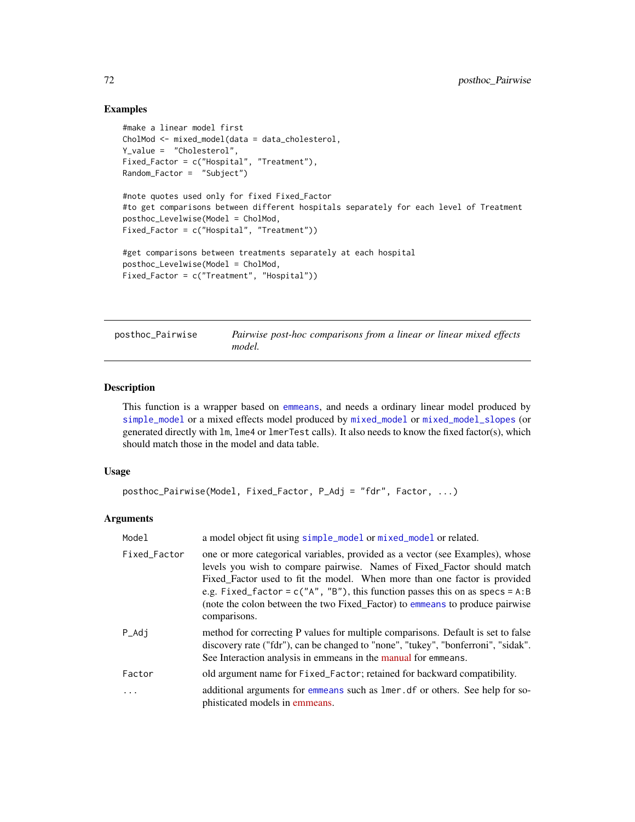# Examples

```
#make a linear model first
CholMod <- mixed_model(data = data_cholesterol,
Y_value = "Cholesterol",
Fixed_Factor = c("Hospital", "Treatment"),
Random_Factor = "Subject")
#note quotes used only for fixed Fixed_Factor
#to get comparisons between different hospitals separately for each level of Treatment
posthoc_Levelwise(Model = CholMod,
Fixed_Factor = c("Hospital", "Treatment"))
#get comparisons between treatments separately at each hospital
posthoc_Levelwise(Model = CholMod,
Fixed_Factor = c("Treatment", "Hospital"))
```

| posthoc_Pairwise | Pairwise post-hoc comparisons from a linear or linear mixed effects |
|------------------|---------------------------------------------------------------------|
|                  | model.                                                              |

# Description

This function is a wrapper based on [emmeans](#page-0-0), and needs a ordinary linear model produced by [simple\\_model](#page-85-0) or a mixed effects model produced by [mixed\\_model](#page-18-0) or [mixed\\_model\\_slopes](#page-19-0) (or generated directly with lm, lme4 or lmerTest calls). It also needs to know the fixed factor(s), which should match those in the model and data table.

#### Usage

```
posthoc_Pairwise(Model, Fixed_Factor, P_Adj = "fdr", Factor, ...)
```

| Model        | a model object fit using simple_model or mixed_model or related.                                                                                                                                                                                                                                                                                                                                                         |
|--------------|--------------------------------------------------------------------------------------------------------------------------------------------------------------------------------------------------------------------------------------------------------------------------------------------------------------------------------------------------------------------------------------------------------------------------|
| Fixed_Factor | one or more categorical variables, provided as a vector (see Examples), whose<br>levels you wish to compare pairwise. Names of Fixed_Factor should match<br>Fixed Factor used to fit the model. When more than one factor is provided<br>e.g. Fixed_factor = $c("A", "B")$ , this function passes this on as specs = A:B<br>(note the colon between the two Fixed_Factor) to emmeans to produce pairwise<br>comparisons. |
| P_Adj        | method for correcting P values for multiple comparisons. Default is set to false<br>discovery rate ("fdr"), can be changed to "none", "tukey", "bonferroni", "sidak".<br>See Interaction analysis in emmeans in the manual for emmeans.                                                                                                                                                                                  |
| Factor       | old argument name for Fixed_Factor; retained for backward compatibility.                                                                                                                                                                                                                                                                                                                                                 |
| $\cdots$     | additional arguments for emmeans such as lmer, df or others. See help for so-<br>phisticated models in emmeans.                                                                                                                                                                                                                                                                                                          |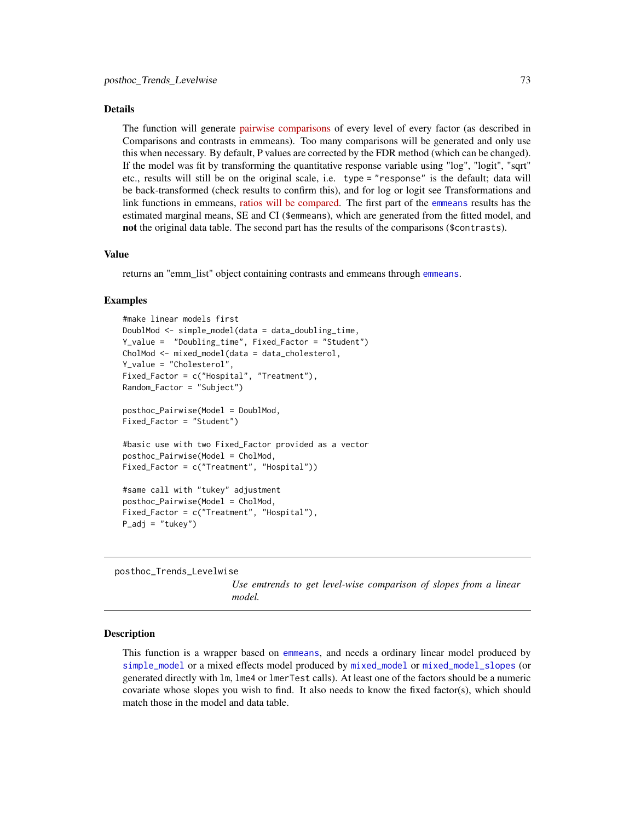#### <span id="page-72-0"></span>Details

The function will generate [pairwise comparisons](https://CRAN.R-project.org/package=emmeans) of every level of every factor (as described in Comparisons and contrasts in emmeans). Too many comparisons will be generated and only use this when necessary. By default, P values are corrected by the FDR method (which can be changed). If the model was fit by transforming the quantitative response variable using "log", "logit", "sqrt" etc., results will still be on the original scale, i.e. type = "response" is the default; data will be back-transformed (check results to confirm this), and for log or logit see Transformations and link functions in emmeans, [ratios will be compared.](https://CRAN.R-project.org/package=emmeans) The first part of the [emmeans](#page-0-0) results has the estimated marginal means, SE and CI (\$emmeans), which are generated from the fitted model, and not the original data table. The second part has the results of the comparisons (\$contrasts).

#### Value

returns an "emm\_list" object containing contrasts and emmeans through [emmeans](#page-0-0).

#### Examples

```
#make linear models first
DoublMod <- simple_model(data = data_doubling_time,
Y_value = "Doubling_time", Fixed_Factor = "Student")
CholMod <- mixed_model(data = data_cholesterol,
Y_value = "Cholesterol",
Fixed_Factor = c("Hospital", "Treatment"),
Random_Factor = "Subject")
posthoc_Pairwise(Model = DoublMod,
Fixed_Factor = "Student")
#basic use with two Fixed_Factor provided as a vector
posthoc_Pairwise(Model = CholMod,
Fixed_Factor = c("Treatment", "Hospital"))
#same call with "tukey" adjustment
posthoc_Pairwise(Model = CholMod,
Fixed_Factor = c("Treatment", "Hospital"),
P\_adj = "tukey")
```
posthoc\_Trends\_Levelwise

*Use emtrends to get level-wise comparison of slopes from a linear model.*

## Description

This function is a wrapper based on [emmeans](#page-0-0), and needs a ordinary linear model produced by [simple\\_model](#page-85-0) or a mixed effects model produced by [mixed\\_model](#page-18-0) or [mixed\\_model\\_slopes](#page-19-0) (or generated directly with lm, lme4 or lmerTest calls). At least one of the factors should be a numeric covariate whose slopes you wish to find. It also needs to know the fixed factor(s), which should match those in the model and data table.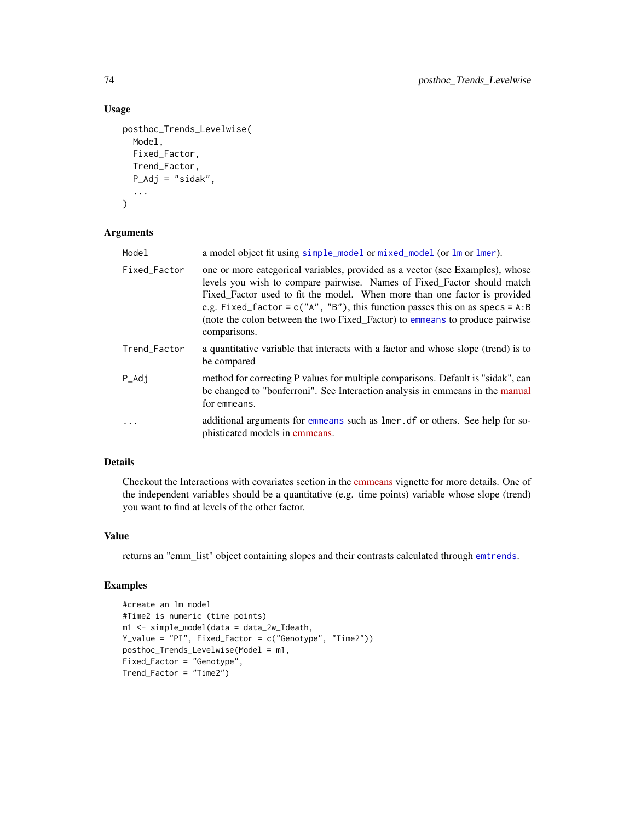# Usage

```
posthoc_Trends_Levelwise(
 Model,
  Fixed_Factor,
 Trend_Factor,
 P_Adj = "sidak",
  ...
)
```
#### Arguments

| Model        | a model object fit using simple_model or mixed_model (or lm or lmer).                                                                                                                                                                                                                                                                                                                                                    |
|--------------|--------------------------------------------------------------------------------------------------------------------------------------------------------------------------------------------------------------------------------------------------------------------------------------------------------------------------------------------------------------------------------------------------------------------------|
| Fixed_Factor | one or more categorical variables, provided as a vector (see Examples), whose<br>levels you wish to compare pairwise. Names of Fixed_Factor should match<br>Fixed_Factor used to fit the model. When more than one factor is provided<br>e.g. Fixed_factor = $c("A", "B")$ , this function passes this on as specs = A:B<br>(note the colon between the two Fixed_Factor) to emmeans to produce pairwise<br>comparisons. |
| Trend_Factor | a quantitative variable that interacts with a factor and whose slope (trend) is to<br>be compared                                                                                                                                                                                                                                                                                                                        |
| $P\_Adj$     | method for correcting P values for multiple comparisons. Default is "sidak", can<br>be changed to "bonferroni". See Interaction analysis in emmeans in the manual<br>for emmeans.                                                                                                                                                                                                                                        |
| $\ddots$ .   | additional arguments for emmeans such as lmer. df or others. See help for so-<br>phisticated models in emmeans.                                                                                                                                                                                                                                                                                                          |

# Details

Checkout the Interactions with covariates section in the [emmeans](https://CRAN.R-project.org/package=emmeans) vignette for more details. One of the independent variables should be a quantitative (e.g. time points) variable whose slope (trend) you want to find at levels of the other factor.

## Value

returns an "emm\_list" object containing slopes and their contrasts calculated through [emtrends](#page-0-0).

```
#create an lm model
#Time2 is numeric (time points)
m1 <- simple_model(data = data_2w_Tdeath,
Y_value = "PI", Fixed_Factor = c("Genotype", "Time2"))
posthoc_Trends_Levelwise(Model = m1,
Fixed_Factor = "Genotype",
Trend_Factor = "Time2")
```
<span id="page-73-0"></span>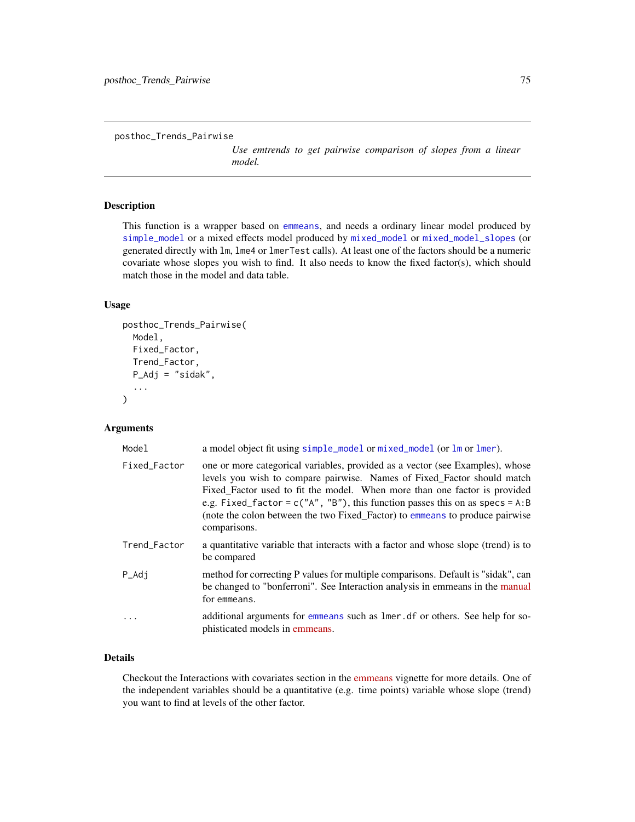<span id="page-74-0"></span>posthoc\_Trends\_Pairwise

*Use emtrends to get pairwise comparison of slopes from a linear model.*

# Description

This function is a wrapper based on [emmeans](#page-0-0), and needs a ordinary linear model produced by [simple\\_model](#page-85-0) or a mixed effects model produced by [mixed\\_model](#page-18-0) or [mixed\\_model\\_slopes](#page-19-0) (or generated directly with lm, lme4 or lmerTest calls). At least one of the factors should be a numeric covariate whose slopes you wish to find. It also needs to know the fixed factor(s), which should match those in the model and data table.

# Usage

```
posthoc_Trends_Pairwise(
  Model,
  Fixed_Factor,
  Trend_Factor,
  P_Adj = "sidak",
  ...
\mathcal{E}
```
# Arguments

| Model             | a model object fit using simple_model or mixed_model (or lm or lmer).                                                                                                                                                                                                                                                                                                                                                    |
|-------------------|--------------------------------------------------------------------------------------------------------------------------------------------------------------------------------------------------------------------------------------------------------------------------------------------------------------------------------------------------------------------------------------------------------------------------|
| Fixed_Factor      | one or more categorical variables, provided as a vector (see Examples), whose<br>levels you wish to compare pairwise. Names of Fixed_Factor should match<br>Fixed Factor used to fit the model. When more than one factor is provided<br>e.g. Fixed_factor = $c("A", "B")$ , this function passes this on as specs = A:B<br>(note the colon between the two Fixed_Factor) to emmeans to produce pairwise<br>comparisons. |
| Trend_Factor      | a quantitative variable that interacts with a factor and whose slope (trend) is to<br>be compared                                                                                                                                                                                                                                                                                                                        |
| $P_{\text{A}}$ dj | method for correcting P values for multiple comparisons. Default is "sidak", can<br>be changed to "bonferroni". See Interaction analysis in emmeans in the manual<br>for emmeans.                                                                                                                                                                                                                                        |
| .                 | additional arguments for emmeans such as lmer. df or others. See help for so-<br>phisticated models in emmeans.                                                                                                                                                                                                                                                                                                          |

## Details

Checkout the Interactions with covariates section in the [emmeans](https://CRAN.R-project.org/package=emmeans) vignette for more details. One of the independent variables should be a quantitative (e.g. time points) variable whose slope (trend) you want to find at levels of the other factor.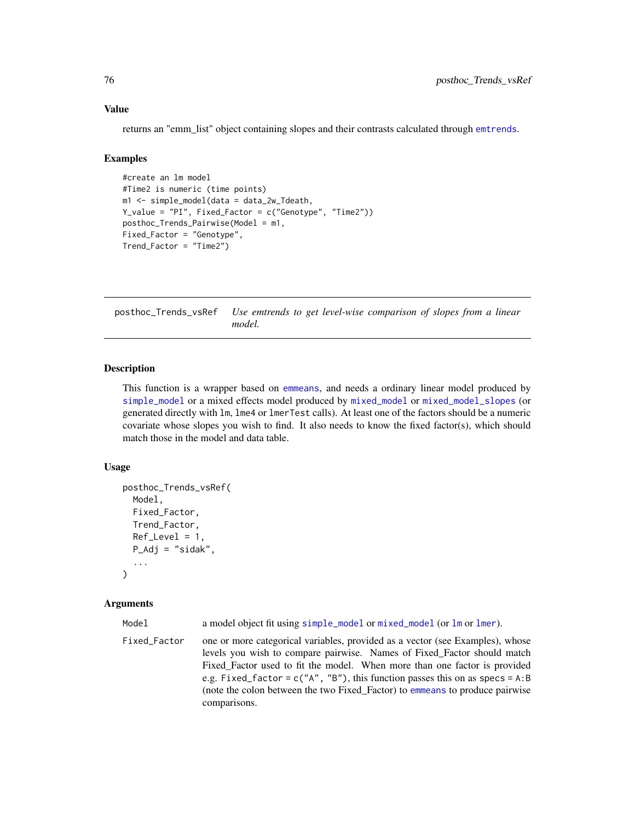## Value

returns an "emm\_list" object containing slopes and their contrasts calculated through [emtrends](#page-0-0).

## Examples

```
#create an lm model
#Time2 is numeric (time points)
m1 <- simple_model(data = data_2w_Tdeath,
Y_value = "PI", Fixed_Factor = c("Genotype", "Time2"))
posthoc_Trends_Pairwise(Model = m1,
Fixed_Factor = "Genotype",
Trend_Factor = "Time2")
```
posthoc\_Trends\_vsRef *Use emtrends to get level-wise comparison of slopes from a linear model.*

## Description

This function is a wrapper based on [emmeans](#page-0-0), and needs a ordinary linear model produced by [simple\\_model](#page-85-0) or a mixed effects model produced by [mixed\\_model](#page-18-0) or [mixed\\_model\\_slopes](#page-19-0) (or generated directly with lm, lme4 or lmerTest calls). At least one of the factors should be a numeric covariate whose slopes you wish to find. It also needs to know the fixed factor(s), which should match those in the model and data table.

## Usage

```
posthoc_Trends_vsRef(
 Model,
  Fixed_Factor,
  Trend_Factor,
 Ref\_Level = 1,
 P_Adj = "sidak",
  ...
)
```
## Arguments

Model a model object fit using [simple\\_model](#page-85-0) or [mixed\\_model](#page-18-0) (or [lm](#page-0-0) or [lmer](#page-0-0)).

Fixed\_Factor one or more categorical variables, provided as a vector (see Examples), whose levels you wish to compare pairwise. Names of Fixed\_Factor should match Fixed Factor used to fit the model. When more than one factor is provided e.g. Fixed\_factor =  $c("A", "B")$ , this function passes this on as specs = A:B (note the colon between the two Fixed\_Factor) to [emmeans](#page-0-0) to produce pairwise comparisons.

<span id="page-75-0"></span>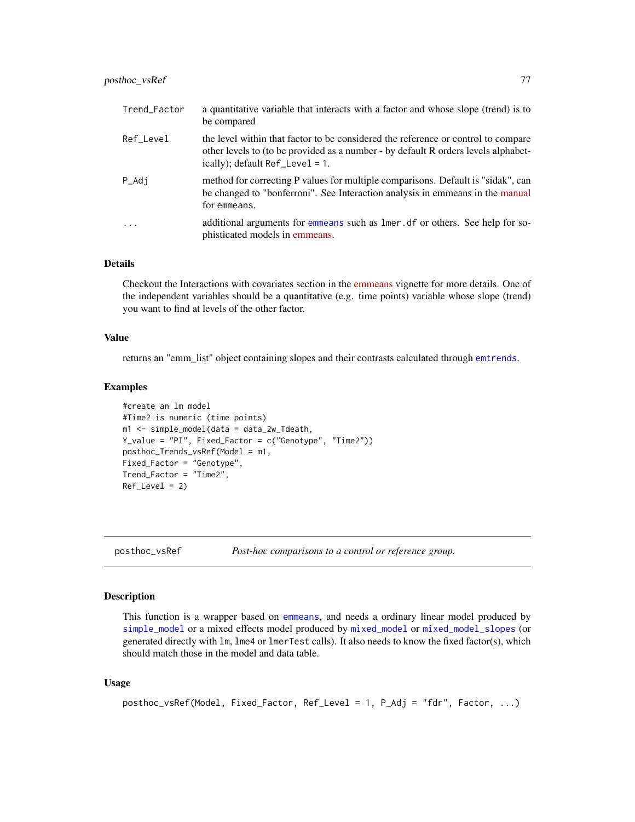<span id="page-76-1"></span>

| Trend_Factor | a quantitative variable that interacts with a factor and whose slope (trend) is to<br>be compared                                                                                                               |
|--------------|-----------------------------------------------------------------------------------------------------------------------------------------------------------------------------------------------------------------|
| Ref_Level    | the level within that factor to be considered the reference or control to compare<br>other levels to (to be provided as a number - by default R orders levels alphabet-<br>ically); $default Ref_{level} = 1$ . |
| P_Adj        | method for correcting P values for multiple comparisons. Default is "sidak", can<br>be changed to "bonferroni". See Interaction analysis in emmeans in the manual<br>for emmeans.                               |
| .            | additional arguments for emmeans such as lmer. df or others. See help for so-<br>phisticated models in emmeans.                                                                                                 |

## Details

Checkout the Interactions with covariates section in the [emmeans](https://CRAN.R-project.org/package=emmeans) vignette for more details. One of the independent variables should be a quantitative (e.g. time points) variable whose slope (trend) you want to find at levels of the other factor.

# Value

returns an "emm\_list" object containing slopes and their contrasts calculated through [emtrends](#page-0-0).

### Examples

```
#create an lm model
#Time2 is numeric (time points)
m1 <- simple_model(data = data_2w_Tdeath,
Y_value = "PI", Fixed_Factor = c("Genotype", "Time2"))
posthoc_Trends_vsRef(Model = m1,
Fixed_Factor = "Genotype",
Trend_Factor = "Time2",
Ref_Level = 2)
```
<span id="page-76-0"></span>

posthoc\_vsRef *Post-hoc comparisons to a control or reference group.*

# Description

This function is a wrapper based on [emmeans](#page-0-0), and needs a ordinary linear model produced by [simple\\_model](#page-85-0) or a mixed effects model produced by [mixed\\_model](#page-18-0) or [mixed\\_model\\_slopes](#page-19-0) (or generated directly with lm, lme4 or lmerTest calls). It also needs to know the fixed factor(s), which should match those in the model and data table.

## Usage

```
posthoc_vsRef(Model, Fixed_Factor, Ref_Level = 1, P_Adj = "fdr", Factor, ...)
```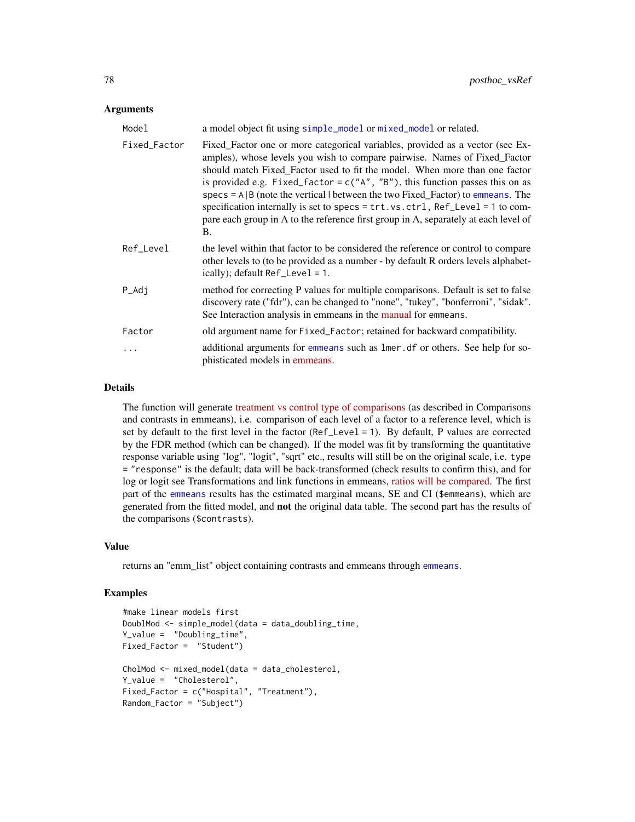## <span id="page-77-0"></span>Arguments

| Model        | a model object fit using simple_model or mixed_model or related.                                                                                                                                                                                                                                                                                                                                                                                                                                                                                                                                           |
|--------------|------------------------------------------------------------------------------------------------------------------------------------------------------------------------------------------------------------------------------------------------------------------------------------------------------------------------------------------------------------------------------------------------------------------------------------------------------------------------------------------------------------------------------------------------------------------------------------------------------------|
| Fixed_Factor | Fixed Factor one or more categorical variables, provided as a vector (see Ex-<br>amples), whose levels you wish to compare pairwise. Names of Fixed_Factor<br>should match Fixed_Factor used to fit the model. When more than one factor<br>is provided e.g. Fixed_factor = $c("A", "B")$ , this function passes this on as<br>$\frac{1}{2}$ specs = A  B (note the vertical   between the two Fixed_Factor) to emmeans. The<br>specification internally is set to specs = trt.vs.ctrl, Ref_Level = 1 to com-<br>pare each group in A to the reference first group in A, separately at each level of<br>В. |
| Ref_Level    | the level within that factor to be considered the reference or control to compare<br>other levels to (to be provided as a number - by default R orders levels alphabet-<br>ically); default Ref_Level = 1.                                                                                                                                                                                                                                                                                                                                                                                                 |
| P_Adj        | method for correcting P values for multiple comparisons. Default is set to false<br>discovery rate ("fdr"), can be changed to "none", "tukey", "bonferroni", "sidak".<br>See Interaction analysis in emmeans in the manual for emmeans.                                                                                                                                                                                                                                                                                                                                                                    |
| Factor       | old argument name for Fixed_Factor; retained for backward compatibility.                                                                                                                                                                                                                                                                                                                                                                                                                                                                                                                                   |
| $\ddots$     | additional arguments for emmeans such as lmer. df or others. See help for so-<br>phisticated models in emmeans.                                                                                                                                                                                                                                                                                                                                                                                                                                                                                            |

## Details

The function will generate [treatment vs control type of comparisons](https://CRAN.R-project.org/package=emmeans) (as described in Comparisons and contrasts in emmeans), i.e. comparison of each level of a factor to a reference level, which is set by default to the first level in the factor (Ref\_Level = 1). By default, P values are corrected by the FDR method (which can be changed). If the model was fit by transforming the quantitative response variable using "log", "logit", "sqrt" etc., results will still be on the original scale, i.e. type = "response" is the default; data will be back-transformed (check results to confirm this), and for log or logit see Transformations and link functions in emmeans, [ratios will be compared.](https://CRAN.R-project.org/package=emmeans) The first part of the [emmeans](#page-0-0) results has the estimated marginal means, SE and CI (\$emmeans), which are generated from the fitted model, and not the original data table. The second part has the results of the comparisons (\$contrasts).

#### Value

returns an "emm\_list" object containing contrasts and emmeans through [emmeans](#page-0-0).

```
#make linear models first
DoublMod <- simple_model(data = data_doubling_time,
Y_value = "Doubling_time",
Fixed_Factor = "Student")
CholMod <- mixed_model(data = data_cholesterol,
Y_value = "Cholesterol",
Fixed_Factor = c("Hospital", "Treatment"),
Random_Factor = "Subject")
```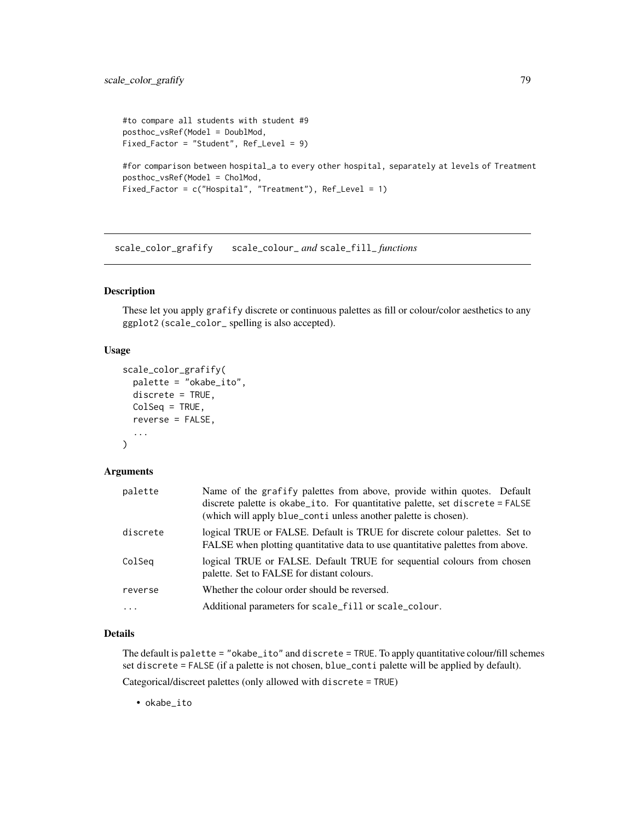```
#to compare all students with student #9
posthoc_vsRef(Model = DoublMod,
Fixed_Factor = "Student", Ref_Level = 9)
```

```
#for comparison between hospital_a to every other hospital, separately at levels of Treatment
posthoc_vsRef(Model = CholMod,
Fixed_Factor = c("Hospital", "Treatment"), Ref_Level = 1)
```
scale\_color\_grafify scale\_colour\_ *and* scale\_fill\_ *functions*

# Description

These let you apply grafify discrete or continuous palettes as fill or colour/color aesthetics to any ggplot2 (scale\_color\_ spelling is also accepted).

#### Usage

```
scale_color_grafify(
  palette = "okabe_ito",
  discrete = TRUE,
 ColSeq = TRUE,reverse = FALSE,
  ...
)
```
## Arguments

| palette  | Name of the grafify palettes from above, provide within quotes. Default<br>discrete palette is okabe_ito. For quantitative palette, set discrete = FALSE<br>(which will apply blue_contiunless another palette is chosen). |
|----------|----------------------------------------------------------------------------------------------------------------------------------------------------------------------------------------------------------------------------|
| discrete | logical TRUE or FALSE. Default is TRUE for discrete colour palettes. Set to<br>FALSE when plotting quantitative data to use quantitative palettes from above.                                                              |
| ColSeg   | logical TRUE or FALSE. Default TRUE for sequential colours from chosen<br>palette. Set to FALSE for distant colours.                                                                                                       |
| reverse  | Whether the colour order should be reversed.                                                                                                                                                                               |
| $\cdot$  | Additional parameters for scale_fill or scale_colour.                                                                                                                                                                      |

# Details

The default is palette = "okabe\_ito" and discrete = TRUE. To apply quantitative colour/fill schemes set discrete = FALSE (if a palette is not chosen, blue\_conti palette will be applied by default).

Categorical/discreet palettes (only allowed with discrete = TRUE)

• okabe\_ito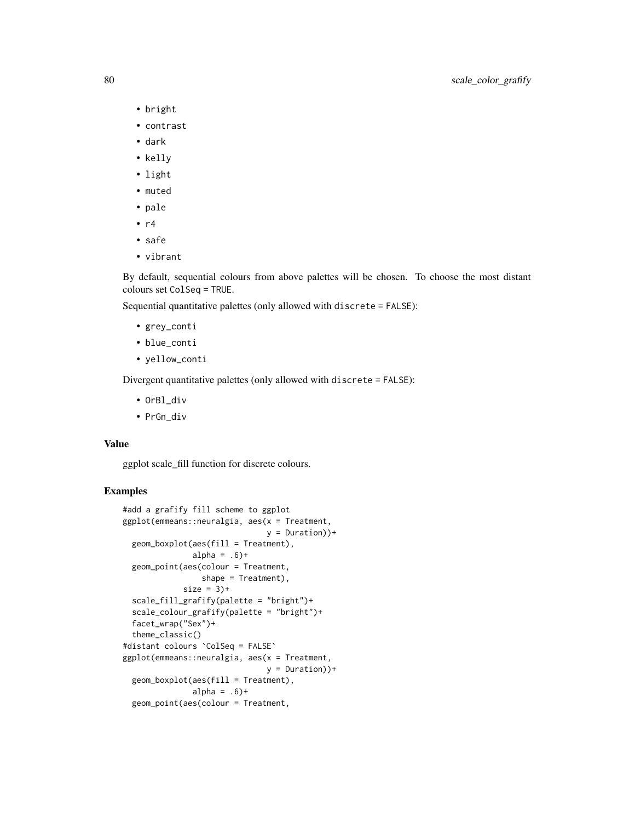- bright
- contrast
- dark
- kelly
- light
- muted
- pale
- $\cdot$  r4
- safe
- vibrant

By default, sequential colours from above palettes will be chosen. To choose the most distant colours set ColSeq = TRUE.

Sequential quantitative palettes (only allowed with discrete = FALSE):

- grey\_conti
- blue\_conti
- yellow\_conti

Divergent quantitative palettes (only allowed with discrete = FALSE):

- OrBl\_div
- PrGn\_div

# Value

ggplot scale\_fill function for discrete colours.

```
#add a grafify fill scheme to ggplot
ggplot(emmeans::neuralgia, aes(x = Treatment,
                              y = Duration))+
 geom_boxplot(aes(fill = Treatment),
              alpha = .6)+
 geom_point(aes(colour = Treatment,
                 shape = Treatment),
            size = 3 +
 scale_fill_grafify(palette = "bright")+
 scale_colour_grafify(palette = "bright")+
 facet_wrap("Sex")+
 theme_classic()
#distant colours `ColSeq = FALSE`
ggplot(emmeans::neuralgia, aes(x = Treatment,
                              y = Duration))+
 geom_boxplot(aes(fill = Treatment),
              alpha = .6)+
 geom_point(aes(colour = Treatment,
```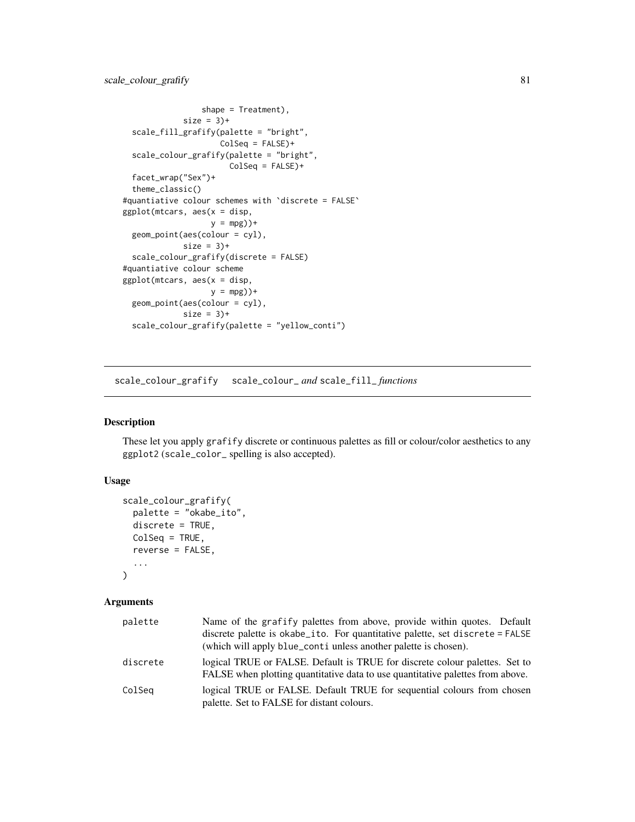```
shape = Treatment),
            size = 3 +
 scale_fill_grafify(palette = "bright",
                    ColSeq = FALSE)+
 scale_colour_grafify(palette = "bright",
                      ColSeq = FALSE)+
 facet_wrap("Sex")+
 theme_classic()
#quantiative colour schemes with `discrete = FALSE`
ggplot(mtcars, aes(x = disp,y = mpg) +
 geom_point(aes(colour = cyl),
            size = 3 +
 scale_colour_grafify(discrete = FALSE)
#quantiative colour scheme
ggplot(mtcars, aes(x = disp,y = mpg)+
 geom_point(aes(colour = cyl),
            size = 3 +
 scale_colour_grafify(palette = "yellow_conti")
```
scale\_colour\_grafify scale\_colour\_ *and* scale\_fill\_ *functions*

# Description

These let you apply grafify discrete or continuous palettes as fill or colour/color aesthetics to any ggplot2 (scale\_color\_ spelling is also accepted).

# Usage

```
scale_colour_grafify(
 palette = "okabe_ito",
  discrete = TRUE,
 ColSeq = TRUE,
  reverse = FALSE,
  ...
)
```
## Arguments

| palette  | Name of the grafify palettes from above, provide within quotes. Default<br>discrete palette is okabe_ito. For quantitative palette, set discrete = FALSE      |
|----------|---------------------------------------------------------------------------------------------------------------------------------------------------------------|
|          | (which will apply blue_conti unless another palette is chosen).                                                                                               |
| discrete | logical TRUE or FALSE. Default is TRUE for discrete colour palettes. Set to<br>FALSE when plotting quantitative data to use quantitative palettes from above. |
| ColSeq   | logical TRUE or FALSE. Default TRUE for sequential colours from chosen<br>palette. Set to FALSE for distant colours.                                          |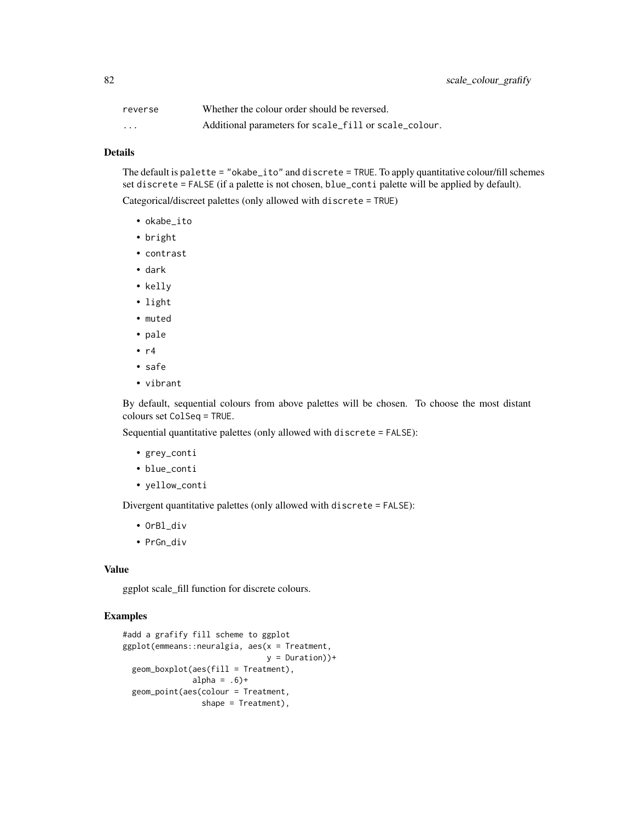| reverse           | Whether the colour order should be reversed.          |
|-------------------|-------------------------------------------------------|
| $\cdot\cdot\cdot$ | Additional parameters for scale_fill or scale_colour. |

### Details

The default is palette = "okabe\_ito" and discrete = TRUE. To apply quantitative colour/fill schemes set discrete = FALSE (if a palette is not chosen, blue\_conti palette will be applied by default).

Categorical/discreet palettes (only allowed with discrete = TRUE)

- okabe\_ito
- bright
- contrast
- dark
- kelly
- light
- muted
- pale
- $\cdot$  r4
- safe
- vibrant

By default, sequential colours from above palettes will be chosen. To choose the most distant colours set ColSeq = TRUE.

Sequential quantitative palettes (only allowed with discrete = FALSE):

- grey\_conti
- blue\_conti
- yellow\_conti

Divergent quantitative palettes (only allowed with discrete = FALSE):

- OrBl\_div
- PrGn\_div

# Value

ggplot scale\_fill function for discrete colours.

```
#add a grafify fill scheme to ggplot
ggplot(emmeans::neuralgia, aes(x = Treatment,
                              y =Duration)+
 geom_boxplot(aes(fill = Treatment),
              alpha = .6)+
 geom_point(aes(colour = Treatment,
                shape = Treatment),
```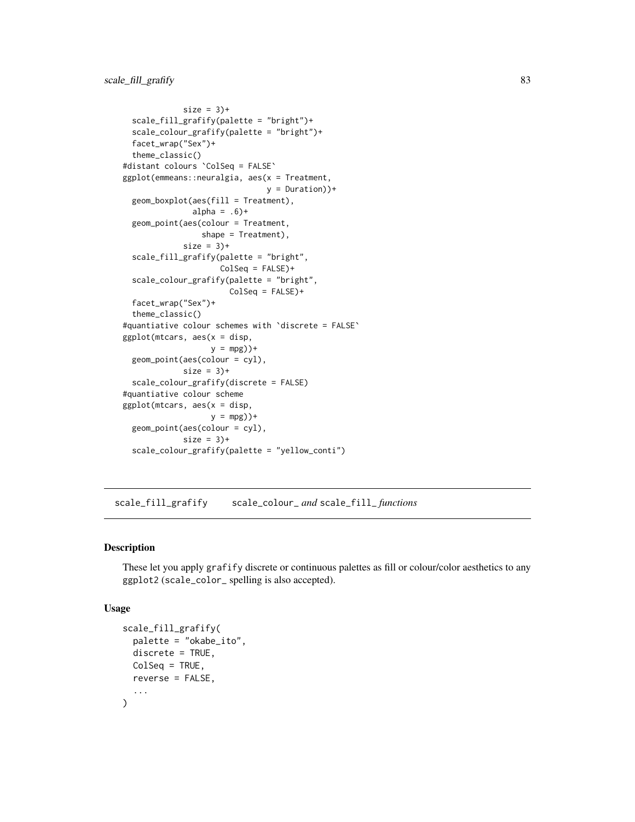```
size = 3 +
 scale_fill_grafify(palette = "bright")+
 scale_colour_grafify(palette = "bright")+
 facet_wrap("Sex")+
 theme_classic()
#distant colours `ColSeq = FALSE`
ggplot(emmeans::neuralgia, aes(x = Treatment,
                              y = Duration))+
 geom_boxplot(aes(fill = Treatment),
               alpha = .6)+
 geom_point(aes(colour = Treatment,
                 shape = Treatment),
            size = 3 +
 scale_fill_grafify(palette = "bright",
                    ColSeq = FALSE)+
 scale_colour_grafify(palette = "bright",
                      ColSeq = FALSE)+
 facet_wrap("Sex")+
 theme_classic()
#quantiative colour schemes with `discrete = FALSE`
ggplot(mtcars, aes(x = disp,
                  y = mpg) +
 geom_point(aes(colour = cyl),
            size = 3 +
 scale_colour_grafify(discrete = FALSE)
#quantiative colour scheme
ggplot(mtcars, aes(x = disp,y = mpg) +
 geom_point(aes(colour = cyl),
            size = 3 +
 scale_colour_grafify(palette = "yellow_conti")
```
scale\_fill\_grafify scale\_colour\_ *and* scale\_fill\_ *functions*

## Description

These let you apply grafify discrete or continuous palettes as fill or colour/color aesthetics to any ggplot2 (scale\_color\_ spelling is also accepted).

#### Usage

```
scale_fill_grafify(
 palette = "okabe_ito",
 discrete = TRUE,
 ColSeq = TRUE,reverse = FALSE,
  ...
)
```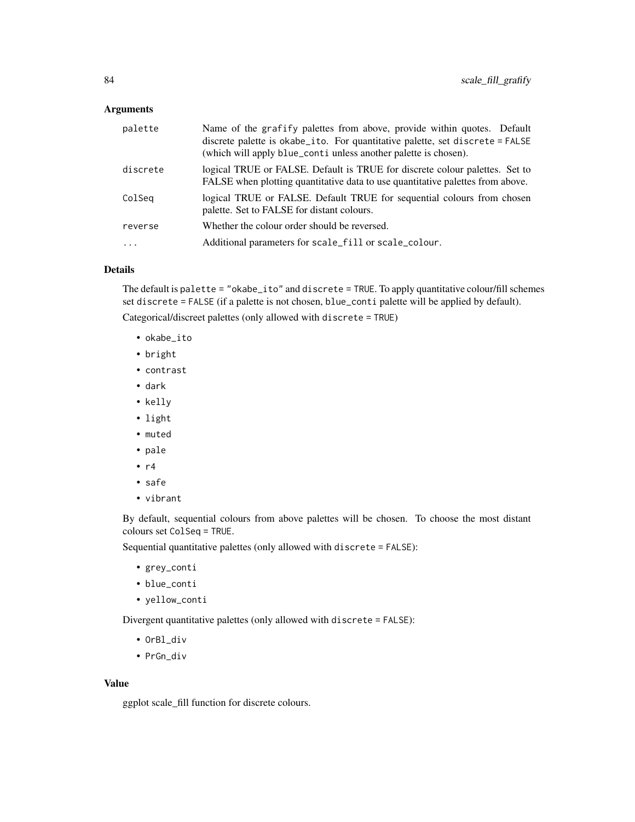## Arguments

| palette  | Name of the grafify palettes from above, provide within quotes. Default<br>discrete palette is okabe_ito. For quantitative palette, set discrete = FALSE<br>(which will apply blue_conti unless another palette is chosen). |
|----------|-----------------------------------------------------------------------------------------------------------------------------------------------------------------------------------------------------------------------------|
| discrete | logical TRUE or FALSE. Default is TRUE for discrete colour palettes. Set to<br>FALSE when plotting quantitative data to use quantitative palettes from above.                                                               |
| ColSeq   | logical TRUE or FALSE. Default TRUE for sequential colours from chosen<br>palette. Set to FALSE for distant colours.                                                                                                        |
| reverse  | Whether the colour order should be reversed.                                                                                                                                                                                |
| $\ddots$ | Additional parameters for scale_fill or scale_colour.                                                                                                                                                                       |
|          |                                                                                                                                                                                                                             |

# Details

The default is palette = "okabe\_ito" and discrete = TRUE. To apply quantitative colour/fill schemes set discrete = FALSE (if a palette is not chosen, blue\_conti palette will be applied by default).

Categorical/discreet palettes (only allowed with discrete = TRUE)

- okabe\_ito
- bright
- contrast
- dark
- kelly
- light
- muted
- pale
- $\cdot$  r4
- safe
- vibrant

By default, sequential colours from above palettes will be chosen. To choose the most distant colours set ColSeq = TRUE.

Sequential quantitative palettes (only allowed with discrete = FALSE):

- grey\_conti
- blue\_conti
- yellow\_conti

Divergent quantitative palettes (only allowed with discrete = FALSE):

- OrBl\_div
- PrGn\_div

## Value

ggplot scale\_fill function for discrete colours.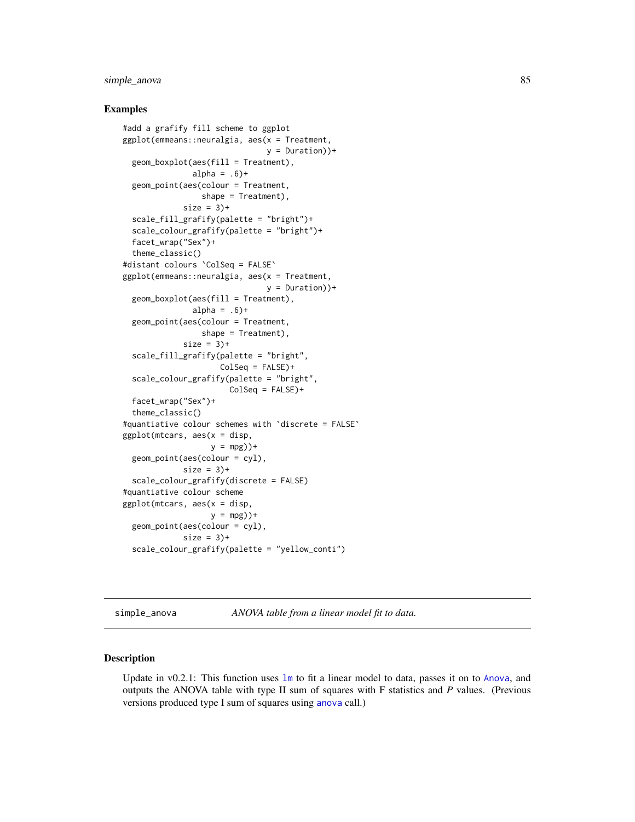# <span id="page-84-0"></span>simple\_anova 85

## Examples

```
#add a grafify fill scheme to ggplot
ggplot(emmeans::neuralgia, aes(x = Treatment,
                               y =Duration)+
 geom_boxplot(aes(fill = Treatment),
               alpha = .6)+
 geom_point(aes(colour = Treatment,
                 shape = Treatment),
             size = 3 +
 scale_fill_grafify(palette = "bright")+
 scale_colour_grafify(palette = "bright")+
 facet_wrap("Sex")+
 theme_classic()
#distant colours `ColSeq = FALSE`
ggplot(emmeans::neuralgia, aes(x = Treatment,
                               y =Duration)+
 geom_boxplot(aes(fill = Treatment),
               alpha = .6)+
 geom_point(aes(colour = Treatment,
                 shape = Treatment),
             size = 3 +
 scale_fill_grafify(palette = "bright",
                     ColSeq = FALSE)+
 scale_colour_grafify(palette = "bright",
                       ColSeq = FALSE)+
 facet_wrap("Sex")+
 theme_classic()
#quantiative colour schemes with `discrete = FALSE`
ggplot(mtcars, aes(x = disp,y = mpg) +
 geom_point(aes(colour = cyl),
             size = 3 +
 scale_colour_grafify(discrete = FALSE)
#quantiative colour scheme
ggplot(mtcars, aes(x = disp,y = mpg) +
 geom_point(aes(colour = cyl),
             size = 3 +
 scale_colour_grafify(palette = "yellow_conti")
```
simple\_anova *ANOVA table from a linear model fit to data.*

#### Description

Update in v0.2.1: This function uses [lm](#page-0-0) to fit a linear model to data, passes it on to [Anova](#page-0-0), and outputs the ANOVA table with type II sum of squares with F statistics and *P* values. (Previous versions produced type I sum of squares using [anova](#page-0-0) call.)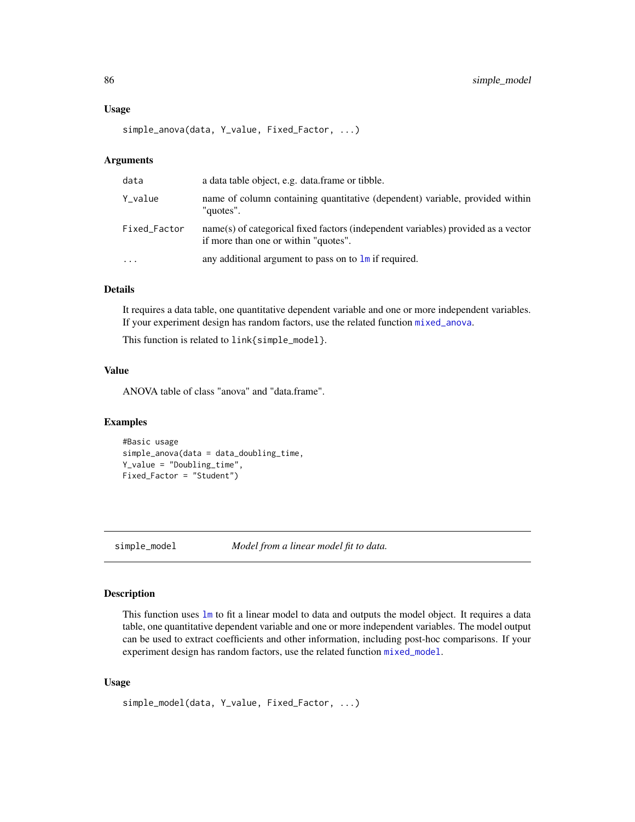#### <span id="page-85-1"></span>Usage

```
simple_anova(data, Y_value, Fixed_Factor, ...)
```
# Arguments

| data         | a data table object, e.g. data frame or tibble.                                                                           |
|--------------|---------------------------------------------------------------------------------------------------------------------------|
| Y_value      | name of column containing quantitative (dependent) variable, provided within<br>"quotes".                                 |
| Fixed_Factor | name(s) of categorical fixed factors (independent variables) provided as a vector<br>if more than one or within "quotes". |
| $\ddotsc$    | any additional argument to pass on to $\text{Im}$ if required.                                                            |

# Details

It requires a data table, one quantitative dependent variable and one or more independent variables. If your experiment design has random factors, use the related function [mixed\\_anova](#page-15-0).

This function is related to link{simple\_model}.

# Value

ANOVA table of class "anova" and "data.frame".

## Examples

```
#Basic usage
simple_anova(data = data_doubling_time,
Y_value = "Doubling_time",
Fixed_Factor = "Student")
```
<span id="page-85-0"></span>simple\_model *Model from a linear model fit to data.*

# Description

This function uses [lm](#page-0-0) to fit a linear model to data and outputs the model object. It requires a data table, one quantitative dependent variable and one or more independent variables. The model output can be used to extract coefficients and other information, including post-hoc comparisons. If your experiment design has random factors, use the related function [mixed\\_model](#page-18-0).

## Usage

```
simple_model(data, Y_value, Fixed_Factor, ...)
```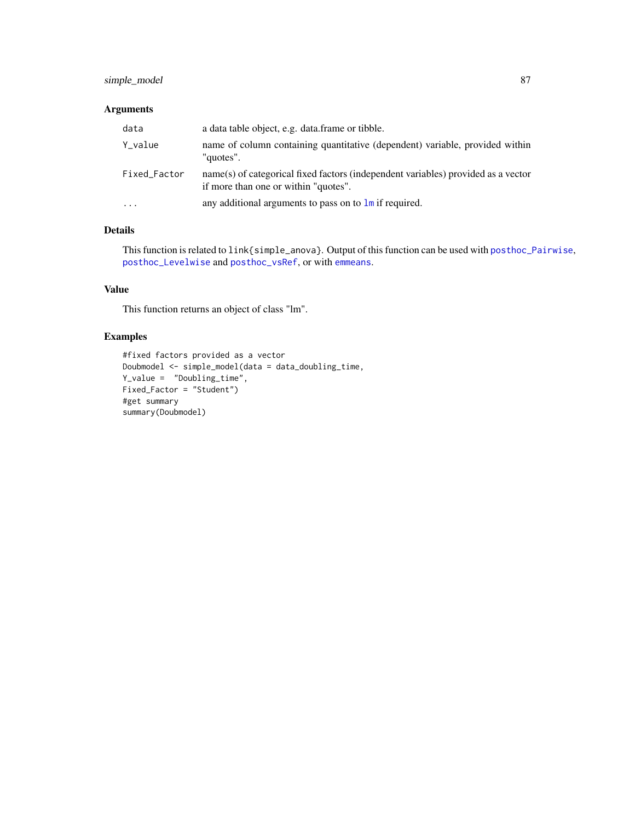# <span id="page-86-0"></span>simple\_model 87

# Arguments

| data         | a data table object, e.g. data frame or tibble.                                                                           |
|--------------|---------------------------------------------------------------------------------------------------------------------------|
| Y_value      | name of column containing quantitative (dependent) variable, provided within<br>"quotes".                                 |
| Fixed_Factor | name(s) of categorical fixed factors (independent variables) provided as a vector<br>if more than one or within "quotes". |
| $\cdot$      | any additional arguments to pass on to $\text{Im}$ if required.                                                           |

# Details

This function is related to link{simple\_anova}. Output of this function can be used with [posthoc\\_Pairwise](#page-71-0), [posthoc\\_Levelwise](#page-70-0) and [posthoc\\_vsRef](#page-76-0), or with [emmeans](#page-0-0).

# Value

This function returns an object of class "lm".

```
#fixed factors provided as a vector
Doubmodel <- simple_model(data = data_doubling_time,
Y_value = "Doubling_time",
Fixed_Factor = "Student")
#get summary
summary(Doubmodel)
```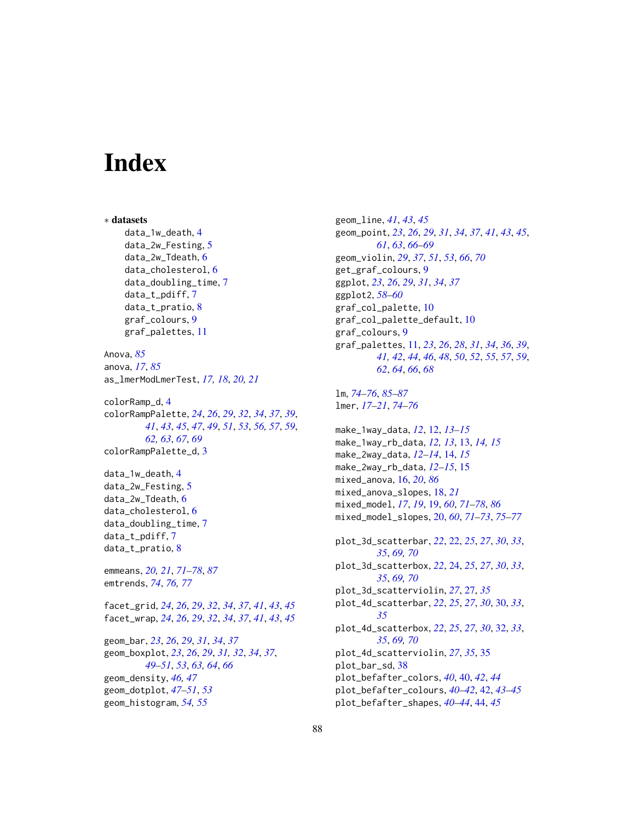# **Index**

∗ datasets data\_1w\_death, [4](#page-3-0) data\_2w\_Festing, [5](#page-4-0) data\_2w\_Tdeath, [6](#page-5-0) data\_cholesterol, [6](#page-5-0) data\_doubling\_time, [7](#page-6-0) data\_t\_pdiff, [7](#page-6-0) data\_t\_pratio, [8](#page-7-0) graf\_colours, [9](#page-8-0) graf\_palettes, [11](#page-10-0) Anova, *[85](#page-84-0)* anova, *[17](#page-16-0)*, *[85](#page-84-0)* as\_lmerModLmerTest, *[17,](#page-16-0) [18](#page-17-0)*, *[20,](#page-19-1) [21](#page-20-0)* colorRamp\_d, [4](#page-3-0) colorRampPalette, *[24](#page-23-0)*, *[26](#page-25-0)*, *[29](#page-28-0)*, *[32](#page-31-0)*, *[34](#page-33-0)*, *[37](#page-36-0)*, *[39](#page-38-0)*, *[41](#page-40-0)*, *[43](#page-42-0)*, *[45](#page-44-0)*, *[47](#page-46-0)*, *[49](#page-48-0)*, *[51](#page-50-0)*, *[53](#page-52-0)*, *[56,](#page-55-0) [57](#page-56-0)*, *[59](#page-58-0)*, *[62,](#page-61-0) [63](#page-62-0)*, *[67](#page-66-0)*, *[69](#page-68-0)* colorRampPalette\_d, [3](#page-2-0) data\_1w\_death, [4](#page-3-0) data\_2w\_Festing, [5](#page-4-0) data\_2w\_Tdeath, [6](#page-5-0) data\_cholesterol, [6](#page-5-0) data\_doubling\_time, [7](#page-6-0) data\_t\_pdiff, [7](#page-6-0) data\_t\_pratio, [8](#page-7-0) emmeans, *[20,](#page-19-1) [21](#page-20-0)*, *[71](#page-70-1)[–78](#page-77-0)*, *[87](#page-86-0)* emtrends, *[74](#page-73-0)*, *[76,](#page-75-0) [77](#page-76-1)* facet\_grid, *[24](#page-23-0)*, *[26](#page-25-0)*, *[29](#page-28-0)*, *[32](#page-31-0)*, *[34](#page-33-0)*, *[37](#page-36-0)*, *[41](#page-40-0)*, *[43](#page-42-0)*, *[45](#page-44-0)* facet\_wrap, *[24](#page-23-0)*, *[26](#page-25-0)*, *[29](#page-28-0)*, *[32](#page-31-0)*, *[34](#page-33-0)*, *[37](#page-36-0)*, *[41](#page-40-0)*, *[43](#page-42-0)*, *[45](#page-44-0)* geom\_bar, *[23](#page-22-0)*, *[26](#page-25-0)*, *[29](#page-28-0)*, *[31](#page-30-0)*, *[34](#page-33-0)*, *[37](#page-36-0)* geom\_boxplot, *[23](#page-22-0)*, *[26](#page-25-0)*, *[29](#page-28-0)*, *[31,](#page-30-0) [32](#page-31-0)*, *[34](#page-33-0)*, *[37](#page-36-0)*, *[49](#page-48-0)[–51](#page-50-0)*, *[53](#page-52-0)*, *[63,](#page-62-0) [64](#page-63-0)*, *[66](#page-65-0)* geom\_density, *[46,](#page-45-0) [47](#page-46-0)* geom\_dotplot, *[47](#page-46-0)[–51](#page-50-0)*, *[53](#page-52-0)* geom\_histogram, *[54,](#page-53-0) [55](#page-54-0)*

geom\_line, *[41](#page-40-0)*, *[43](#page-42-0)*, *[45](#page-44-0)* geom\_point, *[23](#page-22-0)*, *[26](#page-25-0)*, *[29](#page-28-0)*, *[31](#page-30-0)*, *[34](#page-33-0)*, *[37](#page-36-0)*, *[41](#page-40-0)*, *[43](#page-42-0)*, *[45](#page-44-0)*, *[61](#page-60-0)*, *[63](#page-62-0)*, *[66](#page-65-0)[–69](#page-68-0)* geom\_violin, *[29](#page-28-0)*, *[37](#page-36-0)*, *[51](#page-50-0)*, *[53](#page-52-0)*, *[66](#page-65-0)*, *[70](#page-69-0)* get\_graf\_colours, [9](#page-8-0) ggplot, *[23](#page-22-0)*, *[26](#page-25-0)*, *[29](#page-28-0)*, *[31](#page-30-0)*, *[34](#page-33-0)*, *[37](#page-36-0)* ggplot2, *[58](#page-57-0)[–60](#page-59-0)* graf\_col\_palette, [10](#page-9-0) graf\_col\_palette\_default, [10](#page-9-0) graf\_colours, [9](#page-8-0) graf\_palettes, [11,](#page-10-0) *[23](#page-22-0)*, *[26](#page-25-0)*, *[28](#page-27-0)*, *[31](#page-30-0)*, *[34](#page-33-0)*, *[36](#page-35-0)*, *[39](#page-38-0)*, *[41,](#page-40-0) [42](#page-41-0)*, *[44](#page-43-0)*, *[46](#page-45-0)*, *[48](#page-47-0)*, *[50](#page-49-0)*, *[52](#page-51-0)*, *[55](#page-54-0)*, *[57](#page-56-0)*, *[59](#page-58-0)*, *[62](#page-61-0)*, *[64](#page-63-0)*, *[66](#page-65-0)*, *[68](#page-67-0)* lm, *[74–](#page-73-0)[76](#page-75-0)*, *[85](#page-84-0)[–87](#page-86-0)* lmer, *[17–](#page-16-0)[21](#page-20-0)*, *[74](#page-73-0)[–76](#page-75-0)* make\_1way\_data, *[12](#page-11-0)*, [12,](#page-11-0) *[13](#page-12-0)[–15](#page-14-0)* make\_1way\_rb\_data, *[12,](#page-11-0) [13](#page-12-0)*, [13,](#page-12-0) *[14,](#page-13-0) [15](#page-14-0)* make\_2way\_data, *[12](#page-11-0)[–14](#page-13-0)*, [14,](#page-13-0) *[15](#page-14-0)* make\_2way\_rb\_data, *[12](#page-11-0)[–15](#page-14-0)*, [15](#page-14-0) mixed\_anova, [16,](#page-15-1) *[20](#page-19-1)*, *[86](#page-85-1)* mixed\_anova\_slopes, [18,](#page-17-0) *[21](#page-20-0)* mixed\_model, *[17](#page-16-0)*, *[19](#page-18-1)*, [19,](#page-18-1) *[60](#page-59-0)*, *[71](#page-70-1)[–78](#page-77-0)*, *[86](#page-85-1)* mixed\_model\_slopes, [20,](#page-19-1) *[60](#page-59-0)*, *[71](#page-70-1)[–73](#page-72-0)*, *[75](#page-74-0)[–77](#page-76-1)* plot\_3d\_scatterbar, *[22](#page-21-0)*, [22,](#page-21-0) *[25](#page-24-0)*, *[27](#page-26-0)*, *[30](#page-29-0)*, *[33](#page-32-0)*, *[35](#page-34-0)*, *[69,](#page-68-0) [70](#page-69-0)* plot\_3d\_scatterbox, *[22](#page-21-0)*, [24,](#page-23-0) *[25](#page-24-0)*, *[27](#page-26-0)*, *[30](#page-29-0)*, *[33](#page-32-0)*, *[35](#page-34-0)*, *[69,](#page-68-0) [70](#page-69-0)* plot\_3d\_scatterviolin, *[27](#page-26-0)*, [27,](#page-26-0) *[35](#page-34-0)* plot\_4d\_scatterbar, *[22](#page-21-0)*, *[25](#page-24-0)*, *[27](#page-26-0)*, *[30](#page-29-0)*, [30,](#page-29-0) *[33](#page-32-0)*, *[35](#page-34-0)* plot\_4d\_scatterbox, *[22](#page-21-0)*, *[25](#page-24-0)*, *[27](#page-26-0)*, *[30](#page-29-0)*, [32,](#page-31-0) *[33](#page-32-0)*, *[35](#page-34-0)*, *[69,](#page-68-0) [70](#page-69-0)* plot\_4d\_scatterviolin, *[27](#page-26-0)*, *[35](#page-34-0)*, [35](#page-34-0) plot\_bar\_sd, [38](#page-37-0) plot\_befafter\_colors, *[40](#page-39-0)*, [40,](#page-39-0) *[42](#page-41-0)*, *[44](#page-43-0)* plot\_befafter\_colours, *[40](#page-39-0)[–42](#page-41-0)*, [42,](#page-41-0) *[43](#page-42-0)[–45](#page-44-0)* plot\_befafter\_shapes, *[40](#page-39-0)[–44](#page-43-0)*, [44,](#page-43-0) *[45](#page-44-0)*